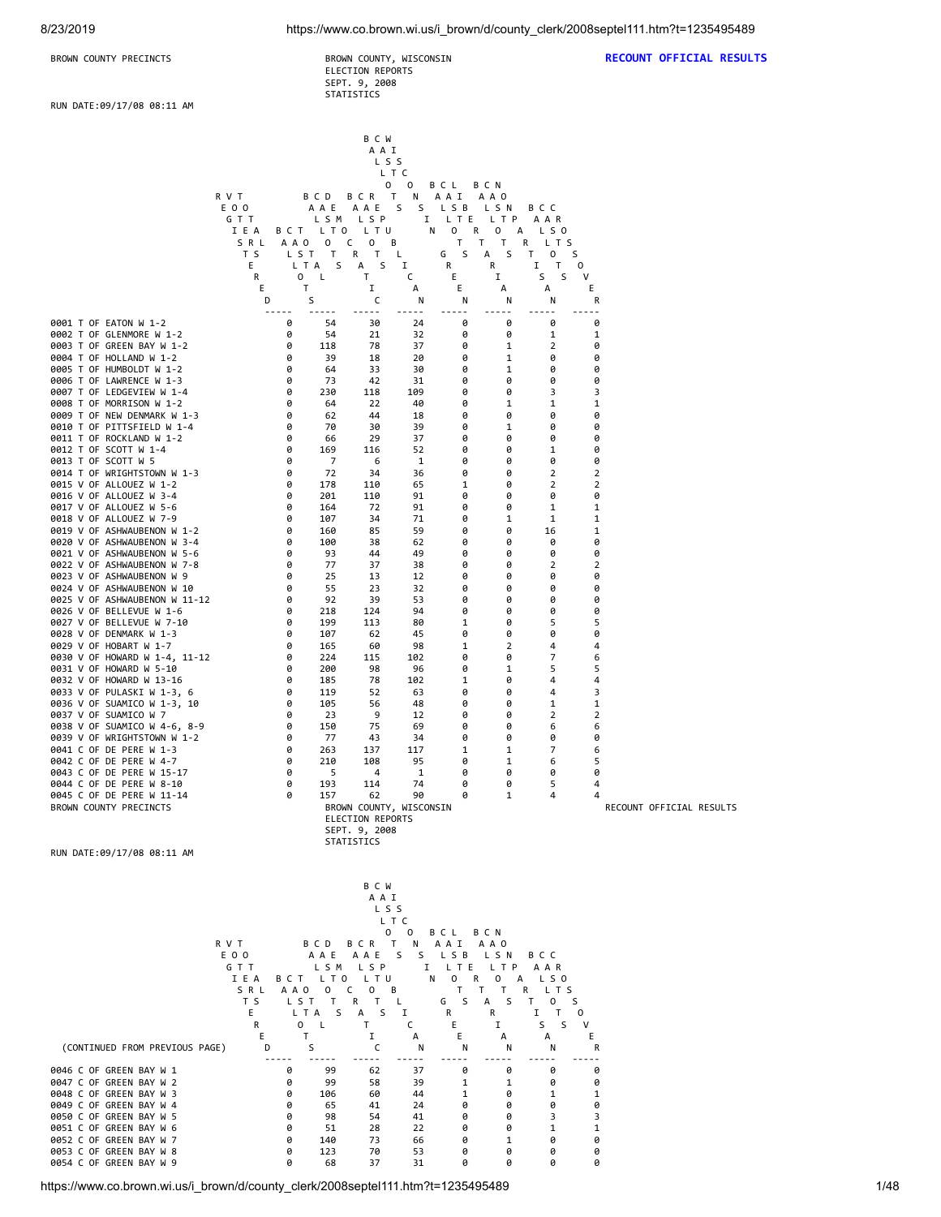ELECTION REPORTS SEPT. 9, 2008 STATISTICS

**BROWN COUNTY PRECINCTS BROWN COUNTY, WISCONSIN RECOUNT OFFICIAL RESULTS** 

RUN DATE:09/17/08 08:11 AM

|                                                            |                |                       |                        | B C W<br>A A I                              |              |                            |                            |                                        |                     |                          |
|------------------------------------------------------------|----------------|-----------------------|------------------------|---------------------------------------------|--------------|----------------------------|----------------------------|----------------------------------------|---------------------|--------------------------|
|                                                            |                |                       |                        | LSS<br>L T C                                |              |                            |                            |                                        |                     |                          |
|                                                            | R V T          |                       | BCD                    | 0<br>Τ<br>BCR                               | 0<br>Ν       | B C L<br>A A I             | B C N<br>A A O             |                                        |                     |                          |
|                                                            | E O O<br>GTT   |                       | AAE<br>LSM             | AAE<br>LSP                                  | S<br>S<br>Ι. | L S B<br>LTE               | LSN<br>L T P               | B C C<br>AAR                           |                     |                          |
|                                                            | I E A<br>SRL   | A A O                 | BCT LTO<br>0           | L T U<br>c<br>0<br>В                        | Ν            | 0<br>R<br>Τ<br>Τ           | 0<br>А<br>Τ                | LS0<br>R<br>L T S                      |                     |                          |
|                                                            | T S<br>Ε       | LST<br>L T A          | Τ<br>S                 | R<br>Τ<br>А<br>S                            | L<br>1       | S<br>G<br>R                | S<br>А<br>R                | T<br>S<br>$\mathsf{o}$<br>Ι.<br>T      | 0                   |                          |
|                                                            | R<br>Ε         | 0<br>Τ                | L                      | Τ<br>1                                      | c<br>А       | Ε<br>Ε                     | I<br>А                     | S<br>S<br>А                            | v<br>Ε              |                          |
|                                                            | D              | S                     | $- - - - - -$          | c<br>$- - -$                                | N<br>-----   | N<br>$- - -$               | N                          | Ν<br>$ -$                              | R<br>---            |                          |
| 0001 T OF EATON W 1-2<br>0002 T OF GLENMORE W 1-2          |                | 0<br>0                | 54<br>54               | 30<br>21                                    | 24<br>32     | 0<br>0                     | 0<br>0                     | 0<br>1                                 | 0<br>1              |                          |
| 0003 T OF GREEN BAY W 1-2                                  |                | 0                     | 118                    | 78                                          | 37           | 0                          | 1                          | 2                                      | 0                   |                          |
| 0004 T OF HOLLAND W 1-2<br>0005 T OF HUMBOLDT W 1-2        |                | 0<br>0                | 39<br>64               | 18<br>33                                    | 20<br>30     | 0<br>0                     | 1<br>1                     | 0<br>0                                 | 0<br>0              |                          |
| 0006 T OF LAWRENCE W 1-3<br>0007 T OF LEDGEVIEW W 1-4      |                | 0<br>0                | 73<br>230              | 42<br>118                                   | 31<br>109    | 0<br>0                     | 0<br>0                     | 0<br>3                                 | 0<br>3              |                          |
| 0008 T OF MORRISON W 1-2<br>0009 T OF NEW DENMARK W 1-3    |                | 0<br>0                | 64<br>62               | 22<br>44                                    | 40<br>18     | 0<br>0                     | 1<br>0                     | 1<br>0                                 | 1<br>0              |                          |
| 0010 T OF PITTSFIELD W 1-4<br>0011 T OF ROCKLAND W 1-2     |                | 0<br>0                | 70<br>66               | 30<br>29                                    | 39<br>37     | 0<br>0                     | 1<br>0                     | 0<br>0                                 | 0<br>0              |                          |
| 0012 T OF SCOTT W 1-4<br>0013 T OF SCOTT W 5               |                | 0<br>0                | 169<br>7               | 116<br>6                                    | 52<br>1      | 0<br>0                     | 0<br>0                     | 1<br>0                                 | 0<br>0              |                          |
| 0014 T OF WRIGHTSTOWN W 1-3<br>0015 V OF ALLOUEZ W 1-2     |                | 0<br>0                | 72<br>178              | 34<br>110                                   | 36<br>65     | 0<br>1                     | 0<br>0                     | 2<br>2                                 | 2<br>2              |                          |
| 0016 V OF ALLOUEZ W 3-4<br>0017 V OF ALLOUEZ W 5-6         |                | 0<br>0                | 201<br>164             | 110<br>72                                   | 91<br>91     | 0<br>0                     | 0<br>0                     | 0<br>1                                 | 0<br>1              |                          |
| 0018 V OF ALLOUEZ W 7-9<br>0019 V OF ASHWAUBENON W 1-2     |                | 0<br>0                | 107<br>160             | 34<br>85                                    | 71<br>59     | 0<br>0                     | 1<br>0                     | 1<br>16                                | 1<br>1              |                          |
| 0020 V OF ASHWAUBENON W 3-4<br>0021 V OF ASHWAUBENON W 5-6 |                | 0<br>0                | 100<br>93              | 38<br>44                                    | 62<br>49     | 0<br>0                     | 0<br>0                     | 0<br>0                                 | 0<br>0              |                          |
| 0022 V OF ASHWAUBENON W 7-8                                |                | 0<br>0                | 77<br>25               | 37<br>13                                    | 38<br>12     | 0<br>0                     | 0<br>0                     | 2<br>0                                 | 2<br>0              |                          |
| 0023 V OF ASHWAUBENON W 9<br>0024 V OF ASHWAUBENON W 10    |                | 0                     | 55                     | 23                                          | 32           | 0                          | 0                          | 0                                      | 0                   |                          |
| 0025 V OF ASHWAUBENON W 11-12<br>0026 V OF BELLEVUE W 1-6  |                | 0<br>0                | 92<br>218              | 39<br>124                                   | 53<br>94     | 0<br>0                     | 0<br>0                     | 0<br>0                                 | 0<br>0              |                          |
| 0027 V OF BELLEVUE W 7-10<br>0028 V OF DENMARK W 1-3       |                | 0<br>0                | 199<br>107             | 113<br>62                                   | 80<br>45     | 1<br>0                     | 0<br>0                     | 5<br>0                                 | 5<br>0              |                          |
| 0029 V OF HOBART W 1-7<br>0030 V OF HOWARD W 1-4, 11-12    |                | 0<br>0                | 165<br>224             | 60<br>115                                   | 98<br>102    | 1<br>0                     | 2<br>0                     | 4<br>7                                 | 4<br>6              |                          |
| 0031 V OF HOWARD W 5-10<br>0032 V OF HOWARD W 13-16        |                | 0<br>0                | 200<br>185             | 98<br>78                                    | 96<br>102    | 0<br>1                     | 1<br>0                     | 5<br>4                                 | 5<br>4              |                          |
| 0033 V OF PULASKI W 1-3, 6<br>0036 V OF SUAMICO W 1-3, 10  |                | 0<br>0                | 119<br>105             | 52<br>56                                    | 63<br>48     | 0<br>0                     | 0<br>0                     | 4<br>1                                 | 3<br>1              |                          |
| 0037 V OF SUAMICO W 7<br>0038 V OF SUAMICO W 4-6, 8-9      |                | 0<br>0                | 23<br>150              | 9<br>75                                     | 12<br>69     | 0<br>0                     | 0<br>0                     | 2<br>6                                 | 2<br>6              |                          |
| 0039 V OF WRIGHTSTOWN W 1-2<br>0041 C OF DE PERE W 1-3     |                | 0<br>0                | 77<br>263              | 43<br>137                                   | 34<br>117    | 0<br>1                     | 0<br>1                     | 0<br>7                                 | 0<br>6              |                          |
| 0042 C OF DE PERE W 4-7<br>0043 C OF DE PERE W 15-17       |                | 0<br>0                | 210<br>5               | 108<br>4                                    | 95<br>1      | 0<br>0                     | 1<br>0                     | 6<br>0                                 | 5<br>0              |                          |
| 0044 C OF DE PERE W 8-10<br>0045 C OF DE PERE W 11-14      |                | 0<br>0                | 193<br>157             | 114<br>62                                   | 74<br>90     | 0<br>0                     | 0<br>1                     | 5<br>4                                 | 4<br>4              |                          |
| BROWN COUNTY PRECINCTS                                     |                |                       |                        | BROWN COUNTY, WISCONSIN<br>ELECTION REPORTS |              |                            |                            |                                        |                     | RECOUNT OFFICIAL RESULTS |
|                                                            |                |                       |                        | SEPT. 9, 2008                               |              |                            |                            |                                        |                     |                          |
| RUN DATE:09/17/08 08:11 AM                                 |                |                       |                        | STATISTICS                                  |              |                            |                            |                                        |                     |                          |
|                                                            |                |                       |                        | B C W                                       |              |                            |                            |                                        |                     |                          |
|                                                            |                |                       |                        | A A I<br>L S S                              |              |                            |                            |                                        |                     |                          |
|                                                            |                |                       |                        | L T C<br>0                                  | $\circ$      | B C L                      | <b>BCN</b>                 |                                        |                     |                          |
|                                                            | R V T<br>E 0 0 |                       | B C D                  | BCR T<br>AAE AAE                            | N<br>S.      | A A I<br>S LSB LSN         | A A O                      | B C C                                  |                     |                          |
|                                                            | GTT<br>IEA     |                       |                        | LSM LSP<br>BCT LTO LTU                      | N            | I LTE<br>0<br>$\mathsf{R}$ | L T P<br>$\mathbf{O}$<br>A | AAR<br>LS0                             |                     |                          |
|                                                            | SRL<br>T S     | A A O<br>LST          | $\mathbf{0}$<br>$\top$ | C<br>$\mathsf{O}$<br>В<br>R T               | L            | T.<br>T.<br>S<br>G         | Τ<br><sub>S</sub><br>A     | R —<br>L T S<br>T<br>S<br>$\mathbf{0}$ |                     |                          |
|                                                            | E<br>R         | L T A<br>$\mathbf{O}$ | S.<br>L.               | S<br>А<br>T                                 | Ι.<br>C      | R<br>Ε                     | R<br>Ι.                    | Ι.<br>$\mathsf{T}$<br>S<br>S           | 0<br>V              |                          |
| (CONTINUED FROM PREVIOUS PAGE)                             | Ε<br>D         | T<br>S                |                        | 1<br>C                                      | А<br>N       | Ε<br>N                     | А<br>N                     | А<br>Ν                                 | Е<br>R              |                          |
| 0046 C OF GREEN BAY W 1                                    |                | 0                     | $- - - - -$<br>99      | -----<br>62                                 | -----<br>37  | -----<br>0                 | 0                          | -----<br>0                             | $\overline{a}$<br>0 |                          |
| 0047 C OF GREEN BAY W 2<br>0048 C OF GREEN BAY W 3         |                | 0<br>0                | 99<br>106              | 58<br>60                                    | 39<br>44     | 1<br>1                     | 1<br>0                     | 0<br>1                                 | 0<br>1              |                          |
| 0049 C OF GREEN BAY W 4<br>0050 C OF GREEN BAY W 5         |                | 0<br>0                | 65<br>98               | 41<br>54                                    | 24<br>41     | 0<br>0                     | 0<br>0                     | 0<br>3                                 | 0<br>3              |                          |
| 0051 C OF GREEN BAY W 6<br>0052 C OF GREEN BAY W 7         |                | 0<br>0                | 51<br>140              | 28<br>73                                    | 22<br>66     | 0<br>0                     | 0<br>1                     | 1<br>0                                 | 1<br>0              |                          |
| 0053 C OF GREEN BAY W 8<br>0054 C OF GREEN BAY W 9         |                | 0<br>0                | 123<br>68              | 70<br>37                                    | 53<br>31     | 0<br>0                     | 0<br>0                     | 0<br>0                                 | 0<br>0              |                          |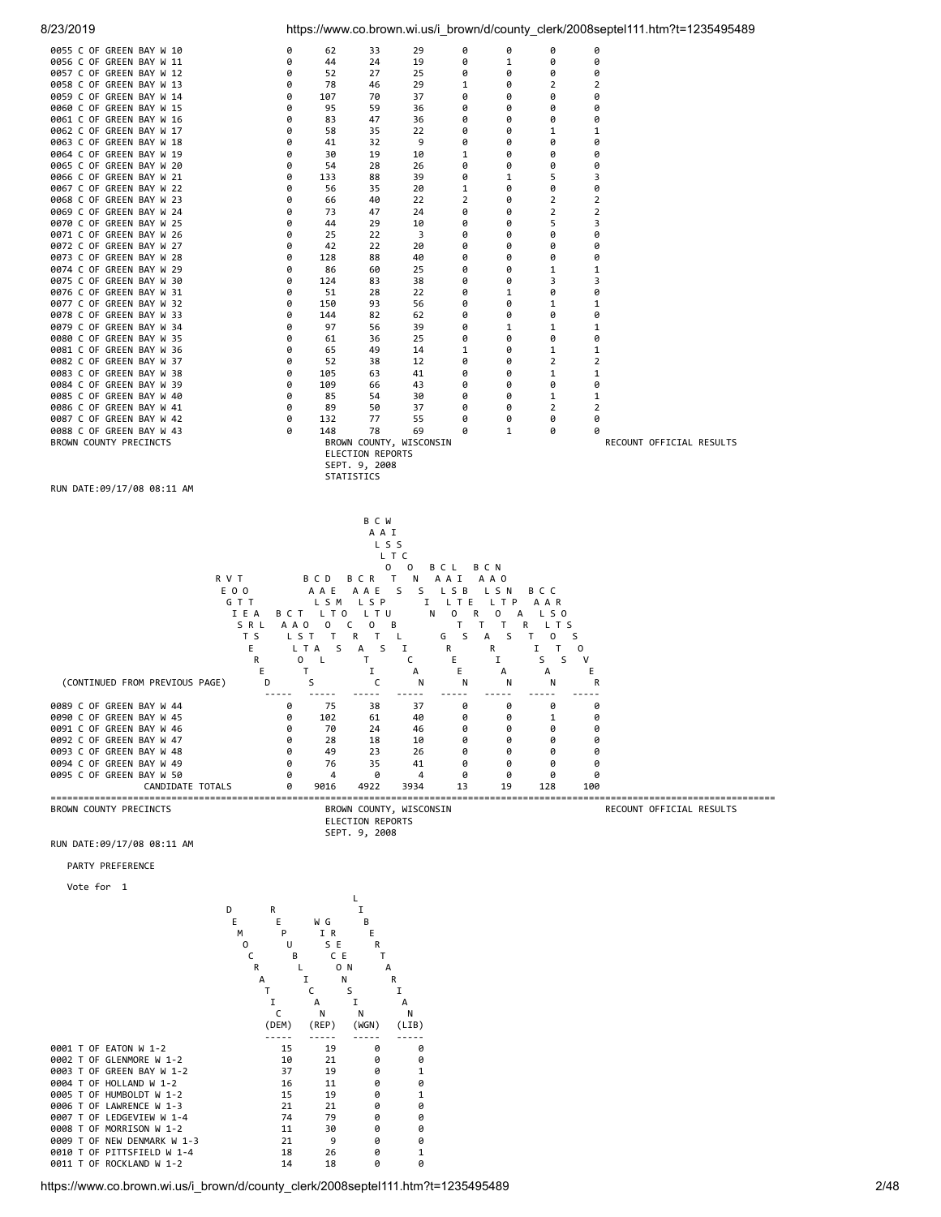

https://www.co.brown.wi.us/i\_brown/d/county\_clerk/2008septel111.htm?t=1235495489 2/48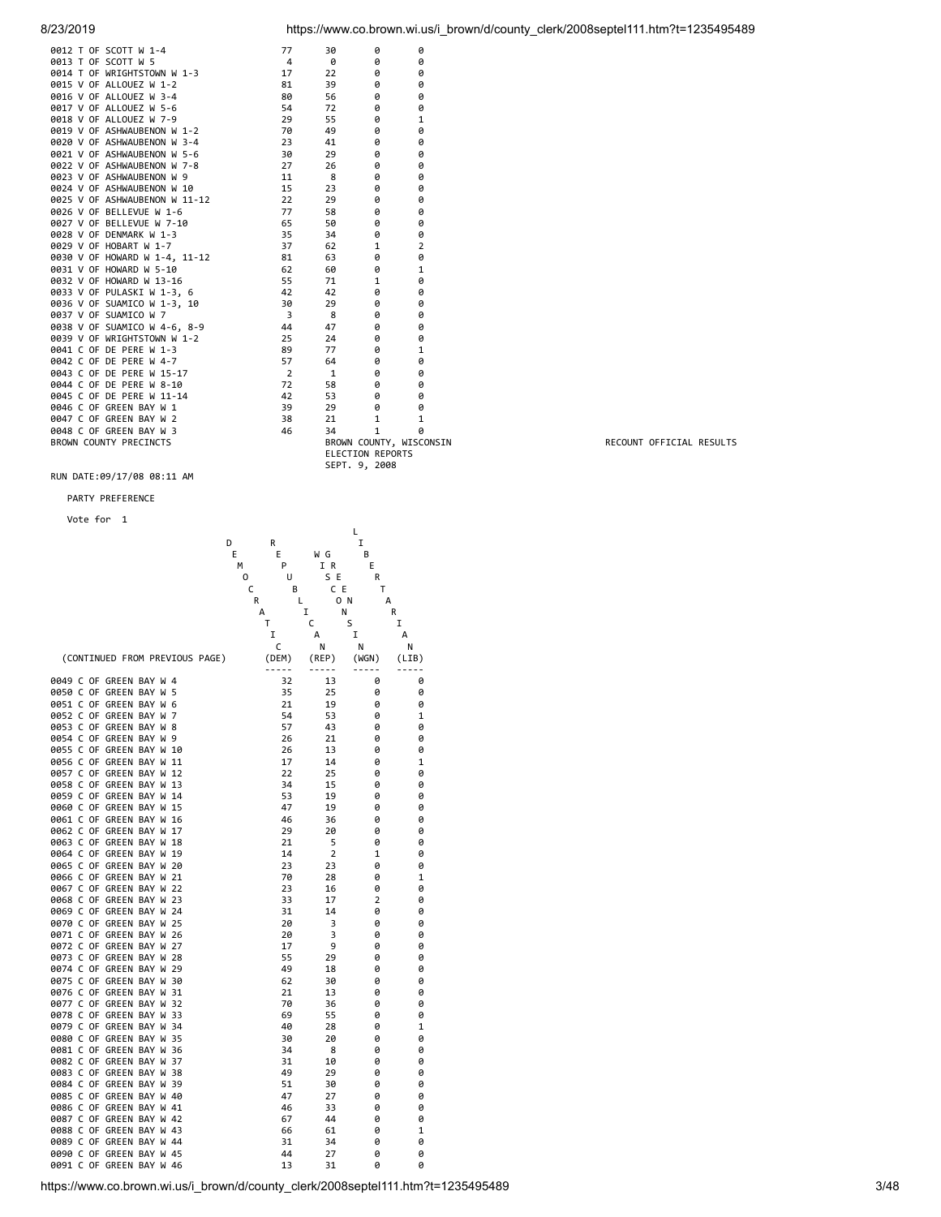| 8/23/2019 | https://www.co.brown.wi.us/i brown/d/county clerk/2008septel111.htm?t=1235495489 |
|-----------|----------------------------------------------------------------------------------|
|           |                                                                                  |

|  | 0012 T OF SCOTT W 1-4         | 77             | 30                      | 0            | 0              |
|--|-------------------------------|----------------|-------------------------|--------------|----------------|
|  | 0013 T OF SCOTT W 5           | 4              | 0                       | ø            | 0              |
|  | 0014 T OF WRIGHTSTOWN W 1-3   | 17             | 22                      | 0            | 0              |
|  | 0015 V OF ALLOUEZ W 1-2       | 81             | 39                      | 0            | 0              |
|  | 0016 V OF ALLOUEZ W 3-4       | 80             | 56                      | 0            | 0              |
|  | 0017 V OF ALLOUEZ W 5-6       | 54             | 72                      | 0            | 0              |
|  | 0018 V OF ALLOUEZ W 7-9       | 29             | 55                      | 0            | 1              |
|  | 0019 V OF ASHWAUBENON W 1-2   | 70             | 49                      | 0            | 0              |
|  | 0020 V OF ASHWAUBENON W 3-4   | 23             | 41                      | 0            | 0              |
|  | 0021 V OF ASHWAUBENON W 5-6   | 30             | 29                      | 0            | 0              |
|  | 0022 V OF ASHWAUBENON W 7-8   | 27             | 26                      | 0            | 0              |
|  | 0023 V OF ASHWAUBENON W 9     | 11             | 8                       | 0            | 0              |
|  | 0024 V OF ASHWAUBENON W 10    | 15             | 23                      | 0            | 0              |
|  | 0025 V OF ASHWAUBENON W 11-12 | 22             | 29                      | 0            | 0              |
|  | 0026 V OF BELLEVUE W 1-6      | 77             | 58                      | 0            | 0              |
|  | 0027 V OF BELLEVUE W 7-10     | 65             | 50                      | 0            | 0              |
|  | 0028 V OF DENMARK W 1-3       | 35             | 34                      | 0            | 0              |
|  | 0029 V OF HOBART W 1-7        | 37             | 62                      | 1            | $\overline{2}$ |
|  | 0030 V OF HOWARD W 1-4, 11-12 | 81             | 63                      | 0            | 0              |
|  | 0031 V OF HOWARD W 5-10       | 62             | 60                      | 0            | 1              |
|  | 0032 V OF HOWARD W 13-16      | 55             | 71                      | 1            | 0              |
|  | 0033 V OF PULASKI W 1-3, 6    | 42             | 42                      | 0            | 0              |
|  | 0036 V OF SUAMICO W 1-3, 10   | 30             | 29                      | 0            | 0              |
|  | 0037 V OF SUAMICO W 7         | 3              | 8                       | 0            | 0              |
|  | 0038 V OF SUAMICO W 4-6, 8-9  | 44             | 47                      | 0            | 0              |
|  | 0039 V OF WRIGHTSTOWN W 1-2   | 25             | 24                      | 0            | 0              |
|  | 0041 C OF DE PERE W 1-3       | 89             | 77                      | 0            | 1              |
|  | 0042 C OF DE PERE W 4-7       | 57             | 64                      | 0            | 0              |
|  | 0043 C OF DE PERE W 15-17     | $\overline{2}$ | $\mathbf{1}$            | 0            | 0              |
|  | 0044 C OF DE PERE W 8-10      | 72             | 58                      | 0            | 0              |
|  | 0045 C OF DE PERE W 11-14     | 42             | 53                      | 0            | 0              |
|  | 0046 C OF GREEN BAY W 1       | 39             | 29                      | 0            | 0              |
|  | 0047 C OF GREEN BAY W 2       | 38             | 21                      | $\mathbf{1}$ | 1              |
|  | 0048 C OF GREEN BAY W 3       | 46             | 34                      | $\mathbf{1}$ | ø              |
|  | <b>BROWN COUNTY PRECINCTS</b> |                | BROWN COUNTY, WISCO     |              |                |
|  |                               |                | <b>ELECTION REPORTS</b> |              |                |
|  |                               |                | SEPT. 9, 2008           |              |                |
|  |                               |                |                         |              |                |

## PARTY PREFERENCE

Vote for 1

| D                                                          | R              |                | L<br>I              |        |
|------------------------------------------------------------|----------------|----------------|---------------------|--------|
| E<br>М                                                     | Е<br>P         | W G<br>I R     | B<br>E              |        |
| 0<br>C                                                     | U<br>В         | S E<br>C E     | R<br>Т              |        |
| R                                                          | L              | 0 N            | A                   |        |
|                                                            | А              | I<br>Ν         |                     | R      |
|                                                            | Т<br>I         | C<br>A         | S<br>I              | I<br>A |
|                                                            | C              | N              | Ν                   | N      |
| (CONTINUED FROM PREVIOUS PAGE)                             | (DEM)<br>----- | (REP)<br>----- | (WGN)<br>-----      | (LIB)  |
| 0049 C OF GREEN BAY W 4                                    | 32             | 13             | 0                   | 0      |
| 0050 C OF GREEN BAY W<br>5<br>0051 C OF GREEN BAY W<br>6   | 35<br>21       | 25<br>19       | 0<br>0              | 0<br>0 |
| 0052 C OF GREEN BAY W<br>7                                 | 54             | 53             | 0                   | 1      |
| 0053 C OF GREEN BAY W<br>8                                 | 57             | 43             | 0                   | 0      |
| 0054 C OF GREEN BAY W<br>9                                 | 26             | 21             | 0                   | 0      |
| 0055 C OF GREEN BAY W<br>10                                | 26             | 13             | ø                   | 0      |
| 0056 C OF GREEN BAY W<br>11                                | 17             | 14             | 0                   | 1      |
| 0057 C OF GREEN BAY W<br>12                                | 22             | 25             | 0                   | 0      |
| 0058 C OF GREEN BAY W<br>13                                | 34             | 15             | 0                   | 0      |
| 0059 C OF GREEN BAY W<br>14<br>0060 C OF GREEN BAY W<br>15 | 53<br>47       | 19<br>19       | 0<br>0              | 0<br>0 |
| 0061 C OF GREEN BAY W<br>16                                | 46             | 36             | 0                   | 0      |
| 0062 C OF GREEN BAY W<br>17                                | 29             | 20             | 0                   | 0      |
| 0063 C OF GREEN BAY W<br>18                                | 21             | 5              | 0                   | 0      |
| 0064 C OF GREEN BAY W<br>19                                | 14             | $\overline{2}$ | 1                   | 0      |
| 0065 C OF GREEN BAY W<br>20                                | 23             | 23             | 0                   | 0      |
| 0066 C OF GREEN BAY W<br>21                                | 70             | 28             | 0                   | 1      |
| 0067 C OF GREEN BAY W<br>22                                | 23             | 16             | 0                   | 0      |
| 0068 C OF GREEN BAY W<br>23<br>0069 C OF GREEN BAY W<br>24 | 33<br>31       | 17<br>14       | $\overline{2}$<br>0 | 0<br>0 |
| 0070 C OF GREEN BAY W<br>25                                | 20             | 3              | 0                   | 0      |
| 0071 C OF GREEN BAY W<br>26                                | 20             | 3              | 0                   | 0      |
| 0072 C OF GREEN BAY W<br>27                                | 17             | 9              | 0                   | 0      |
| 0073 C OF GREEN BAY W<br>28                                | 55             | 29             | 0                   | 0      |
| 0074 C OF GREEN BAY W<br>29                                | 49             | 18             | 0                   | 0      |
| 0075 C OF GREEN BAY W<br>30                                | 62             | 30             | 0                   | 0      |
| 0076 C OF GREEN BAY W<br>31                                | 21             | 13             | 0                   | 0      |
| 0077 C OF GREEN BAY W<br>32<br>0078 C OF GREEN BAY W<br>33 | 70<br>69       | 36             | 0<br>0              | 0<br>0 |
| 0079 C OF GREEN BAY W<br>34                                | 40             | 55<br>28       | 0                   | 1      |
| 0080 C OF GREEN BAY W<br>35                                | 30             | 20             | 0                   | 0      |
| 0081 C OF GREEN BAY W<br>36                                | 34             | 8              | 0                   | 0      |
| 0082 C OF GREEN BAY W<br>37                                | 31             | 10             | 0                   | 0      |
| 0083 C OF GREEN BAY W<br>38                                | 49             | 29             | 0                   | 0      |
| 0084 C OF GREEN BAY W<br>39                                | 51             | 30             | 0                   | 0      |
| 0085 C OF GREEN BAY W 40                                   | 47             | 27             | 0                   | 0      |
| 0086 C OF GREEN BAY W 41                                   | 46             | 33             | 0                   | 0      |
| 0087 C OF GREEN BAY W<br>42<br>0088 C OF GREEN BAY W 43    | 67<br>66       | 44<br>61       | 0<br>0              | 0<br>1 |
| 0089 C OF GREEN BAY W 44                                   | 31             | 34             | 0                   | 0      |
| 0090 C OF GREEN BAY W<br>45                                | 44             | 27             | 0                   | 0      |
| 0091 C OF GREEN BAY W 46                                   | 13             | 31             | 0                   | 0      |
|                                                            |                |                |                     |        |

MONTH COUNTY OF RECOUNT OF FICIAL RESULTS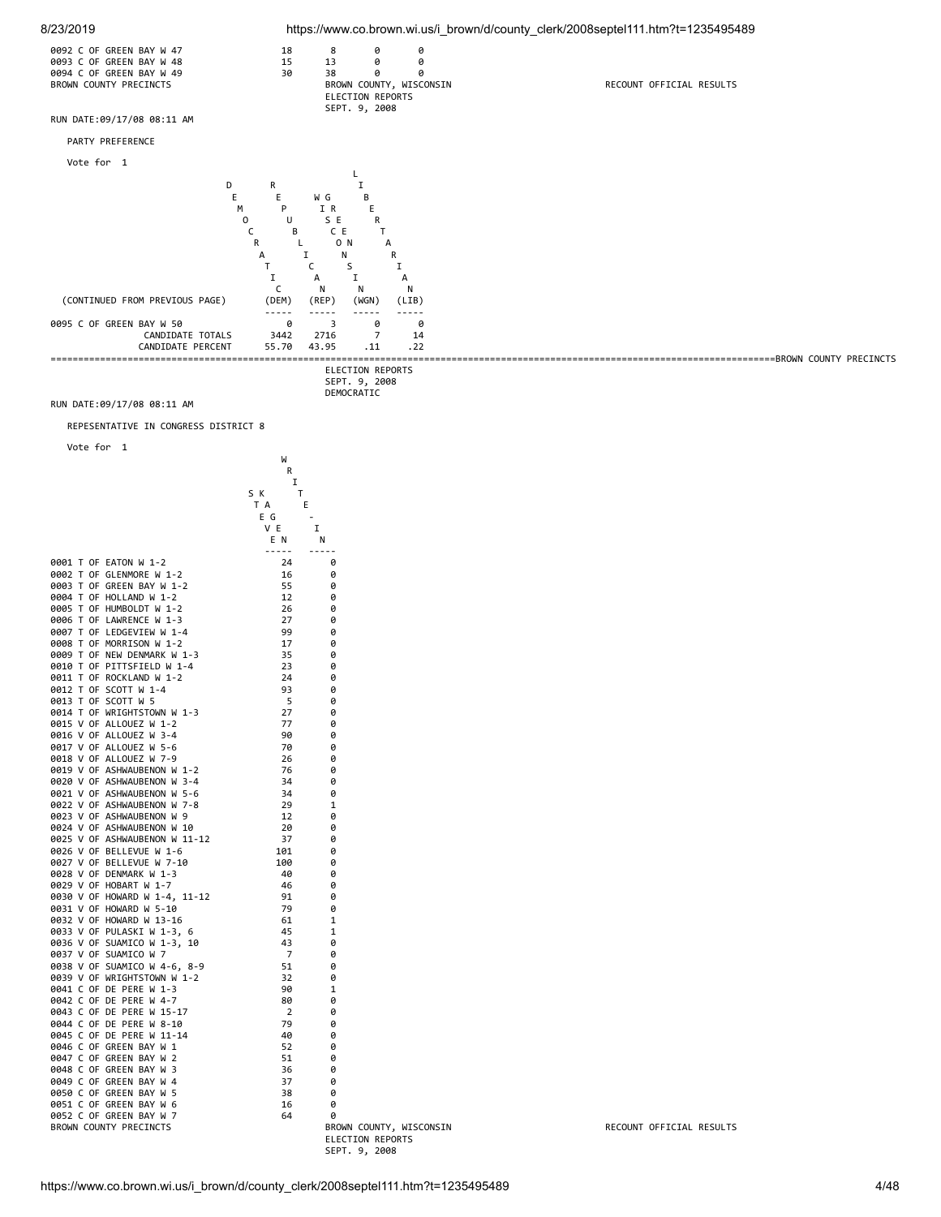

REPESENTATIVE IN CONGRESS DISTRICT 8

| Vote for<br>1                                              |                                |
|------------------------------------------------------------|--------------------------------|
|                                                            | W<br>R                         |
|                                                            | Ι<br>S K<br>Т                  |
|                                                            | T A<br>E                       |
|                                                            | E G<br>V E<br>I                |
|                                                            | EN.<br>N                       |
|                                                            | $- - - - -$<br>-----           |
| 0001 T OF EATON W 1-2<br>0002 T OF GLENMORE W 1-2          | 24<br>0<br>16<br>0             |
| 0003 T OF GREEN BAY W 1-2                                  | 55<br>0                        |
| 0004 T OF HOLLAND W 1-2                                    | 12<br>0                        |
| 0005 T OF HUMBOLDT W 1-2                                   | 26<br>0                        |
| 0006 T OF LAWRENCE W 1-3                                   | 27<br>0                        |
| 0007 T OF LEDGEVIEW W 1-4                                  | 99<br>0                        |
| 0008 T OF MORRISON W 1-2                                   | 17<br>0                        |
| 0009 T OF NEW DENMARK W 1-3<br>0010 T OF PITTSFIELD W 1-4  | 35<br>0<br>23<br>0             |
| 0011 T OF ROCKLAND W 1-2                                   | 24<br>0                        |
| 0012 T OF SCOTT W 1-4                                      | 93<br>0                        |
| 0013 T OF SCOTT W 5                                        | - 5<br>0                       |
| 0014 T OF WRIGHTSTOWN W 1-3                                | 27<br>0                        |
| 0015 V OF ALLOUEZ W 1-2                                    | 77<br>0                        |
| 0016 V OF ALLOUEZ W 3-4                                    | 90<br>0                        |
| 0017 V OF ALLOUEZ W 5-6                                    | 70<br>0                        |
| 0018 V OF ALLOUEZ W 7-9                                    | 26<br>0                        |
| 0019 V OF ASHWAUBENON W 1-2<br>0020 V OF ASHWAUBENON W 3-4 | 76<br>0<br>34                  |
| 0021 V OF ASHWAUBENON W 5-6                                | 0<br>34<br>ø                   |
| 0022 V OF ASHWAUBENON W 7-8                                | 29<br>1                        |
| 0023 V OF ASHWAUBENON W 9                                  | 12<br>0                        |
| 0024 V OF ASHWAUBENON W 10                                 | 20<br>0                        |
| 0025 V OF ASHWAUBENON W 11-12                              | 37<br>0                        |
| 0026 V OF BELLEVUE W 1-6                                   | 101<br>ø                       |
| 0027 V OF BELLEVUE W 7-10                                  | 100<br>0                       |
| 0028 V OF DENMARK W 1-3                                    | 40<br>0                        |
| 0029 V OF HOBART W 1-7<br>0030 V OF HOWARD W 1-4, 11-12    | 46<br>0<br>91<br>0             |
| 0031 V OF HOWARD W 5-10                                    | 79<br>ø                        |
| 0032 V OF HOWARD W 13-16                                   | 61<br>1                        |
| 0033 V OF PULASKI W 1-3, 6                                 | 45<br>1                        |
| 0036 V OF SUAMICO W 1-3, 10                                | 43<br>0                        |
| 0037 V OF SUAMICO W 7                                      | 7<br>0                         |
| 0038 V OF SUAMICO W 4-6, 8-9                               | 51<br>ø                        |
| 0039 V OF WRIGHTSTOWN W 1-2                                | 32<br>0                        |
| 0041 C OF DE PERE W 1-3<br>0042 C OF DE PERE W 4-7         | 90<br>1                        |
| 0043 C OF DE PERE W 15-17                                  | 80<br>0<br>$\overline{2}$<br>0 |
| 0044 C OF DE PERE W 8-10                                   | 79<br>ø                        |
| 0045 C OF DE PERE W 11-14                                  | 40<br>0                        |
| 0046 C OF GREEN BAY W 1                                    | 52<br>0                        |
| 0047 C OF GREEN BAY W 2                                    | 51<br>0                        |
| 0048 C OF GREEN BAY W 3                                    | 36<br>0                        |
| 0049 C OF GREEN BAY W 4                                    | 37<br>ø                        |
| 0050 C OF GREEN BAY W 5                                    | 38<br>0                        |
| 0051 C OF GREEN BAY W 6<br>0052 C OF GREEN BAY W 7         | 16<br>0<br>64                  |
| BROWN COUNTY PRECINCTS                                     | 0<br>BROWN COUNTY, WIS         |
|                                                            | ELECTION REPORTS               |
|                                                            | SEPT. 9, 2008                  |

WE COUNTY, WISCONSIN FOR A RECOUNT OFFICIAL RESULTS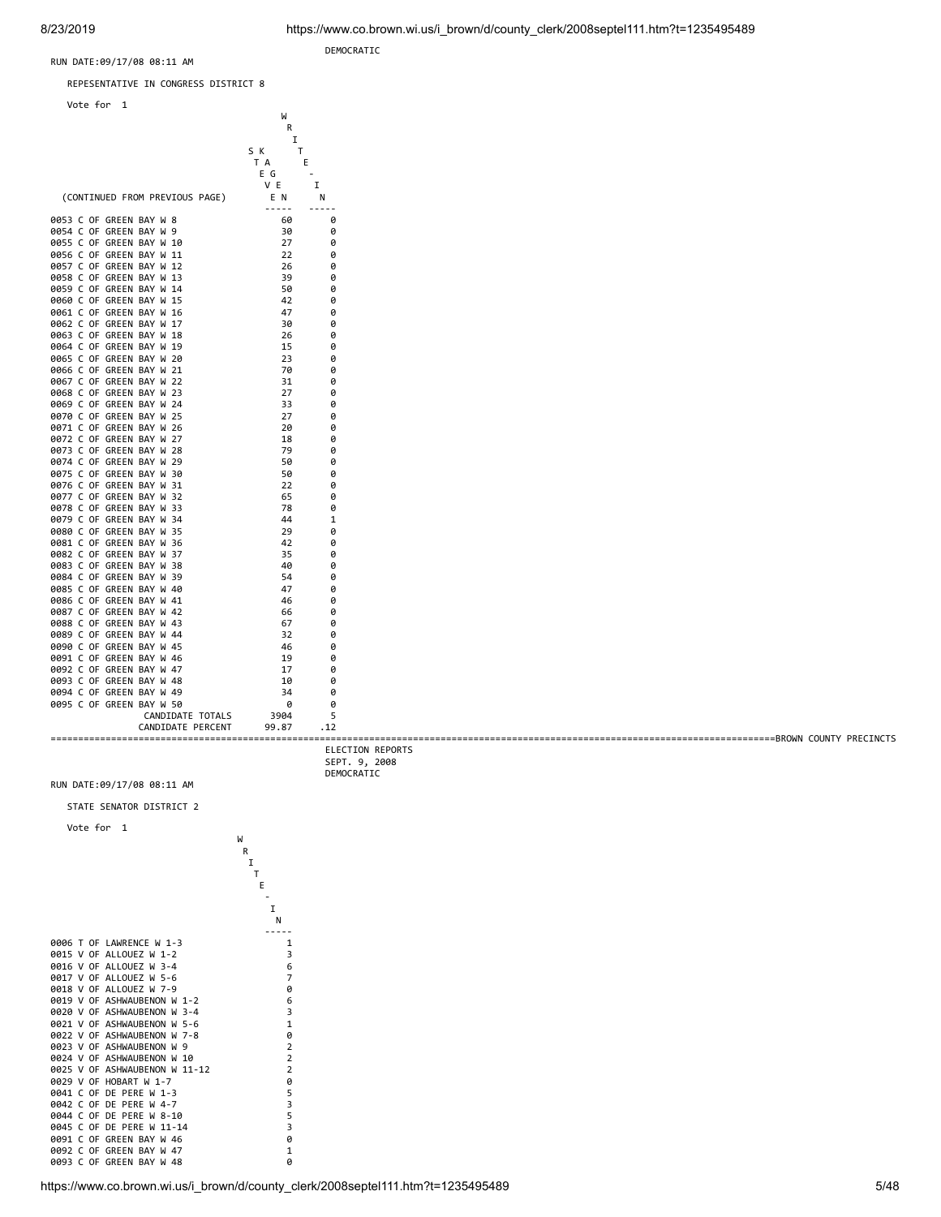==================================================================================================================================== BROWN COUNTY PRECINCTS

RUN DATE:09/17/08 08:11 AM

REPESENTATIVE IN CONGRESS DISTRICT 8





|                            | DEMOCRATIC |
|----------------------------|------------|
| RUN DATE:09/17/08 08:11 AM |            |

0094 C OF GREEN BAY W 49

STATE SENATOR DISTRICT 2



0086 C OF GREEN BAY W 41 46 0<br>0087 C OF GREEN BAY W 42 66 0 0087 C OF GREEN BAY W 42 66 6 6<br>0088 C OF GREEN BAY W 43 67 6 0088 C OF GREEN BAY W 43 67<br>0089 C OF GREEN BAY W 44 32 0089 C OF GREEN BAY W 44  $\begin{array}{cccc} 32 & 06 \\ 9090 & C & 05 \\ 9090 & C & 07 \\ 9000 & 900 \\ \end{array}$ 0090 C OF GREEN BAY W 45 46 0<br>0091 C OF GREEN BAY W 46 19 0 0091 C OF GREEN BAY W 46 19 19 0<br>0092 C OF GREEN BAY W 47 17 0 0092 C OF GREEN BAY W 47 17 0<br>0093 C OF GREEN BAY W 48 10 0 0093 C OF GREEN BAY W 48 10 10 0<br>0094 C OF GREEN BAY W 49 34 0

0095 C OF GREEN BAY W 50 0095 C OF GREEN BAY W 50

CANDIDATE PERCENT 99.87 .12

CANDIDATE TOTALS 3904 5

 ELECTION REPORTS SEPT. 9, 2008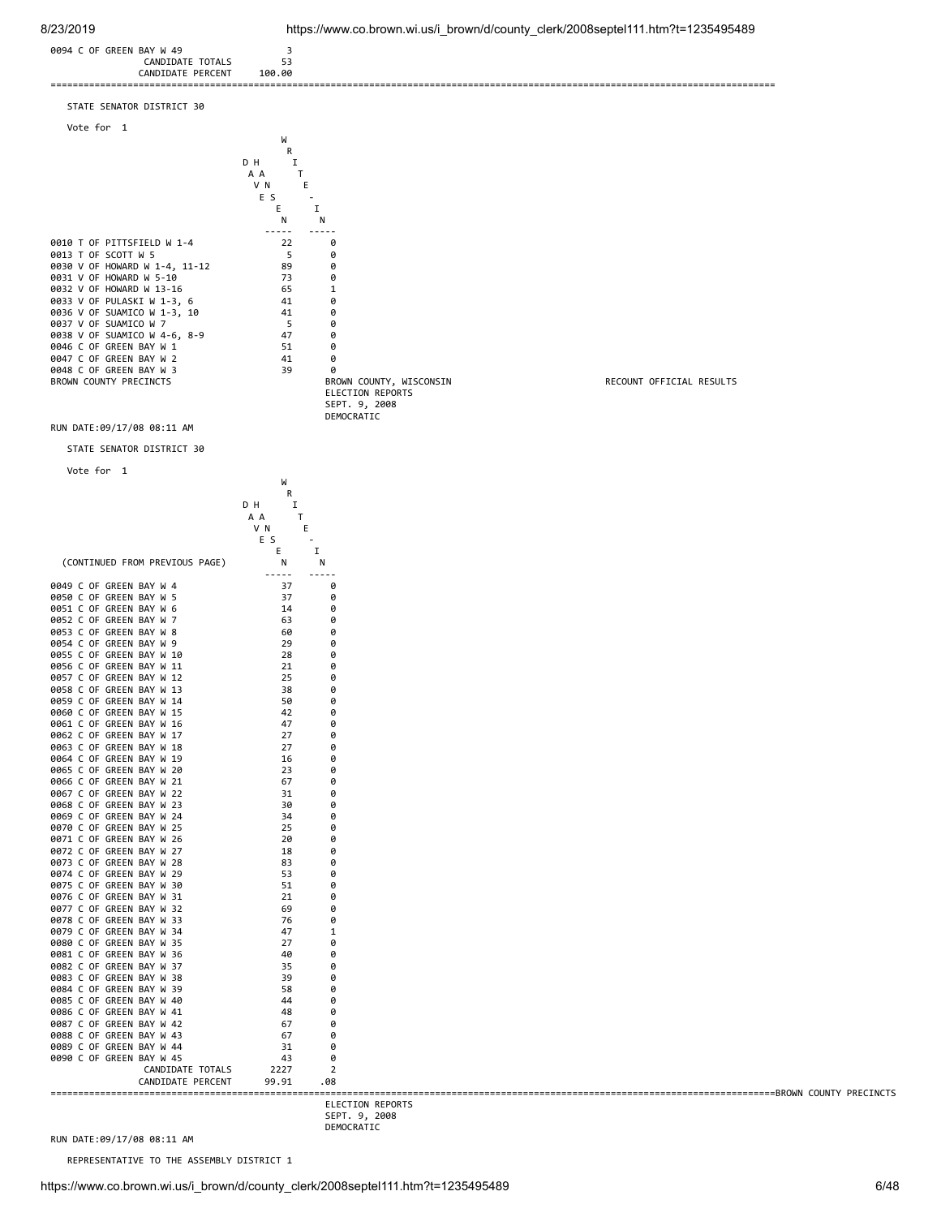

 SEPT. 9, 2008 DEMOCRATIC

RUN DATE:09/17/08 08:11 AM

REPRESENTATIVE TO THE ASSEMBLY DISTRICT 1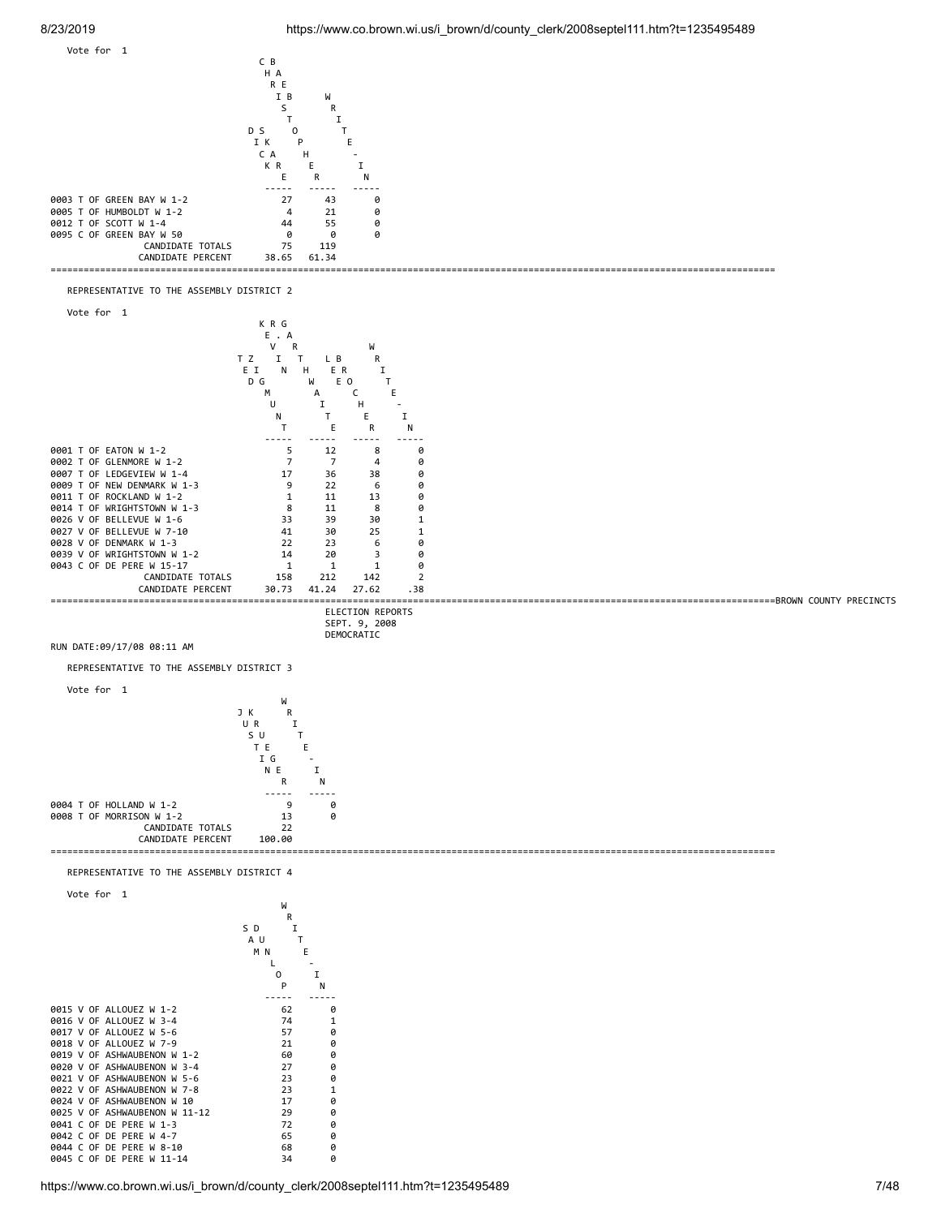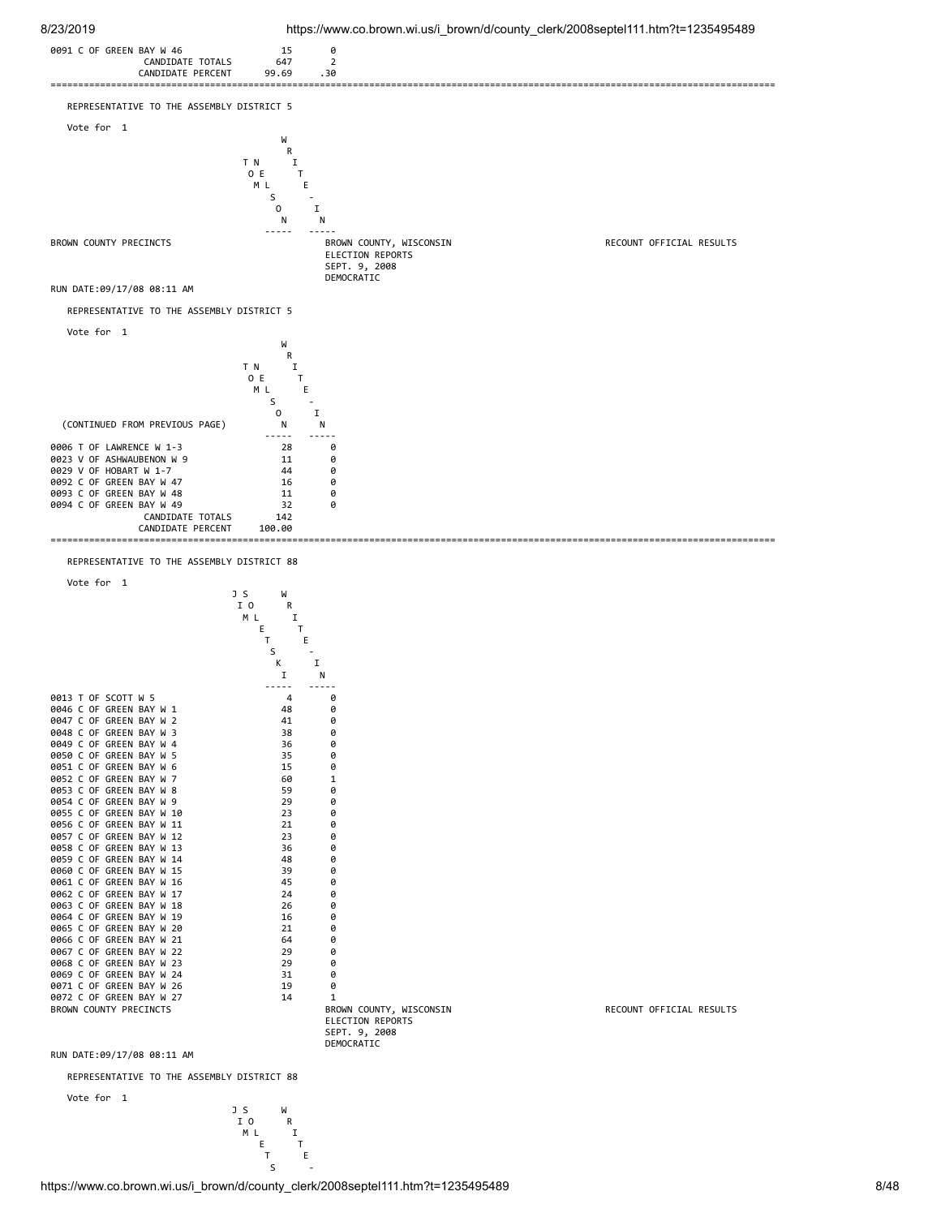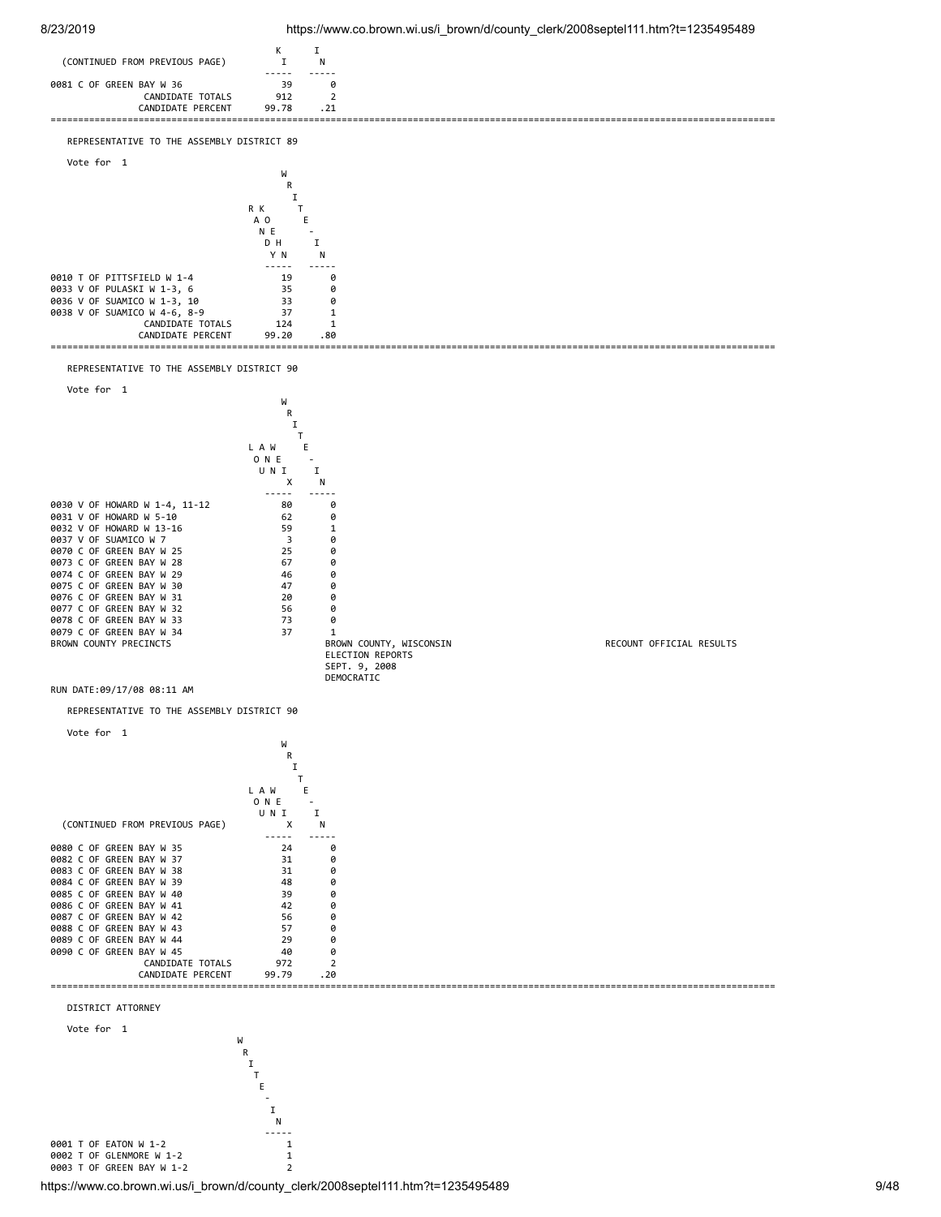

https://www.co.brown.wi.us/i\_brown/d/county\_clerk/2008septel111.htm?t=1235495489 9/48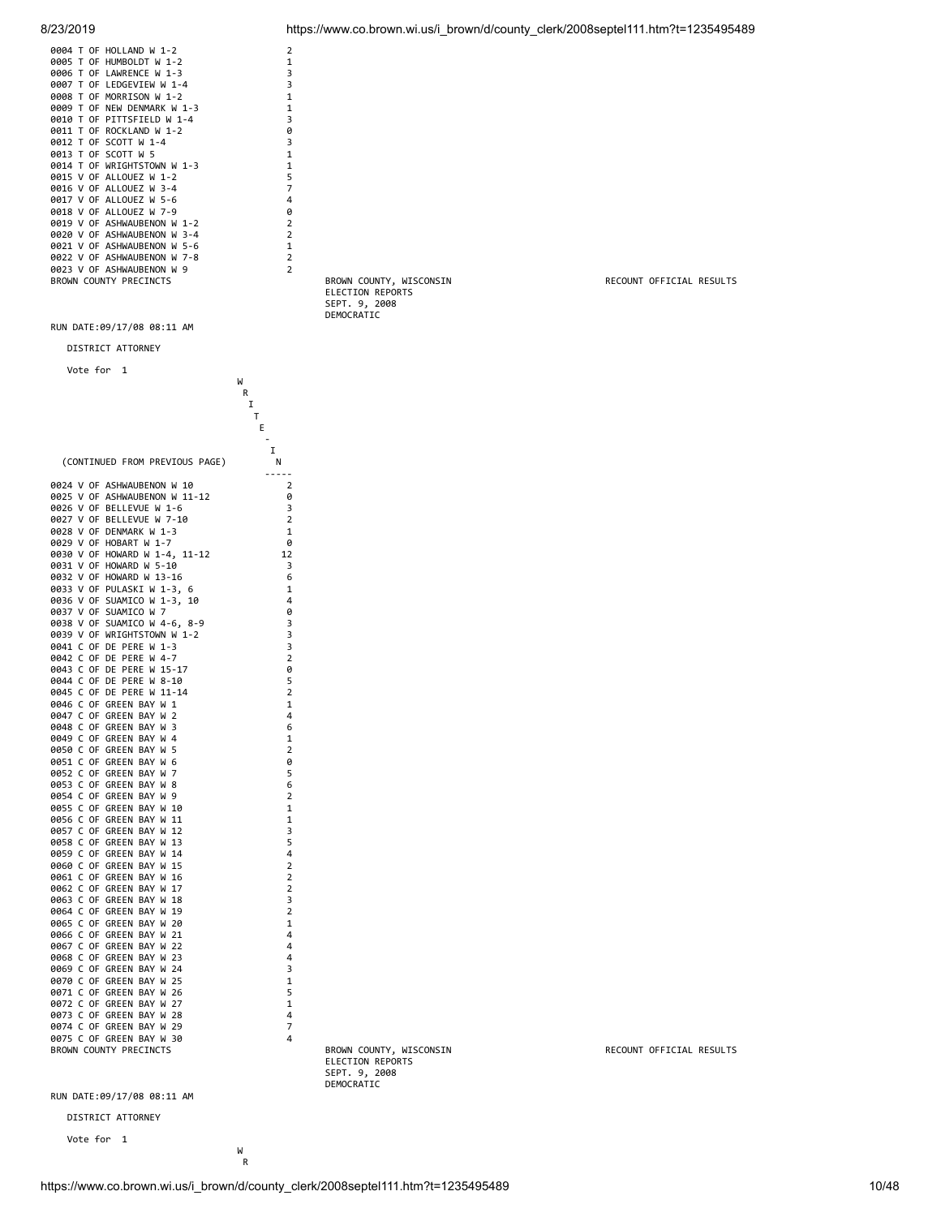

|             |      | 0004 T OF HOLLAND W 1-2            | 2              |
|-------------|------|------------------------------------|----------------|
| 0005 T OF   |      | HUMBOLDT W 1-2                     | 1              |
|             |      | 0006 T OF LAWRENCE W 1-3           | 3              |
| 9997        |      | T OF LEDGEVIEW W 1-4               | 3              |
| <b>AAAR</b> |      | T OF MORRTSON W 1-2                | 1              |
| 0009        | T OF | NEW DENMARK W 1-3                  | 1              |
| <b>9919</b> |      | T OF PITTSFIELD W 1-4              | 3              |
| 9911        |      | T OF ROCKLAND W 1-2                | 0              |
|             |      | 0012 T OF SCOTT W 1-4              | 3              |
|             |      | 0013 T OF SCOTT W 5                | $\mathbf{1}$   |
|             |      | 0014 T OF WRIGHTSTOWN W 1-3        | $\mathbf{1}$   |
|             |      | 0015 V OF ALLOUEZ W 1-2            | 5              |
|             |      | 0016 V OF ALLOUEZ W 3-4            | 7              |
|             |      | 0017 V OF ALLOUEZ W 5-6            | 4              |
|             |      | 0018 V OF ALLOUEZ W 7-9            | ø              |
|             |      | 0019 V OF ASHWAUBENON W 1-2        | $\overline{2}$ |
|             |      | 0020 V OF ASHWAUBENON W<br>$3 - 4$ | $\overline{2}$ |
|             |      | 0021 V OF ASHWAUBENON W<br>5-6     | 1              |
|             |      | 0022 V OF ASHWAUBENON W<br>$7 - 8$ | $\overline{2}$ |
|             |      | 0023 V OF ASHWAUBENON W<br>9       | $\overline{2}$ |
|             |      | BROWN COUNTY PRECINCTS             |                |
|             |      |                                    |                |

DISTRICT ATTORNEY

Vote for 1

|                                                             | W                   |                             |
|-------------------------------------------------------------|---------------------|-----------------------------|
|                                                             | R<br>I              |                             |
|                                                             | Τ                   |                             |
|                                                             | Ε                   |                             |
|                                                             | I                   |                             |
| (CONTINUED FROM PREVIOUS PAGE)                              | N                   |                             |
|                                                             | -----               |                             |
| 0024 V OF ASHWAUBENON W 10<br>0025 V OF ASHWAUBENON W 11-12 | $\overline{2}$<br>0 |                             |
| 0026 V OF BELLEVUE W 1-6                                    | 3                   |                             |
| 0027 V OF BELLEVUE W 7-10                                   | $\overline{2}$      |                             |
| 0028 V OF DENMARK W 1-3                                     | 1                   |                             |
| 0029 V OF HOBART W 1-7                                      | 0                   |                             |
| 0030 V OF HOWARD W 1-4, 11-12<br>0031 V OF HOWARD W 5-10    | 12<br>3             |                             |
| 0032 V OF HOWARD W 13-16                                    | 6                   |                             |
| 0033 V OF PULASKI W 1-3, 6                                  | 1                   |                             |
| 0036 V OF SUAMICO W 1-3, 10                                 | 4                   |                             |
| 0037 V OF SUAMICO W 7                                       | 0                   |                             |
| 0038 V OF SUAMICO W 4-6, 8-9                                | 3                   |                             |
| 0039 V OF WRIGHTSTOWN W 1-2                                 | 3                   |                             |
| 0041 C OF DE PERE W 1-3<br>0042 C OF DE PERE W 4-7          | 3<br>$\overline{2}$ |                             |
| 0043 C OF DE PERE W 15-17                                   | 0                   |                             |
| 0044 C OF DE PERE W 8-10                                    | 5                   |                             |
| 0045 C OF DE PERE W 11-14                                   | $\overline{2}$      |                             |
| 0046 C OF GREEN BAY W 1                                     | 1                   |                             |
| 0047 C OF GREEN BAY W 2                                     | 4                   |                             |
| 0048 C OF GREEN BAY W 3<br>0049 C OF GREEN BAY W 4          | 6<br>1              |                             |
| 0050 C OF GREEN BAY W 5                                     | $\overline{2}$      |                             |
| 0051 C OF GREEN BAY W 6                                     | 0                   |                             |
| 0052 C OF GREEN BAY W 7                                     | 5                   |                             |
| 0053 C OF GREEN BAY W 8                                     | 6                   |                             |
| 0054 C OF GREEN BAY W 9                                     | 2                   |                             |
| 0055 C OF GREEN BAY W 10<br>0056 C OF GREEN BAY W 11        | $\mathbf 1$<br>1    |                             |
| 0057 C OF GREEN BAY W 12                                    | 3                   |                             |
| 0058 C OF GREEN BAY W 13                                    | 5                   |                             |
| 0059 C OF GREEN BAY W 14                                    | 4                   |                             |
| 0060 C OF GREEN BAY W 15                                    | $\overline{2}$      |                             |
| 0061 C OF GREEN BAY W 16                                    | $\overline{2}$      |                             |
| 0062 C OF GREEN BAY W 17                                    | 2                   |                             |
| 0063 C OF GREEN BAY W 18<br>0064 C OF GREEN BAY W 19        | 3<br>$\overline{2}$ |                             |
| 0065 C OF GREEN BAY W 20                                    | 1                   |                             |
| 0066 C OF GREEN BAY W 21                                    | 4                   |                             |
| 0067 C OF GREEN BAY W 22                                    | 4                   |                             |
| 0068 C OF GREEN BAY W 23                                    | 4                   |                             |
| 0069 C OF GREEN BAY W 24                                    | 3                   |                             |
| 0070 C OF GREEN BAY W 25<br>0071 C OF GREEN BAY W 26        | $\mathbf{1}$<br>5   |                             |
| 0072 C OF GREEN BAY W 27                                    | $\mathbf 1$         |                             |
| 0073 C OF GREEN BAY W 28                                    | 4                   |                             |
| 0074 C OF GREEN BAY W 29                                    | 7                   |                             |
| 0075 C OF GREEN BAY W 30                                    | 4                   |                             |
| BROWN COUNTY PRECINCTS                                      |                     | BROWN COUNTY, WIS           |
|                                                             |                     | ELECTION REPORTS            |
|                                                             |                     | SEPT. 9, 2008<br>DEMOCRATIC |
|                                                             |                     |                             |

 ELECTION REPORTS SEPT. 9, 2008 DEMOCRATIC

RECOUNT OFFICIAL RESULTS

RECOUNT OFFICIAL RESULTS

RUN DATE:09/17/08 08:11 AM

DISTRICT ATTORNEY

 Vote for 1 W

**Representative Contract Contract Property**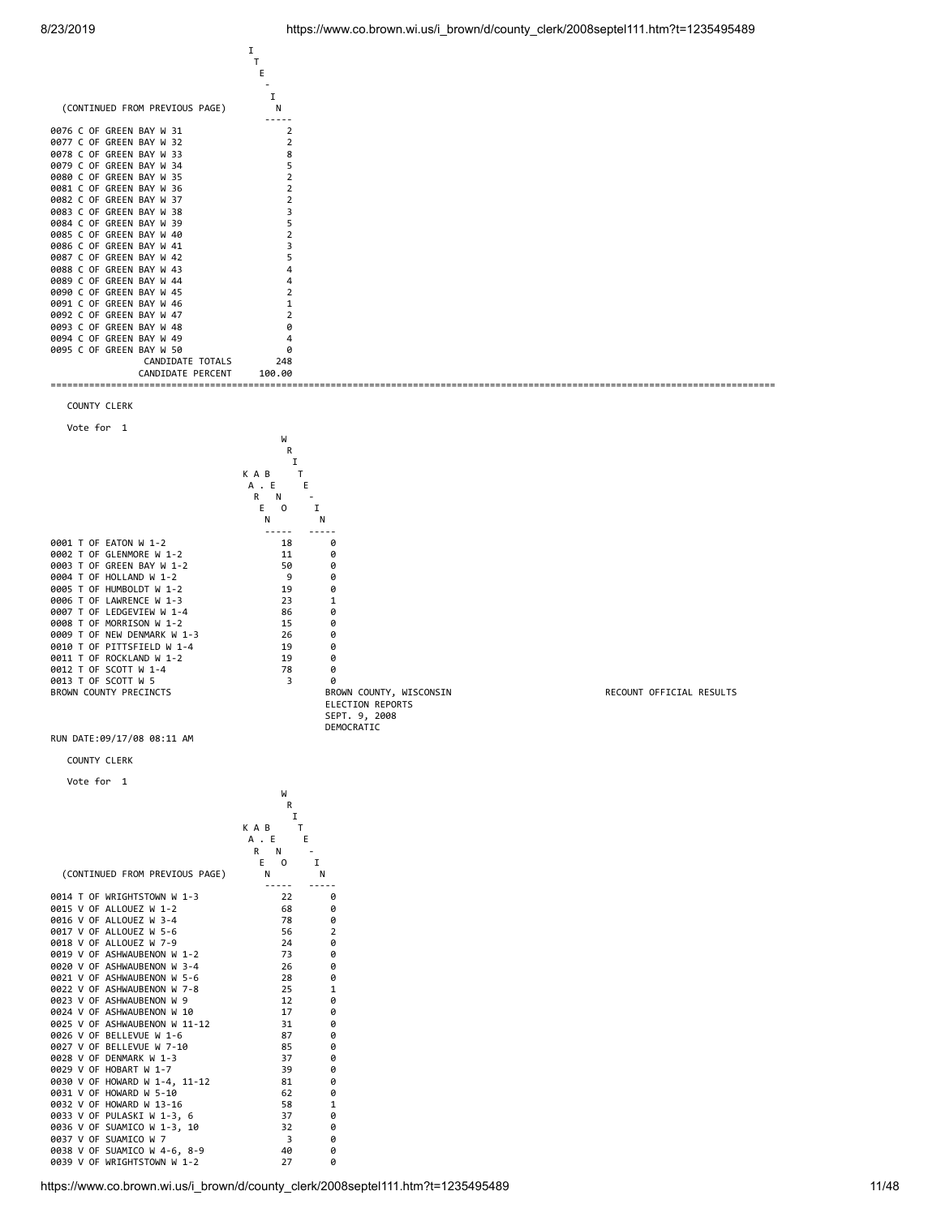| (CONTINUED FROM PREVIOUS PAGE) |                |
|--------------------------------|----------------|
|                                |                |
| 0076 C OF GREEN BAY W 31       | 2              |
| 0077 C OF GREEN BAY W 32       | $\overline{2}$ |
| 0078 C OF GREEN BAY W 33       | 8              |
| 0079 C OF GREEN BAY W 34       | 5              |
| 0080 C OF GREEN BAY W 35       |                |
| 0081 C OF GREEN BAY W 36       |                |
| 0082 C OF GREEN BAY W 37       |                |
| 0083 C OF GREEN BAY W 38       |                |
| 0084 C OF GREEN BAY W 39       | 5              |
| 0085 C OF GREEN BAY W 40       |                |
| 0086 C OF GREEN BAY W 41       |                |
| 0087 C OF GREEN BAY W 42       | 5              |
| 0088 C OF GREEN BAY W 43       |                |
| 0089 C OF GREEN BAY W 44       |                |
| 0090 C OF GREEN BAY W 45       |                |
| 0091 C OF GREEN BAY W 46       |                |
| 0092 C OF GREEN BAY W 47       |                |
| 0093 C OF GREEN BAY W 48       | ø              |
| 0094 C OF GREEN BAY W 49       |                |
| 0095 C OF GREEN BAY W 50       | ø              |
| CANDIDATE TOTALS               | 248            |
| CANDIDATE PERCENT              | 100.00         |
|                                |                |
|                                |                |

 $\mathbf{I}$  is a set of the set of the set of  $\mathbf{I}$ 





RUN DATE:09/17/08 08:11 AM

COUNTY CLERK

Vote for 1

|                                | W                       |                |
|--------------------------------|-------------------------|----------------|
|                                | R                       |                |
|                                | I                       |                |
|                                | K A B<br>т              |                |
|                                | A.E<br>E                |                |
|                                | N<br>R                  |                |
|                                | E<br>$\Omega$<br>I      |                |
| (CONTINUED FROM PREVIOUS PAGE) | N<br>N                  |                |
| 0014 T OF WRIGHTSTOWN W 1-3    | 22                      | ø              |
| 0015 V OF ALLOUEZ W 1-2        | 68                      | 0              |
| 0016 V OF ALLOUEZ W 3-4        | 78                      | 0              |
| 0017 V OF ALLOUEZ W 5-6        | 56                      | $\overline{2}$ |
| 0018 V OF ALLOUEZ W 7-9        | 24                      | 0              |
| 0019 V OF ASHWAUBENON W 1-2    | 73                      | 0              |
| 0020 V OF ASHWAUBENON W 3-4    | 26                      | 0              |
| 0021 V OF ASHWAUBENON W 5-6    | 28                      | 0              |
| 0022 V OF ASHWAUBENON W 7-8    | 25                      | 1              |
| 0023 V OF ASHWAUBENON W 9      | 12                      | 0              |
| 0024 V OF ASHWAUBENON W 10     | 17                      | 0              |
| 0025 V OF ASHWAUBENON W 11-12  | 31                      | 0              |
| 0026 V OF BELLEVUE W 1-6       | 87                      | 0              |
| 0027 V OF BELLEVUE W 7-10      | 85                      | 0              |
| 0028 V OF DENMARK W 1-3        | 37                      | 0              |
| 0029 V OF HOBART W 1-7         | 39                      | 0              |
| 0030 V OF HOWARD W 1-4, 11-12  | 81                      | 0              |
| 0031 V OF HOWARD W 5-10        | 62                      | 0              |
| 0032 V OF HOWARD W 13-16       | 58                      | $\mathbf{1}$   |
| 0033 V OF PULASKI W 1-3, 6     | 37                      | 0              |
| 0036 V OF SUAMICO W 1-3, 10    | 32                      | 0              |
| 0037 V OF SUAMICO W 7          | $\overline{\mathbf{3}}$ | 0              |
| 0038 V OF SUAMICO W 4-6, 8-9   | 40                      | 0              |
| 0039 V OF WRIGHTSTOWN W 1-2    | 27                      | ø              |

RECOUNT OFFICIAL RESULTS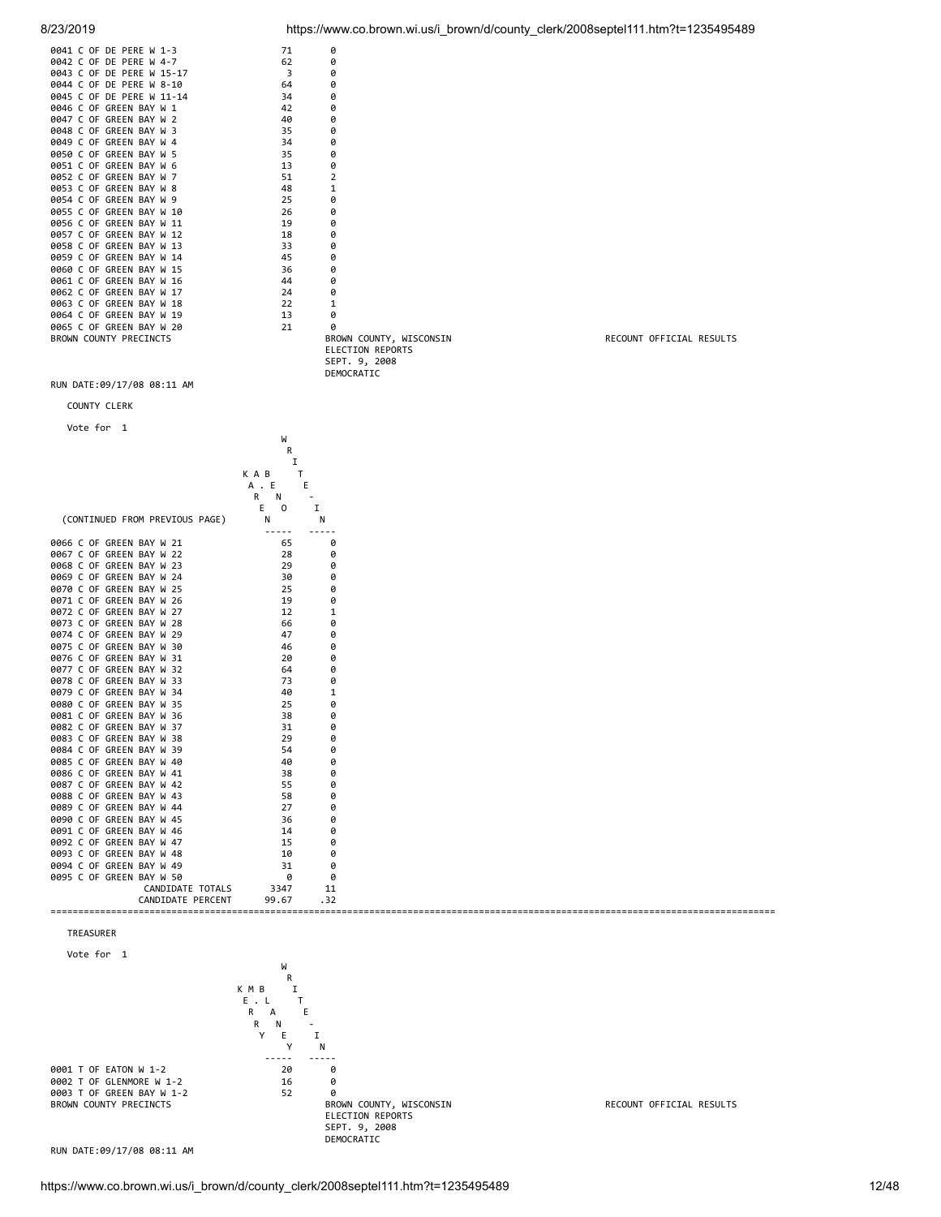| 0041 C OF DE PERE W 1-3   | 71 | ø                                                  |                          |
|---------------------------|----|----------------------------------------------------|--------------------------|
| 0042 C OF DE PERE W 4-7   | 62 | 0                                                  |                          |
| 0043 C OF DE PERE W 15-17 | 3  | 0                                                  |                          |
| 0044 C OF DE PERE W 8-10  | 64 | 0                                                  |                          |
| 0045 C OF DE PERE W 11-14 | 34 | 0                                                  |                          |
| 0046 C OF GREEN BAY W 1   | 42 | 0                                                  |                          |
| 0047 C OF GREEN BAY W 2   | 40 | 0                                                  |                          |
| 0048 C OF GREEN BAY W 3   | 35 | 0                                                  |                          |
| 0049 C OF GREEN BAY W 4   | 34 | 0                                                  |                          |
| 0050 C OF GREEN BAY W 5   | 35 | 0                                                  |                          |
| 0051 C OF GREEN BAY W 6   | 13 | 0                                                  |                          |
| 0052 C OF GREEN BAY W 7   | 51 | 2                                                  |                          |
| 0053 C OF GREEN BAY W 8   | 48 |                                                    |                          |
| 0054 C OF GREEN BAY W 9   | 25 | ø                                                  |                          |
| 0055 C OF GREEN BAY W 10  | 26 | 0                                                  |                          |
| 0056 C OF GREEN BAY W 11  | 19 | 0                                                  |                          |
| 0057 C OF GREEN BAY W 12  | 18 | 0                                                  |                          |
| 0058 C OF GREEN BAY W 13  | 33 | 0                                                  |                          |
| 0059 C OF GREEN BAY W 14  | 45 | 0                                                  |                          |
| 0060 C OF GREEN BAY W 15  | 36 | 0                                                  |                          |
| 0061 C OF GREEN BAY W 16  | 44 | 0                                                  |                          |
| 0062 C OF GREEN BAY W 17  | 24 | 0                                                  |                          |
| 0063 C OF GREEN BAY W 18  | 22 |                                                    |                          |
| 0064 C OF GREEN BAY W 19  | 13 | 0                                                  |                          |
| 0065 C OF GREEN BAY W 20  | 21 | 0                                                  |                          |
| BROWN COUNTY PRECINCTS    |    | BROWN COUNTY, WISCONSIN<br><b>ELECTION REPORTS</b> | RECOUNT OFFICIAL RESULTS |

8/23/2019 https://www.co.brown.wi.us/i\_brown/d/county\_clerk/2008septel111.htm?t=1235495489

RUN DATE:09/17/08 08:11 AM





 SEPT. 9, 2008 DEMOCRATIC

0002 T OF GLENMORE W 1-2 16 0<br>0002 T OF GREEN BAY W 1-2 52 0 0003 T OF GREEN BAY W 1-2 52 0

ELECTION REPORTS SEPT. 9, 2008 DEMOCRATIC

RECOUNT OFFICIAL RESULTS

RUN DATE:09/17/08 08:11 AM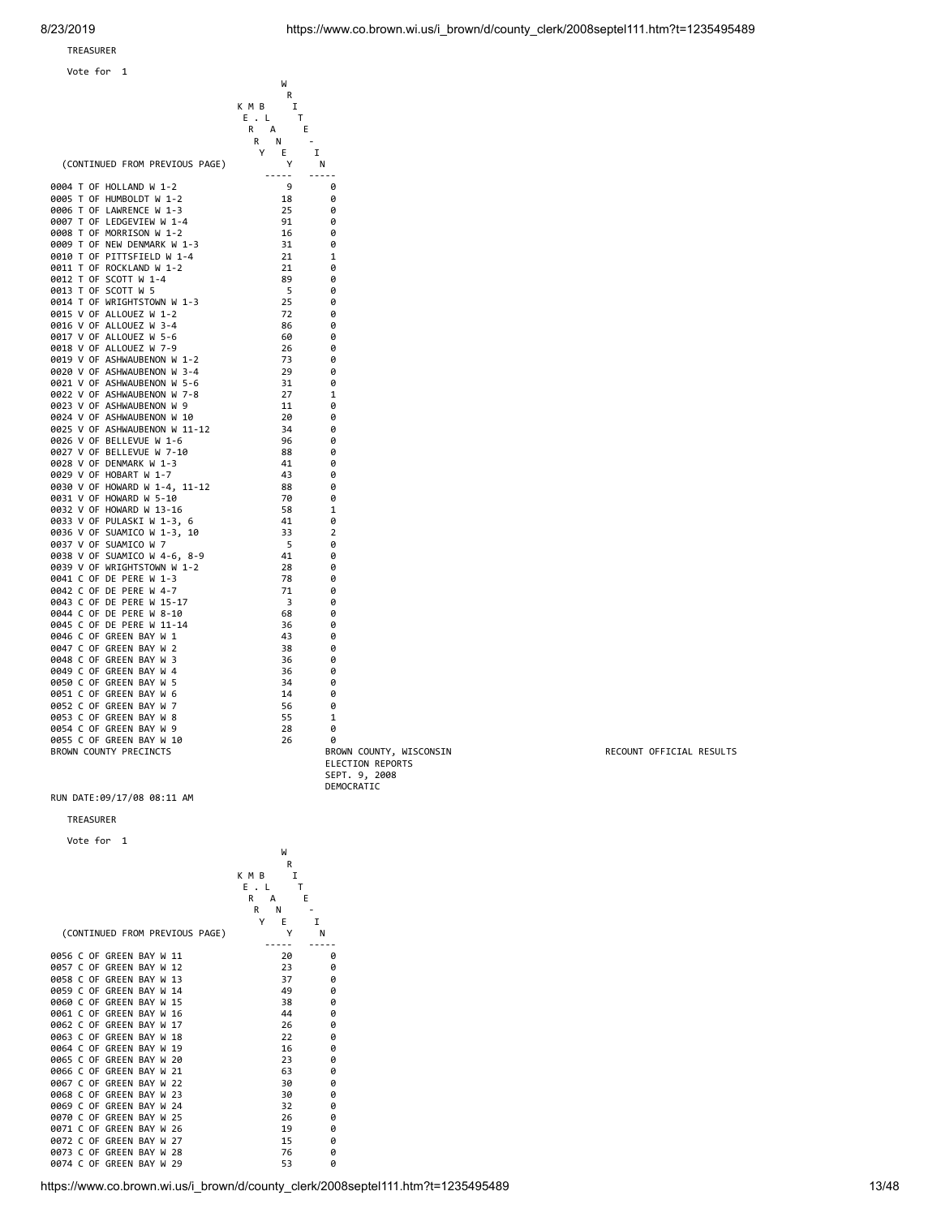Vote for 1

|                                | W                        |                         |
|--------------------------------|--------------------------|-------------------------|
|                                | R                        |                         |
|                                | K M B<br>I               |                         |
|                                | $E$ , $L$<br>Т           |                         |
|                                | E<br>R<br>A              |                         |
|                                | N<br>R                   | $\sim$                  |
|                                | Y<br>E                   | $\mathbf I$             |
| (CONTINUED FROM PREVIOUS PAGE) | Υ                        | N                       |
|                                | $- - - - -$              | $- - - - -$             |
| 0004 T OF HOLLAND W 1-2        | 9                        | ø                       |
| 0005 T OF HUMBOLDT W 1-2       | 18                       | 0                       |
| 0006 T OF LAWRENCE W 1-3       | 25                       | 0                       |
| 0007 T OF LEDGEVIEW W 1-4      | 91                       | ø                       |
| 0008 T OF MORRISON W 1-2       | 16                       | 0                       |
| 0009 T OF NEW DENMARK W 1-3    | 31                       | 0                       |
|                                |                          |                         |
| 0010 T OF PITTSFIELD W 1-4     | 21                       | 1                       |
| 0011 T OF ROCKLAND W 1-2       | 21                       | 0                       |
| 0012 T OF SCOTT W 1-4          | 89                       | 0                       |
| 0013 T OF SCOTT W 5            | - 5                      | 0                       |
| 0014 T OF WRIGHTSTOWN W 1-3    | 25                       | 0                       |
| 0015 V OF ALLOUEZ W 1-2        | 72                       | 0                       |
| 0016 V OF ALLOUEZ W 3-4        | 86                       | 0                       |
| 0017 V OF ALLOUEZ W 5-6        | 60                       | ø                       |
| 0018 V OF ALLOUEZ W 7-9        | 26                       | 0                       |
| 0019 V OF ASHWAUBENON W 1-2    | 73                       | 0                       |
|                                |                          |                         |
| 0020 V OF ASHWAUBENON W 3-4    | 29                       | 0                       |
| 0021 V OF ASHWAUBENON W 5-6    | 31                       | ø                       |
| 0022 V OF ASHWAUBENON W 7-8    | 27                       | 1                       |
| 0023 V OF ASHWAUBENON W 9      | 11                       | 0                       |
| 0024 V OF ASHWAUBENON W 10     | 20                       | 0                       |
| 0025 V OF ASHWAUBENON W 11-12  | 34                       | 0                       |
| 0026 V OF BELLEVUE W 1-6       | 96                       | 0                       |
| 0027 V OF BELLEVUE W 7-10      | 88                       | 0                       |
| 0028 V OF DENMARK W 1-3        | 41                       | 0                       |
|                                | 43                       |                         |
| 0029 V OF HOBART W 1-7         |                          | 0                       |
| 0030 V OF HOWARD W 1-4, 11-12  | 88                       | 0                       |
| 0031 V OF HOWARD W 5-10        | 70                       | 0                       |
| 0032 V OF HOWARD W 13-16       | 58                       | 1                       |
| 0033 V OF PULASKI W 1-3, 6     | 41                       | 0                       |
| 0036 V OF SUAMICO W 1-3, 10    | 33                       | $\overline{2}$          |
| 0037 V OF SUAMICO W 7          | $\overline{\phantom{0}}$ | 0                       |
| 0038 V OF SUAMICO W 4-6, 8-9   | 41                       | 0                       |
| 0039 V OF WRIGHTSTOWN W 1-2    | 28                       | 0                       |
|                                |                          |                         |
| 0041 C OF DE PERE W 1-3        | 78                       | 0                       |
| 0042 C OF DE PERE W 4-7        | - 71                     | 0                       |
| 0043 C OF DE PERE W 15-17      | $\overline{\mathbf{3}}$  | 0                       |
| 0044 C OF DE PERE W 8-10       | 68                       | 0                       |
| 0045 C OF DE PERE W 11-14      | 36                       | 0                       |
| 0046 C OF GREEN BAY W 1        | 43                       | 0                       |
| 0047 C OF GREEN BAY W 2        | 38                       | 0                       |
| 0048 C OF GREEN BAY W 3        | 36                       | ø                       |
|                                |                          |                         |
| 0049 C OF GREEN BAY W 4        | 36                       | 0                       |
| 0050 C OF GREEN BAY W 5        | 34                       | ø                       |
| 0051 C OF GREEN BAY W 6        | 14                       | ø                       |
| 0052 C OF GREEN BAY W 7        | 56                       | 0                       |
| 0053 C OF GREEN BAY W 8        | 55                       | 1                       |
| 0054 C OF GREEN BAY W 9        | 28                       | 0                       |
| 0055 C OF GREEN BAY W 10       | 26                       | 0                       |
| BROWN COUNTY PRECINCTS         |                          |                         |
|                                |                          | BROWN COUNTY, WISCONSIN |
|                                |                          | <b>ELECTION REPORTS</b> |
|                                |                          | SEPT. 9, 2008           |

DEMOCRATIC RUN DATE:09/17/08 08:11 AM

### TREASURER

Vote for 1



https://www.co.brown.wi.us/i\_brown/d/county\_clerk/2008septel111.htm?t=1235495489 13/48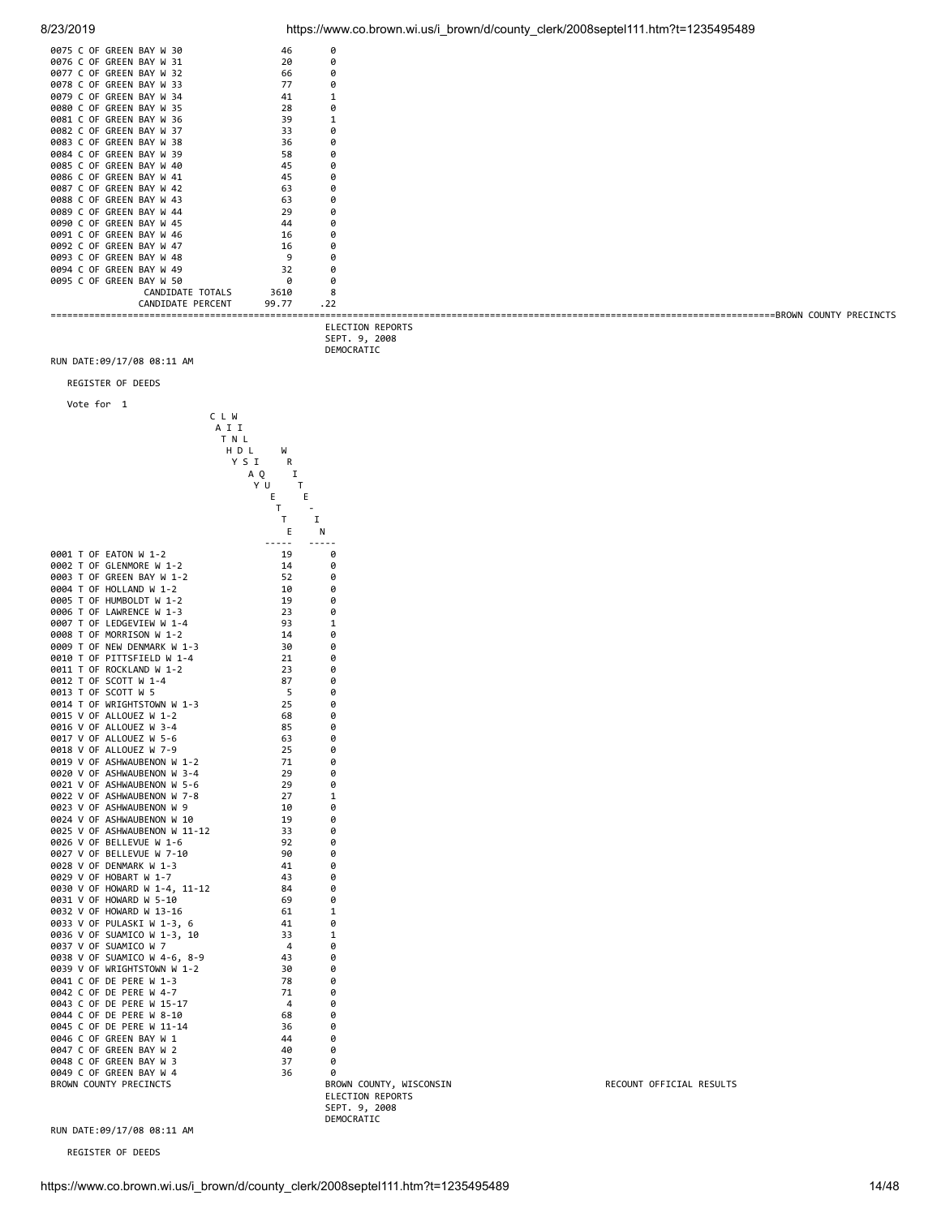| 0075 C OF GREEN BAY W 30 | 46    | ø   |  |
|--------------------------|-------|-----|--|
| 0076 C OF GREEN BAY W 31 | 20    | ø   |  |
| 0077 C OF GREEN BAY W 32 | 66    | ø   |  |
| 0078 C OF GREEN BAY W 33 | 77    | ø   |  |
| 0079 C OF GREEN BAY W 34 | 41    |     |  |
| 0080 C OF GREEN BAY W 35 | 28    | p   |  |
| 0081 C OF GREEN BAY W 36 | 39    |     |  |
| 0082 C OF GREEN BAY W 37 | 33    | ø   |  |
| 0083 C OF GREEN BAY W 38 | 36    | ø   |  |
| 0084 C OF GREEN BAY W 39 | 58    | ø   |  |
| 0085 C OF GREEN BAY W 40 | 45    | ø   |  |
| 0086 C OF GREEN BAY W 41 | 45    | ø   |  |
| 0087 C OF GREEN BAY W 42 | 63    | ø   |  |
| 0088 C OF GREEN BAY W 43 | 63    | ø   |  |
| 0089 C OF GREEN BAY W 44 | 29    | ø   |  |
| 0090 C OF GREEN BAY W 45 | 44    | ø   |  |
| 0091 C OF GREEN BAY W 46 | 16    | ø   |  |
| 0092 C OF GREEN BAY W 47 | 16    | ø   |  |
| 0093 C OF GREEN BAY W 48 |       | ø   |  |
| 0094 C OF GREEN BAY W 49 | 32    | ø   |  |
| 0095 C OF GREEN BAY W 50 |       | ø   |  |
| CANDIDATE TOTALS         | 3610  | 8   |  |
| CANDIDATE PERCENT        | 99.77 | .22 |  |
|                          |       |     |  |

 ELECTION REPORTS SEPT. 9, 2008 DEMOCRATIC

RUN DATE:09/17/08 08:11 AM

REGISTER OF DEEDS

Vote for 1



 ELECTION REPORTS SEPT. 9, 2008 DEMOCRATIC

RECOUNT OFFICIAL RESULTS

RUN DATE:09/17/08 08:11 AM

REGISTER OF DEEDS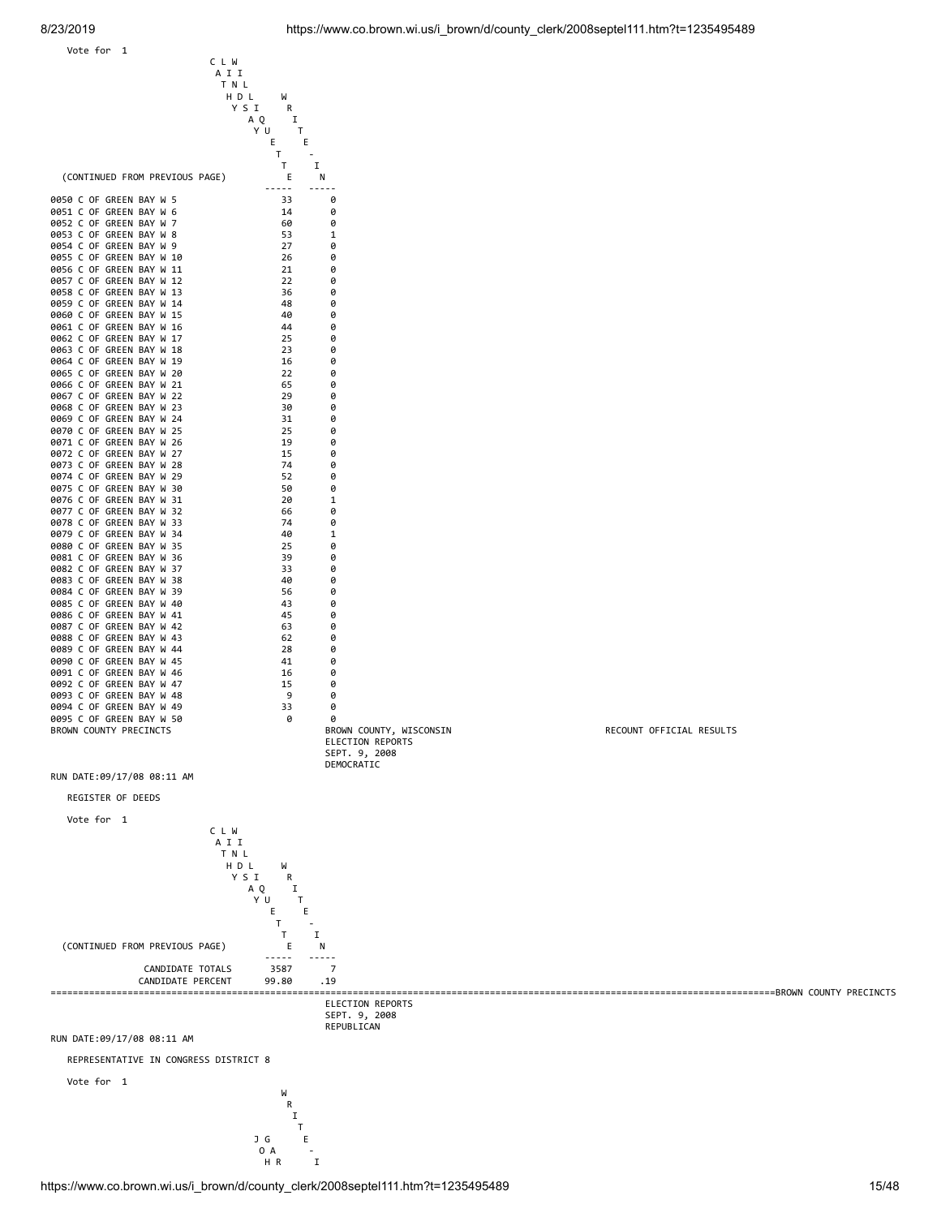Vote for 1

C L W

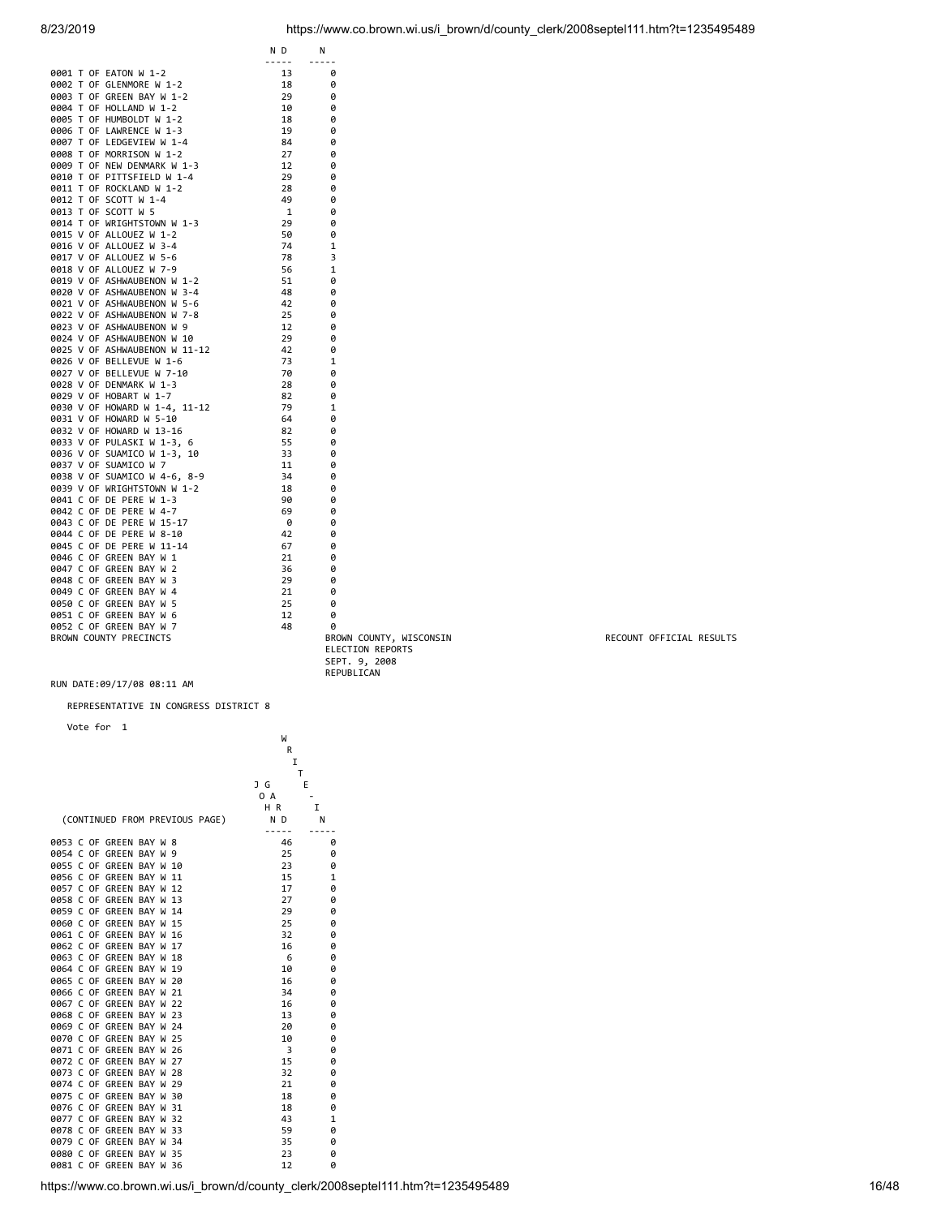|  |                               | N D          | Ν          |
|--|-------------------------------|--------------|------------|
|  | 0001 T OF EATON W 1-2         | -----<br>13  | 0          |
|  | 0002 T OF GLENMORE W 1-2      |              | 0          |
|  | 0003 T OF GREEN BAY W 1-2     | 18           |            |
|  |                               | 29           | 0          |
|  | 0004 T OF HOLLAND W 1-2       | 10           | 0          |
|  | 0005 T OF HUMBOLDT W 1-2      | 18           | 0          |
|  | 0006 T OF LAWRENCE W 1-3      | 19           | 0          |
|  | 0007 T OF LEDGEVIEW W 1-4     | 84           | 0          |
|  | 0008 T OF MORRISON W 1-2      | 27           | 0          |
|  | 0009 T OF NEW DENMARK W 1-3   | 12           | 0          |
|  | 0010 T OF PITTSFIELD W 1-4    | 29           | 0          |
|  | 0011 T OF ROCKLAND W 1-2      | 28           | 0          |
|  | 0012 T OF SCOTT W 1-4         | 49           | 0          |
|  | 0013 T OF SCOTT W 5           | $\mathbf{1}$ | 0          |
|  | 0014 T OF WRIGHTSTOWN W 1-3   | 29           | 0          |
|  | 0015 V OF ALLOUEZ W 1-2       | 50           | 0          |
|  | 0016 V OF ALLOUEZ W 3-4       | 74           | 1          |
|  | 0017 V OF ALLOUEZ W 5-6       | 78           | 3          |
|  | 0018 V OF ALLOUEZ W 7-9       | 56           | 1          |
|  | 0019 V OF ASHWAUBENON W 1-2   | 51           | 0          |
|  | 0020 V OF ASHWAUBENON W 3-4   | 48           | 0          |
|  | 0021 V OF ASHWAUBENON W 5-6   | 42           | 0          |
|  | 0022 V OF ASHWAUBENON W 7-8   | 25           | 0          |
|  | 0023 V OF ASHWAUBENON W 9     | 12           | 0          |
|  | 0024 V OF ASHWAUBENON W 10    | 29           | 0          |
|  | 0025 V OF ASHWAUBENON W 11-12 | 42           | 0          |
|  | 0026 V OF BELLEVUE W 1-6      | 73           | 1          |
|  | 0027 V OF BELLEVUE W 7-10     | 70           | 0          |
|  | 0028 V OF DENMARK W 1-3       | 28           | 0          |
|  | 0029 V OF HOBART W 1-7        | 82           | 0          |
|  | 0030 V OF HOWARD W 1-4, 11-12 | 79           | 1          |
|  | 0031 V OF HOWARD W 5-10       | 64           | 0          |
|  | 0032 V OF HOWARD W 13-16      | 82           | 0          |
|  | 0033 V OF PULASKI W 1-3, 6    | 55           | 0          |
|  | 0036 V OF SUAMICO W 1-3, 10   | 33           | 0          |
|  | 0037 V OF SUAMICO W 7         | 11           | 0          |
|  | 0038 V OF SUAMICO W 4-6, 8-9  | 34           | 0          |
|  | 0039 V OF WRIGHTSTOWN W 1-2   | 18           | 0          |
|  | 0041 C OF DE PERE W 1-3       | 90           | 0          |
|  | 0042 C OF DE PERE W 4-7       | 69           | 0          |
|  | 0043 C OF DE PERE W 15-17     | 0            | 0          |
|  | 0044 C OF DE PERE W 8-10      | 42           | 0          |
|  | 0045 C OF DE PERE W 11-14     | 67           | 0          |
|  | 0046 C OF GREEN BAY W 1       | 21           | 0          |
|  | 0047 C OF GREEN BAY W 2       | 36           | 0          |
|  | 0048 C OF GREEN BAY W 3       | 29           | 0          |
|  | 0049 C OF GREEN BAY W 4       | 21           | 0          |
|  | 0050 C OF GREEN BAY W 5       | 25           | 0          |
|  | 0051 C OF GREEN BAY W 6       | 12           | 0          |
|  | 0052 C OF GREEN BAY W 7       | 48           | 0          |
|  | BROWN COUNTY PRECINCTS        |              | <b>BRO</b> |
|  |                               |              |            |

REPRESENTATIVE IN CONGRESS DISTRICT 8

```
 Vote for 1
```

|                  |              | vole Tor | Ŧ                              |       |        |          |  | W       |              |
|------------------|--------------|----------|--------------------------------|-------|--------|----------|--|---------|--------------|
|                  |              |          |                                |       |        |          |  | R<br>I  |              |
|                  |              |          |                                |       |        |          |  | T       |              |
|                  |              |          |                                |       |        |          |  | J G     | E            |
|                  |              |          |                                |       |        |          |  | 0 A     |              |
|                  |              |          |                                |       |        |          |  | HR      | I            |
|                  |              |          | (CONTINUED FROM PREVIOUS PAGE) |       |        |          |  | N D     | N            |
|                  |              |          | 0053 C OF GREEN BAY W          |       |        | 8        |  | 46      | 0            |
| 0054 C           |              | 0F       | <b>GREEN BAY</b>               |       | W      | 9        |  | 25      | 0            |
| 0055 C           |              | 0F       | GREEN                          | BAY   | W      | 10       |  | 23      | 0            |
| 0056 C           |              | 0F       | <b>GREEN BAY W</b>             |       |        | 11       |  | 15      | 1            |
| 0057             | $\mathsf{C}$ | 0F       | <b>GREEN BAY W</b>             |       |        | 12       |  | 17      | 0            |
| 0058             | $\mathsf{C}$ | 0F       | <b>GREEN BAY</b>               |       | W      | 13       |  | 27      | 0            |
| 0059 C           |              | 0F       | GREEN BAY                      |       | W      | 14       |  | 29      | 0            |
| 0060 C           |              |          | OF GREEN BAY W                 |       |        | 15       |  | 25      | 0            |
| 0061 C           |              | 0F       | GREEN BAY                      |       | W      | 16       |  | 32      | 0            |
| 0062 C<br>0063 C |              |          | OF GREEN BAY                   |       | W      | 17<br>18 |  | 16      | 0            |
| 0064 C           |              |          | OF GREEN BAY<br>OF GREEN BAY   |       | W<br>W | 19       |  | 6<br>10 | 0<br>0       |
| 0065 C           |              |          | OF GREEN BAY                   |       | W      | 20       |  | 16      | 0            |
|                  |              |          | 0066 C OF GREEN BAY            |       | W      | 21       |  | 34      | 0            |
| 0067 C           |              |          | OF GREEN BAY W                 |       |        | 22       |  | 16      | 0            |
| 0068 C           |              |          | OF GREEN                       | BAY W |        | 23       |  | 13      | 0            |
|                  |              |          | 0069 C OF GREEN BAY W          |       |        | 24       |  | 20      | 0            |
|                  |              |          | 0070 C OF GREEN BAY W          |       |        | 25       |  | 10      | 0            |
| 0071 C OF        |              |          | <b>GREEN BAY W</b>             |       |        | 26       |  | 3       | 0            |
| 0072 C OF        |              |          | <b>GREEN BAY</b>               |       | W      | 27       |  | 15      | 0            |
| 0073 C           |              | 0F       | <b>GREEN BAY</b>               |       | W      | 28       |  | 32      | 0            |
| 0074 C           |              | 0F       | <b>GREEN BAY W</b>             |       |        | 29       |  | 21      | 0            |
| 0075             | $\mathsf{C}$ | 0F       | <b>GREEN BAY W</b>             |       |        | 30       |  | 18      | 0            |
| 0076             | $\mathsf{C}$ | 0F       | GREEN BAY W                    |       |        | 31       |  | 18      | 0            |
| 0077             | C            | 0F       | <b>GREEN BAY W</b>             |       |        | 32       |  | 43      | $\mathbf{1}$ |
| 0078 C           |              | 0F       | <b>GREEN BAY</b>               |       | W      | 33       |  | 59      | 0            |
| 0079 C           |              | 0F       | GREEN BAY W                    |       |        | 34       |  | 35      | 0            |
| 0080 C           |              | 0F       | <b>GREEN BAY W</b>             |       |        | 35       |  | 23      | 0            |
| 0081             | $\mathsf{C}$ | 0F       | <b>GREEN BAY</b>               |       | W      | 36       |  | 12      | 0            |

BROWN COUNTY PRECINCTS BROWN COUNTY, WISCONSIN RECOUNT OFFICIAL RESULTS ELECTION REPORTS SEPT. 9, 2008 REPUBLICAN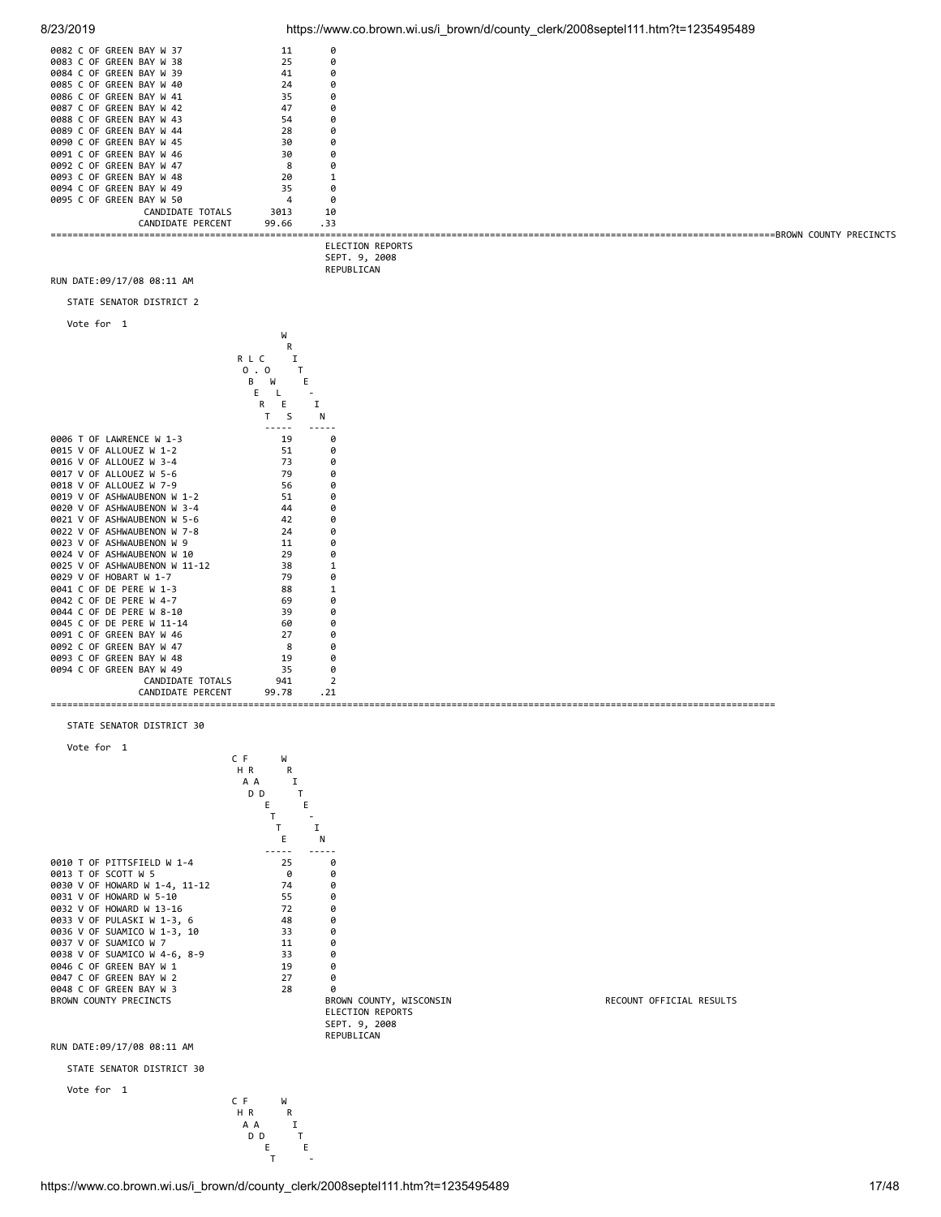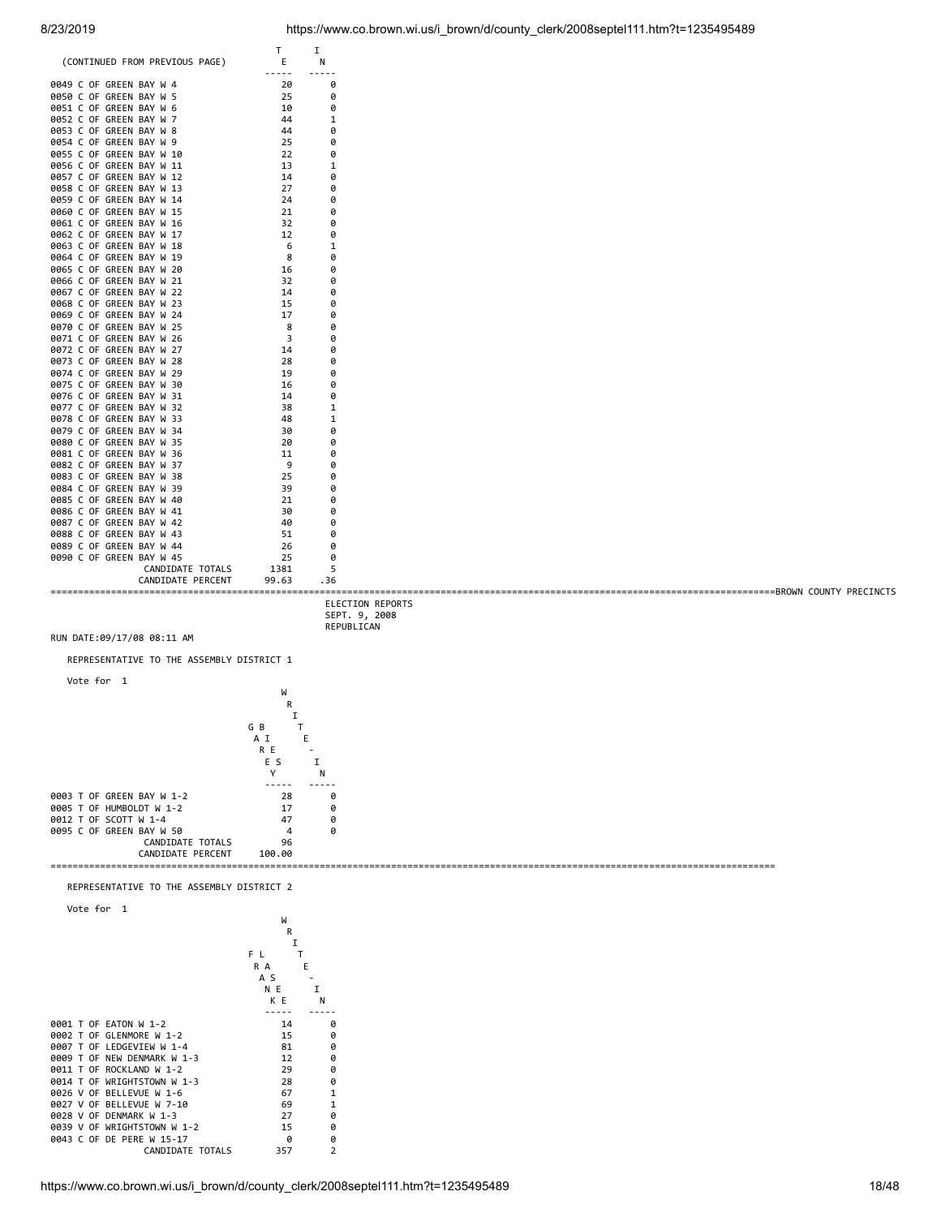

0039 V OF WRIGHTSTOWN W 1-2 15 0<br>0043 C OF DE PERE W 15-17 0 0 0043 C OF DE PERE W 15-17 0 0 0<br>CANDIDATE TOTALS 357 2 CANDIDATE TOTALS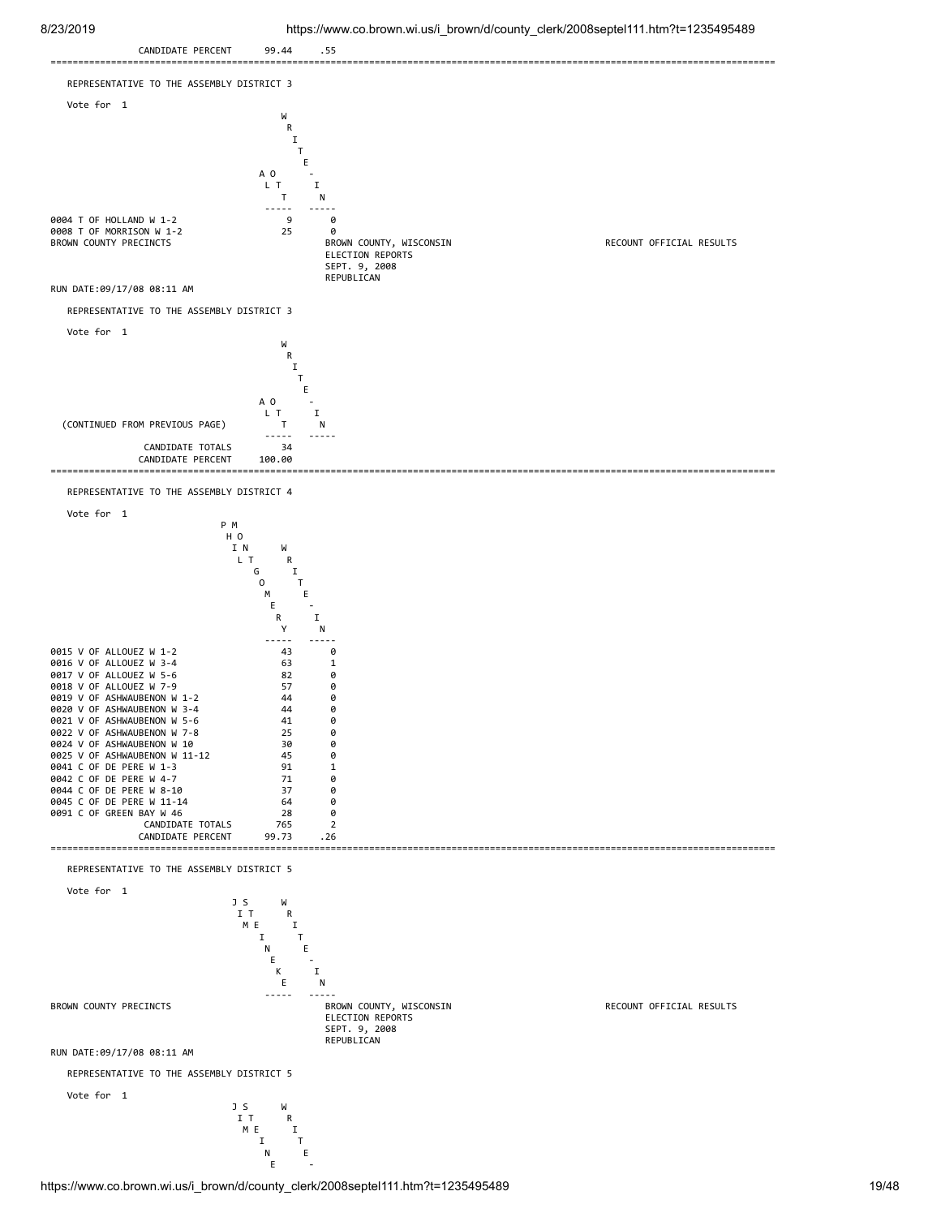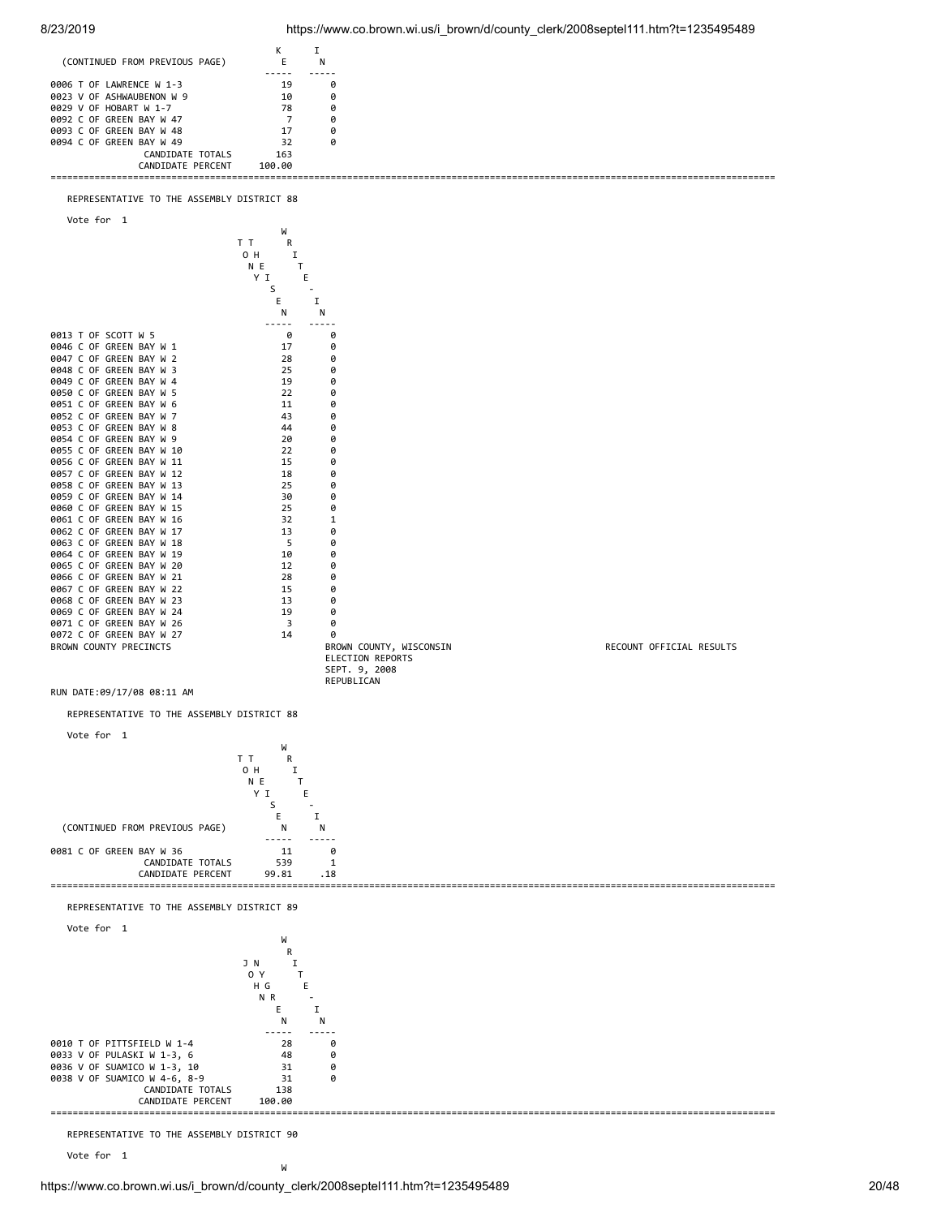



Vote for 1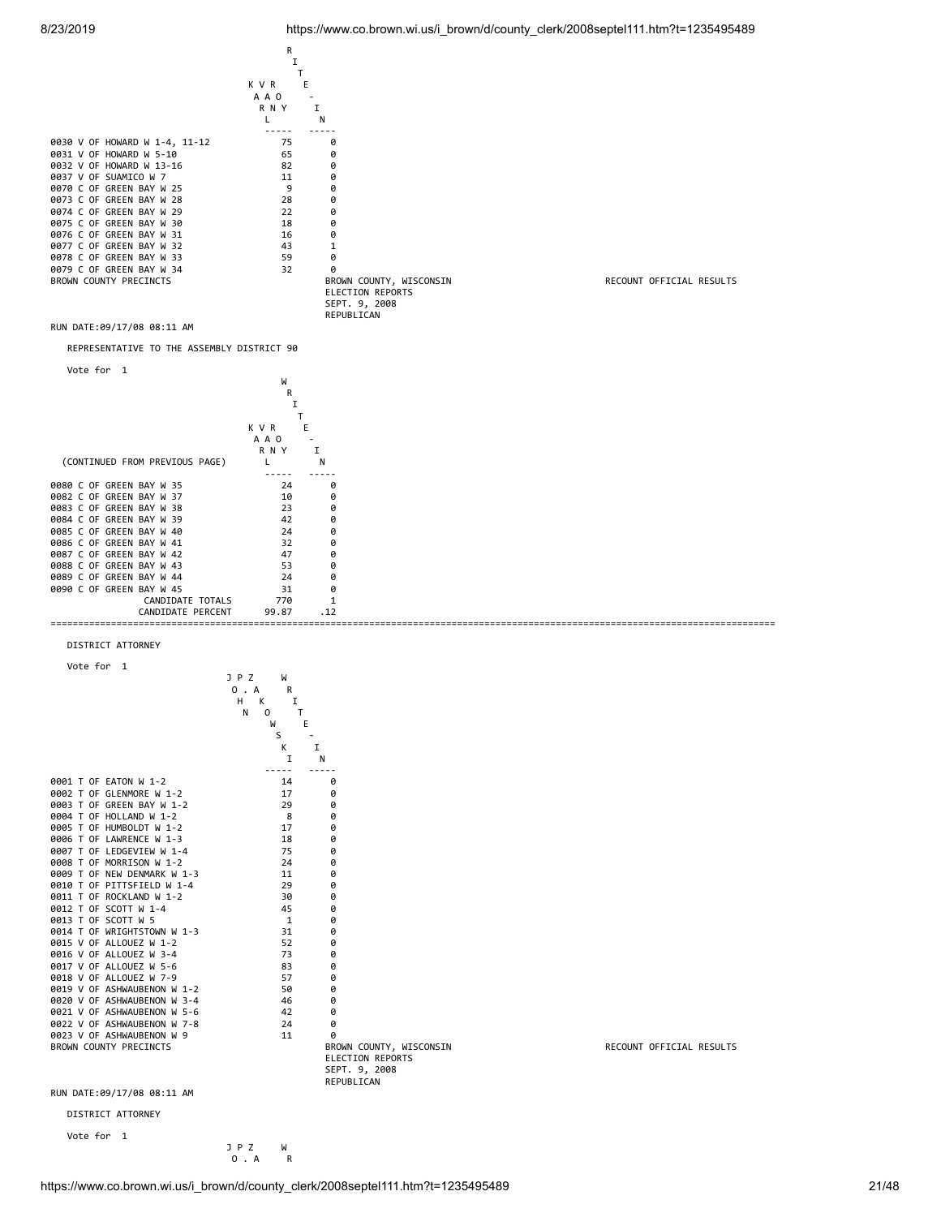### 8/23/2019 https://www.co.brown.wi.us/i\_brown/d/county\_clerk/2008septel111.htm?t=1235495489



https://www.co.brown.wi.us/i\_brown/d/county\_clerk/2008septel111.htm?t=1235495489 21/48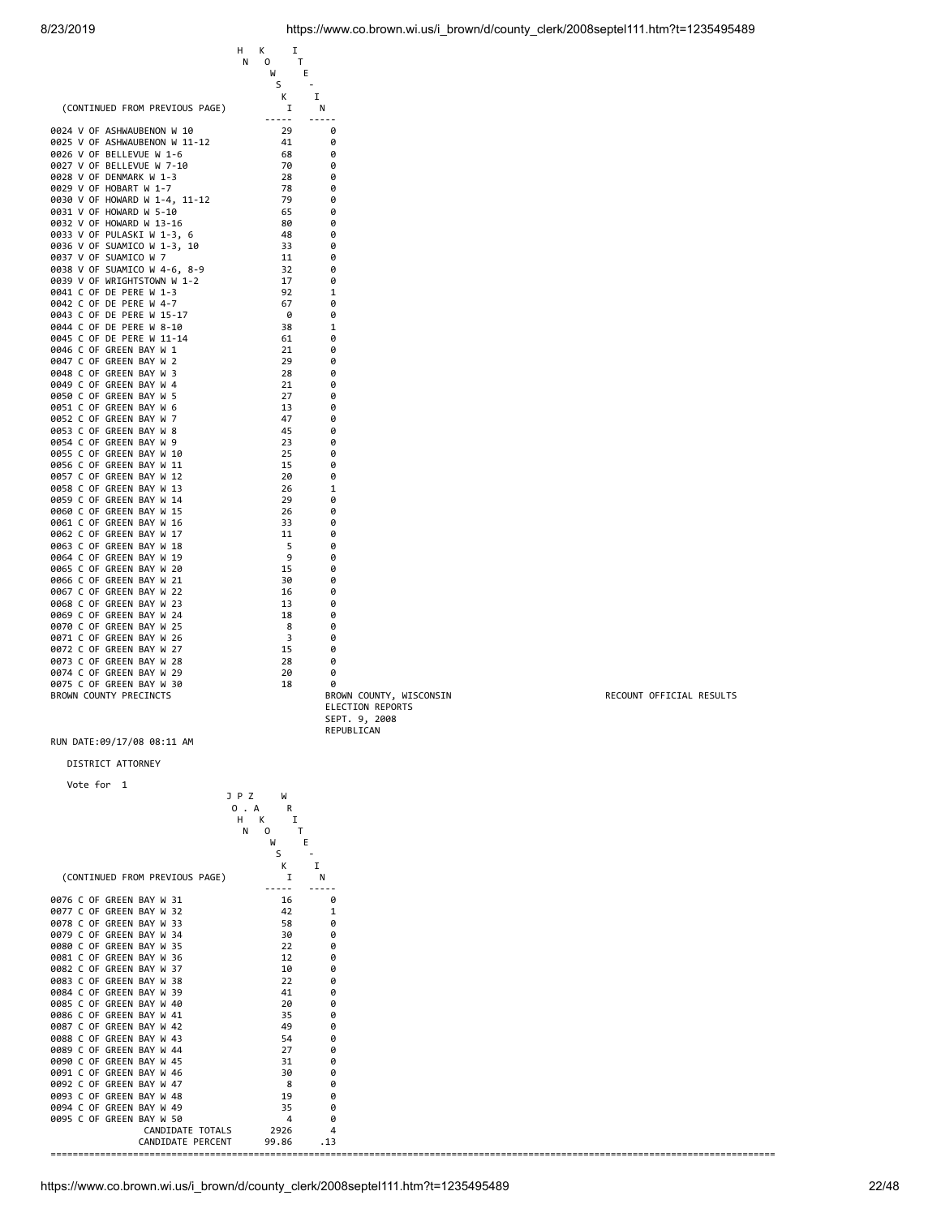|                                                                                                                                                                                                                                                                                                                                                                                                                                                                                                                                                                                                                                                                                                                                                                                                                                                                                                                                                                                                                                                                                                                                                                                                                                                                                                                                                                                                                                                                                           | н<br>Κ<br>N<br>0 | Ι<br>т<br>W<br>E                                                                                                                                                                                                                                                                               |                                                                                                                                                                                                                                                                                                                                  |
|-------------------------------------------------------------------------------------------------------------------------------------------------------------------------------------------------------------------------------------------------------------------------------------------------------------------------------------------------------------------------------------------------------------------------------------------------------------------------------------------------------------------------------------------------------------------------------------------------------------------------------------------------------------------------------------------------------------------------------------------------------------------------------------------------------------------------------------------------------------------------------------------------------------------------------------------------------------------------------------------------------------------------------------------------------------------------------------------------------------------------------------------------------------------------------------------------------------------------------------------------------------------------------------------------------------------------------------------------------------------------------------------------------------------------------------------------------------------------------------------|------------------|------------------------------------------------------------------------------------------------------------------------------------------------------------------------------------------------------------------------------------------------------------------------------------------------|----------------------------------------------------------------------------------------------------------------------------------------------------------------------------------------------------------------------------------------------------------------------------------------------------------------------------------|
| (CONTINUED FROM PREVIOUS PAGE)                                                                                                                                                                                                                                                                                                                                                                                                                                                                                                                                                                                                                                                                                                                                                                                                                                                                                                                                                                                                                                                                                                                                                                                                                                                                                                                                                                                                                                                            |                  | S<br>Κ<br>I<br>Ι.                                                                                                                                                                                                                                                                              | Ν                                                                                                                                                                                                                                                                                                                                |
| 0024 V OF ASHWAUBENON W 10<br>0025 V OF ASHWAUBENON W 11-12<br>0026 V OF BELLEVUE W 1-6<br>0027 V OF BELLEVUE W 7-10<br>0028 V OF DENMARK W 1-3<br>0029 V OF HOBART W 1-7<br>0030 V OF HOWARD W 1-4, 11-12<br>0031 V OF HOWARD W 5-10<br>0032 V OF HOWARD W 13-16<br>0033 V OF PULASKI W 1-3, 6<br>0036 V OF SUAMICO W 1-3, 10<br>0037 V OF SUAMICO W 7<br>0038 V OF SUAMICO W 4-6, 8-9<br>0039 V OF WRIGHTSTOWN W 1-2<br>0041 C OF DE PERE W 1-3<br>0042 C OF DE PERE W 4-7<br>0043 C OF DE PERE W 15-17<br>0044 C OF DE PERE W 8-10<br>0045 C OF DE PERE W 11-14<br>0046 C OF GREEN BAY W 1<br>0047 C OF GREEN BAY W 2<br>0048 C OF GREEN BAY W 3<br>0049 C OF GREEN BAY W 4<br>0050 C OF GREEN BAY W 5<br>0051 C OF GREEN BAY W 6<br>0052 C OF GREEN BAY W 7<br>0053 C OF GREEN BAY W 8<br>0054 C OF GREEN BAY W 9<br>0055 C OF GREEN BAY W 10<br>0056 C OF GREEN BAY W 11<br>0057 C OF GREEN BAY W 12<br>0058 C OF GREEN BAY W 13<br>0059 C OF GREEN BAY W 14<br>0060 C OF GREEN BAY W 15<br>0061 C OF GREEN BAY W 16<br>0062 C OF GREEN BAY W 17<br>0063 C OF GREEN BAY W 18<br>0064 C OF GREEN BAY W 19<br>0065 C OF GREEN BAY W 20<br>0066 C OF GREEN BAY W 21<br>0067 C OF GREEN BAY W 22<br>0068 C OF GREEN BAY W 23<br>0069 C OF GREEN BAY W 24<br>0070 C OF GREEN BAY W 25<br>0071 C OF GREEN BAY W 26<br>0072 C OF GREEN BAY W 27<br>0073 C OF GREEN BAY W 28<br>0074 C OF GREEN BAY W 29<br>0075 C OF GREEN BAY W 30<br>BROWN COUNTY PRECINCTS<br>RUN DATE:09/17/08 08:11 AM |                  | 29<br>41<br>68<br>70<br>28<br>78<br>79<br>65<br>80<br>48<br>-33<br>11<br>32<br>17<br>92<br>67<br>0<br>38<br>61<br>21<br>29<br>28<br>21<br>27<br>13<br>47<br>45<br>23<br>25<br>15<br>20<br>26<br>29<br>26<br>33<br>11<br>5<br>9<br>15<br>30<br>16<br>13<br>18<br>8<br>3<br>15<br>28<br>20<br>18 | 0<br>0<br>0<br>0<br>0<br>0<br>0<br>0<br>0<br>0<br>0<br>0<br>0<br>0<br>1<br>0<br>0<br>1<br>0<br>Ø<br>0<br>0<br>0<br>0<br>0<br>0<br>0<br>0<br>0<br>0<br>0<br>1<br>0<br>0<br>0<br>0<br>0<br>0<br>0<br>0<br>0<br>0<br>0<br>0<br>0<br>0<br>0<br>0<br>0<br>BROWN COUNTY, WIS<br><b>ELECTION REPORTS</b><br>SEPT. 9, 2008<br>REPUBLICAN |
| DISTRICT ATTORNEY                                                                                                                                                                                                                                                                                                                                                                                                                                                                                                                                                                                                                                                                                                                                                                                                                                                                                                                                                                                                                                                                                                                                                                                                                                                                                                                                                                                                                                                                         |                  |                                                                                                                                                                                                                                                                                                |                                                                                                                                                                                                                                                                                                                                  |
| Vote for<br>1                                                                                                                                                                                                                                                                                                                                                                                                                                                                                                                                                                                                                                                                                                                                                                                                                                                                                                                                                                                                                                                                                                                                                                                                                                                                                                                                                                                                                                                                             | J P Z            | W                                                                                                                                                                                                                                                                                              |                                                                                                                                                                                                                                                                                                                                  |

|                          |                                | J P Z<br>W     |     |
|--------------------------|--------------------------------|----------------|-----|
|                          |                                | 0 . A<br>R     |     |
|                          |                                | н<br>К<br>I    |     |
|                          |                                | N<br>0         |     |
|                          |                                | W              | Е   |
|                          |                                | S              |     |
|                          |                                | K              | I   |
|                          | (CONTINUED FROM PREVIOUS PAGE) |                | N   |
|                          |                                |                |     |
| 0076 C OF GREEN BAY W 31 |                                | 16             | 0   |
| 0077 C OF GREEN BAY W 32 |                                | 42             |     |
| 0078 C OF GREEN BAY W 33 |                                | 58             | 0   |
| 0079 C OF GREEN BAY W 34 |                                | 30             | 0   |
| 0080 C OF GREEN BAY W 35 |                                | 22             | 0   |
| 0081 C OF GREEN BAY W 36 |                                | 12             | ø   |
| 0082 C OF GREEN BAY W 37 |                                | 10             | 0   |
| 0083 C OF GREEN BAY W 38 |                                | 22             | ø   |
| 0084 C OF GREEN BAY W 39 |                                | 41             | ø   |
| 0085 C OF GREEN BAY W 40 |                                | 20             | ø   |
| 0086 C OF GREEN BAY W 41 |                                | 35             | Ø   |
| 0087 C OF GREEN BAY W 42 |                                | 49             | p   |
| 0088 C OF GREEN BAY W 43 |                                | 54             | ø   |
| 0089 C OF GREEN BAY W 44 |                                | 27             | ø   |
| 0090 C OF GREEN BAY W 45 |                                | 31             | ø   |
| 0091 C OF GREEN BAY W 46 |                                | 30             | 0   |
| 0092 C OF GREEN BAY W 47 |                                | 8              | ø   |
| 0093 C OF GREEN BAY W 48 |                                | 19             | 0   |
| 0094 C OF GREEN BAY W 49 |                                | 35             | 0   |
| 0095 C OF GREEN BAY W 50 |                                | $\overline{4}$ | 0   |
|                          | CANDIDATE TOTALS               | 2926           | 4   |
|                          | CANDIDATE PERCENT              | 99.86          | .13 |
| ====                     |                                |                |     |

RECOUNT OFFICIAL RESULTS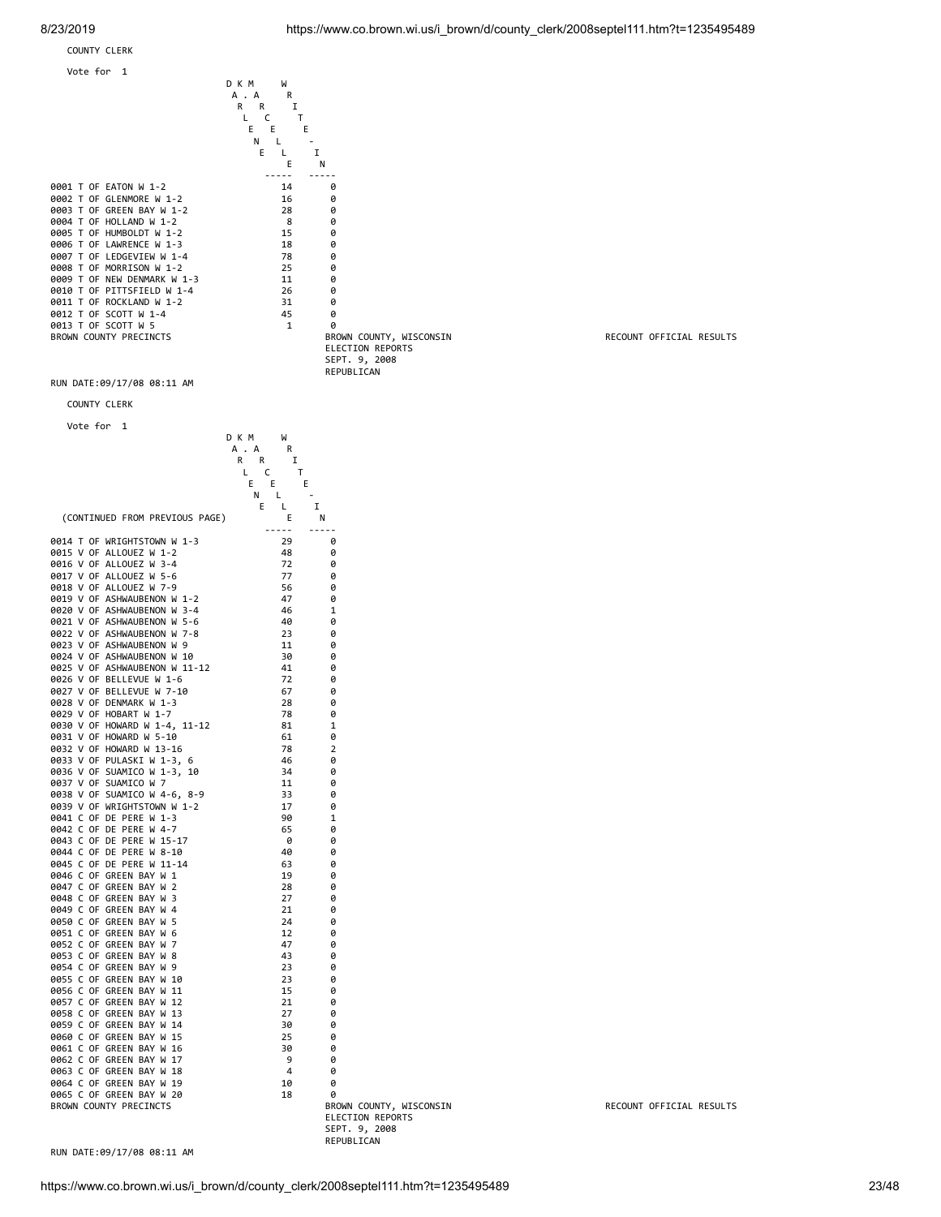COUNTY CLERK



RUN DATE:09/17/08 08:11 AM

R R I

 COUNTY CLERK Vote for 1



D K M W

BROWN COUNTY, WISCONSIN RECOUNT OFFICIAL RESULTS ELECTION REPORTS SEPT. 9, 2008 REPUBLICAN

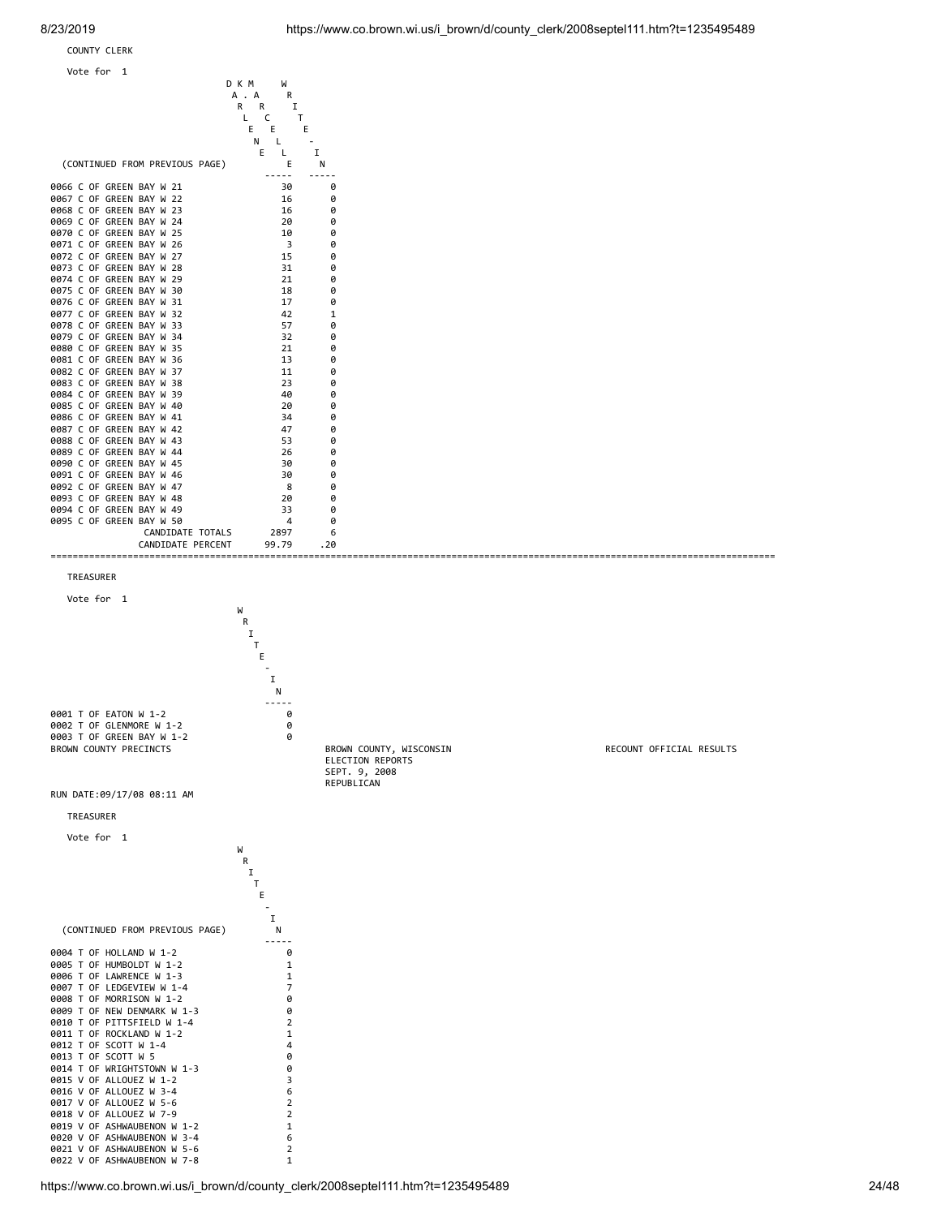COUNTY CLERK



TREASURER



 SEPT. 9, 2008 REPUBLICAN

0005 T OF HUMBOLDT W 1-2 1 0006 T OF LAWRENCE W 1-3<br>0007 T OF LEDGEVIEW W 1-4 7 0007 T OF LEDGEVIEW W 1-4<br>
0007 T OF LEDGEVIEW W 1-4<br>
0008 T OF MORRISON W 1-2 0 0008 T OF MORRISON W 1-2 0<br>0009 T OF NEW DENMARK W 1-3 0 0009 T OF NEW DENMARK W 1-3<br>0010 T OF PITTSFIELD W 1-4 2 0010 T OF PITTSFIELD W 1-4<br>0011 T OF ROCKLAND W 1-2 1 0011 T OF ROCKLAND W 1-2 1<br>0012 T OF SCOTT W 1-4 4 0012 T OF SCOTT W 1-4 4 0012 T OF SCOTT W 5 0013 T OF SCOTT W 5 0014 T OF WRIGHTSTOWN W 1-3 0 0015 V OF ALLOUEZ W 1-2<br>0016 V OF ALLOUEZ W 3-4 6 0016 V OF ALLOUEZ W 3-4 6 0017 V OF ALLOUEZ W 5-6<br>0018 V OF ALLOUEZ W 7-9 0018 V OF ALLOUEZ W 7-9 2 0019 V OF ASHWAUBENON W 1-2 1 0020 V OF ASHWAUBENON W 3-4 6 0021 V OF ASHWAUBENON W 5-6 2 0022 V OF ASHWAUBENON W 7-8 1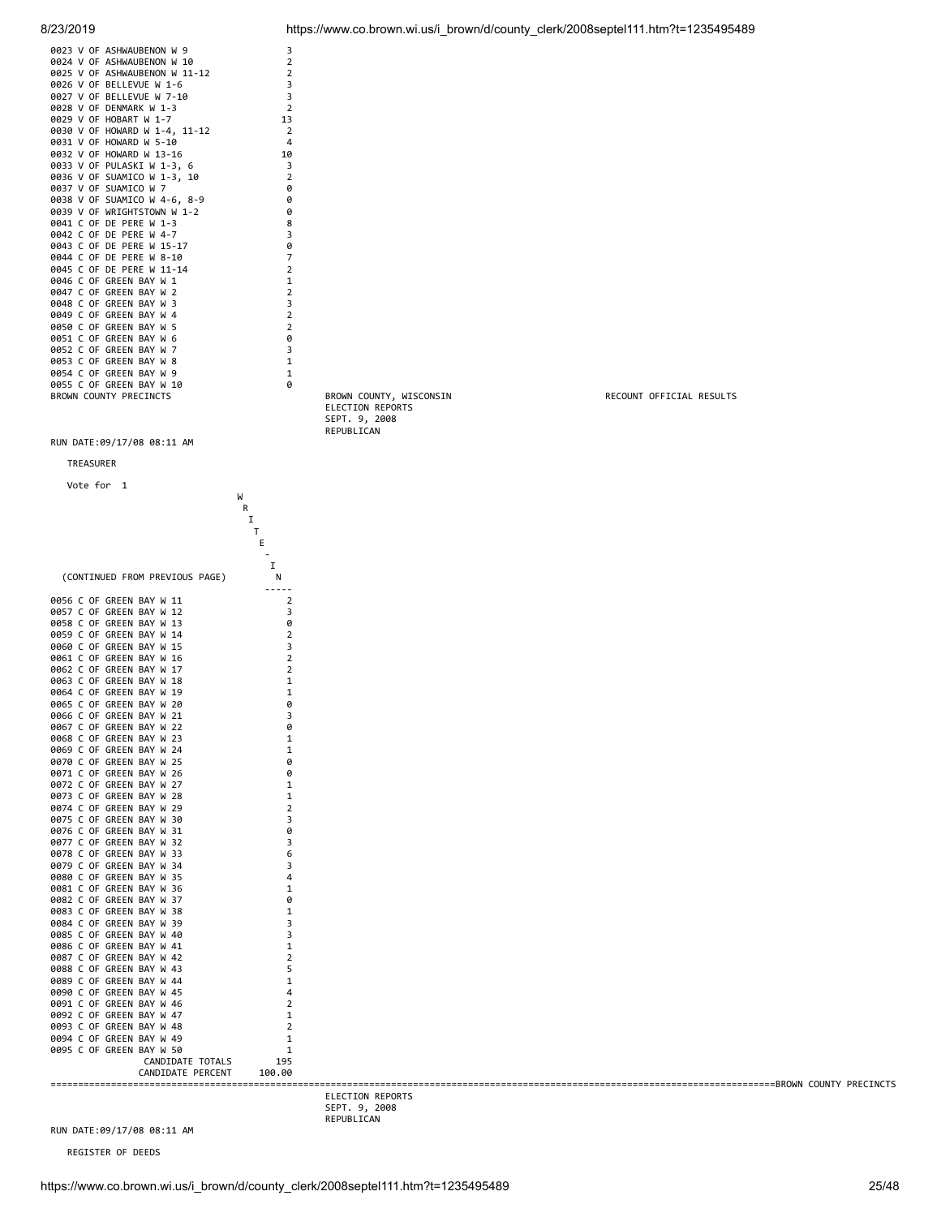| 0023 V OF ASHWAUBENON W 9<br>0024 V OF ASHWAUBENON W 10     | 3<br>$\overline{2}$     |                                             |                          |
|-------------------------------------------------------------|-------------------------|---------------------------------------------|--------------------------|
| 0025 V OF ASHWAUBENON W 11-12<br>0026 V OF BELLEVUE W 1-6   | 2<br>3                  |                                             |                          |
| 0027 V OF BELLEVUE W 7-10                                   | 3                       |                                             |                          |
| 0028 V OF DENMARK W 1-3<br>0029 V OF HOBART W 1-7           | $\overline{2}$<br>13    |                                             |                          |
| 0030 V OF HOWARD W 1-4, 11-12                               | $\overline{2}$          |                                             |                          |
| 0031 V OF HOWARD W 5-10<br>0032 V OF HOWARD W 13-16         | 4<br>10                 |                                             |                          |
| 0033 V OF PULASKI W 1-3, 6                                  | 3                       |                                             |                          |
| 0036 V OF SUAMICO W 1-3, 10<br>0037 V OF SUAMICO W 7        | 2<br>0                  |                                             |                          |
| 0038 V OF SUAMICO W 4-6, 8-9<br>0039 V OF WRIGHTSTOWN W 1-2 | 0<br>0                  |                                             |                          |
| 0041 C OF DE PERE W 1-3                                     | 8                       |                                             |                          |
| 0042 C OF DE PERE W 4-7<br>0043 C OF DE PERE W 15-17        | 3<br>0                  |                                             |                          |
| 0044 C OF DE PERE W 8-10                                    | $\overline{7}$          |                                             |                          |
| 0045 C OF DE PERE W 11-14<br>0046 C OF GREEN BAY W 1        | $\overline{2}$<br>1     |                                             |                          |
| 0047 C OF GREEN BAY W 2                                     | $\overline{2}$          |                                             |                          |
| 0048 C OF GREEN BAY W 3<br>0049 C OF GREEN BAY W 4          | 3<br>$\overline{2}$     |                                             |                          |
| 0050 C OF GREEN BAY W 5<br>0051 C OF GREEN BAY W 6          | 2<br>0                  |                                             |                          |
| 0052 C OF GREEN BAY W 7                                     | 3                       |                                             |                          |
| 0053 C OF GREEN BAY W 8<br>0054 C OF GREEN BAY W 9          | $\mathbf{1}$<br>1       |                                             |                          |
| 0055 C OF GREEN BAY W 10                                    | 0                       |                                             |                          |
| BROWN COUNTY PRECINCTS                                      |                         | BROWN COUNTY, WISCONSIN<br>ELECTION REPORTS | RECOUNT OFFICIAL RESULTS |
|                                                             |                         | SEPT. 9, 2008                               |                          |
| RUN DATE:09/17/08 08:11 AM                                  |                         | REPUBLICAN                                  |                          |
| TREASURER                                                   |                         |                                             |                          |
| Vote for 1                                                  |                         |                                             |                          |
|                                                             | W                       |                                             |                          |
|                                                             | R<br>1                  |                                             |                          |
|                                                             | т<br>Ε                  |                                             |                          |
|                                                             |                         |                                             |                          |
| (CONTINUED FROM PREVIOUS PAGE)                              | I<br>N                  |                                             |                          |
|                                                             | -----<br>$\overline{2}$ |                                             |                          |
| 0056 C OF GREEN BAY W 11<br>0057 C OF GREEN BAY W 12        | 3                       |                                             |                          |
| 0058 C OF GREEN BAY W 13<br>0059 C OF GREEN BAY W 14        | 0<br>2                  |                                             |                          |
| 0060 C OF GREEN BAY W 15                                    | 3                       |                                             |                          |
| 0061 C OF GREEN BAY W 16<br>0062 C OF GREEN BAY W 17        | 2<br>2                  |                                             |                          |
| 0063 C OF GREEN BAY W 18<br>0064 C OF GREEN BAY W 19        | 1<br>1                  |                                             |                          |
| 0065 C OF GREEN BAY W 20                                    | 0                       |                                             |                          |
| 0066 C OF GREEN BAY W 21<br>0067 C OF GREEN BAY W 22        | 3<br>0                  |                                             |                          |
| 0068 C OF GREEN BAY W 23                                    | 1                       |                                             |                          |
| 0069 C OF GREEN BAY W 24<br>0070 C OF GREEN BAY W 25        | 1<br>0                  |                                             |                          |
| 0071 C OF GREEN BAY W 26<br>0072 C OF GREEN BAY W 27        | 0                       |                                             |                          |
| 0073 C OF GREEN BAY W 28                                    | 1<br>1                  |                                             |                          |
| 0074 C OF GREEN BAY W 29<br>0075 C OF GREEN BAY W 30        | 2<br>3                  |                                             |                          |
| 0076 C OF GREEN BAY W 31                                    | Ø                       |                                             |                          |
| 0077 C OF GREEN BAY W 32<br>0078 C OF GREEN BAY W 33        | 3<br>6                  |                                             |                          |
| 0079 C OF GREEN BAY W 34<br>0080 C OF GREEN BAY W 35        | 3<br>4                  |                                             |                          |
| 0081 C OF GREEN BAY W 36                                    | 1                       |                                             |                          |
| 0082 C OF GREEN BAY W 37<br>0083 C OF GREEN BAY W 38        | 0<br>1                  |                                             |                          |
| 0084 C OF GREEN BAY W 39                                    | 3                       |                                             |                          |
| 0085 C OF GREEN BAY W 40<br>0086 C OF GREEN BAY W 41        | 3<br>1                  |                                             |                          |
| 0087 C OF GREEN BAY W 42<br>0088 C OF GREEN BAY W 43        | 2<br>5                  |                                             |                          |
| 0089 C OF GREEN BAY W 44                                    | 1                       |                                             |                          |
| 0090 C OF GREEN BAY W 45<br>0091 C OF GREEN BAY W 46        | 4<br>2                  |                                             |                          |
| 0092 C OF GREEN BAY W 47<br>0093 C OF GREEN BAY W 48        | 1<br>$\overline{2}$     |                                             |                          |
| 0094 C OF GREEN BAY W 49                                    | 1                       |                                             |                          |
| 0095 C OF GREEN BAY W 50<br>CANDIDATE TOTALS                | 1<br>195                |                                             |                          |
| CANDIDATE PERCENT                                           | 100.00                  |                                             |                          |
|                                                             |                         | ELECTION REPORTS                            |                          |
|                                                             |                         | SEPT. 9, 2008<br>REPUBLICAN                 |                          |

REGISTER OF DEEDS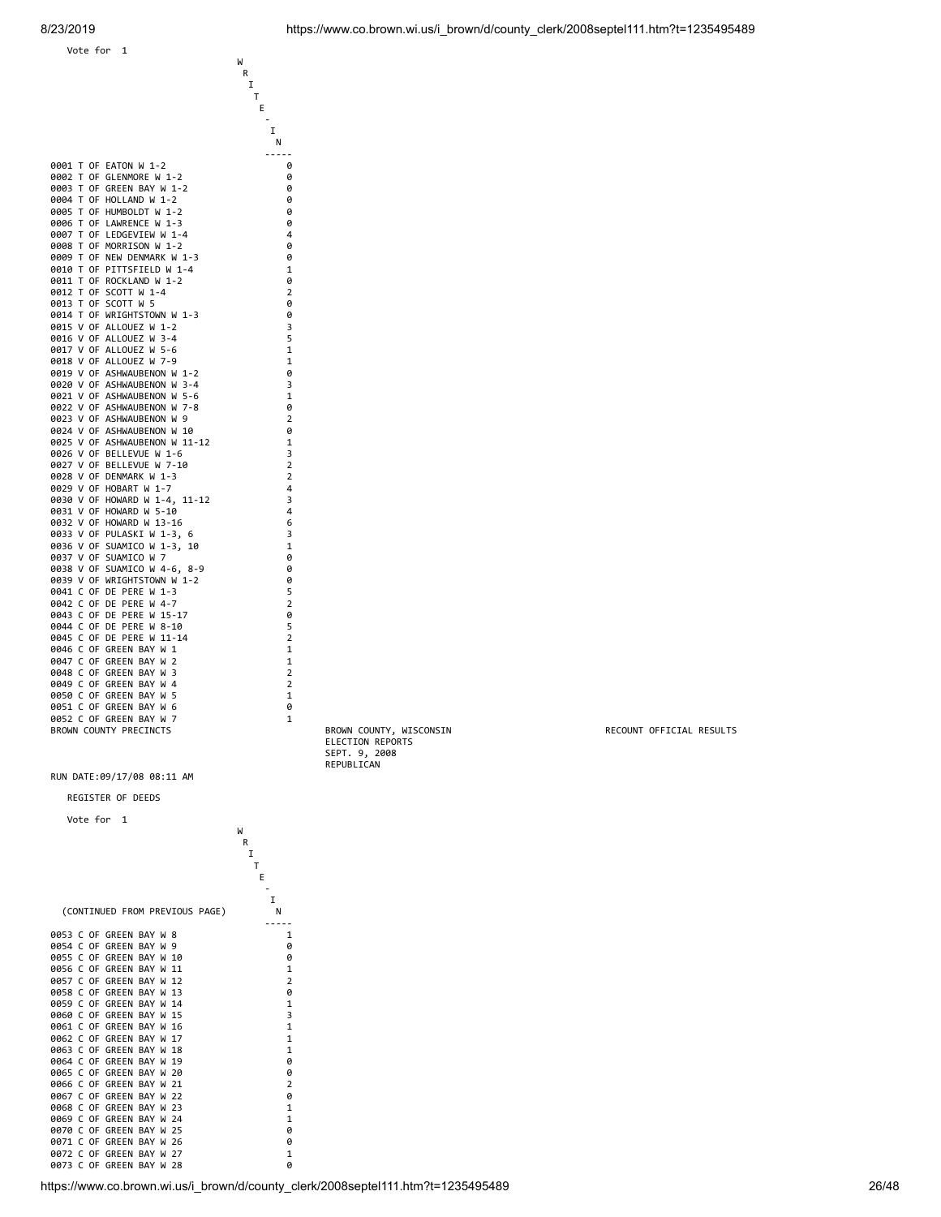

### REGISTER OF DEEDS



 ELECTION REPORTS SEPT. 9, 2008 REPUBLICAN

BROWN COUNTY, WISCONSIN RECOUNT OFFICIAL RESULTS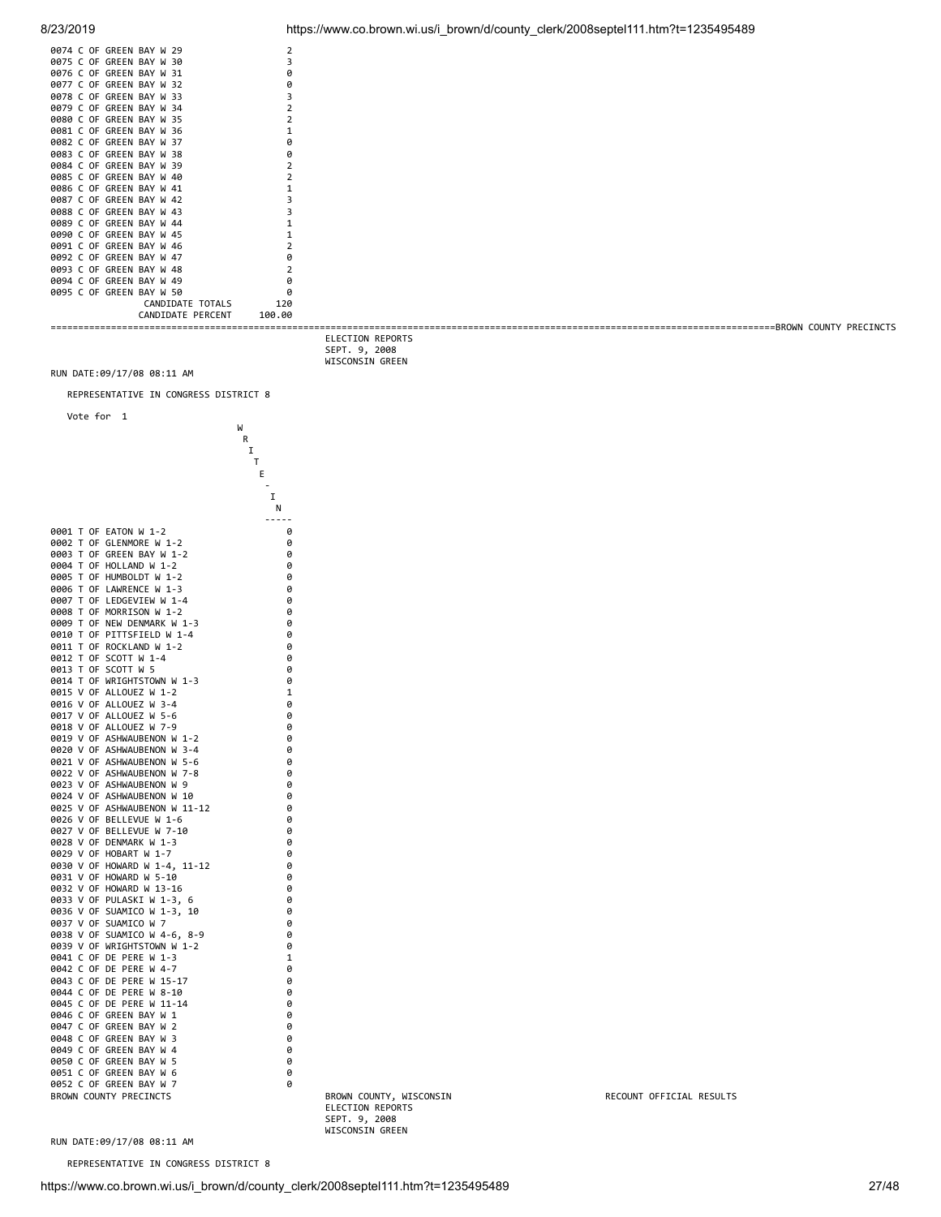| 0074 C OF GREEN BAY W 29       | 2              |
|--------------------------------|----------------|
| 0075 C OF GREEN<br>BAY W<br>30 | 3              |
| 0076 C OF GREEN BAY W<br>31    | 0              |
| 0077<br>C OF GREEN BAY W<br>32 | 0              |
| 0078 C OF GREEN BAY W<br>33    | 3              |
| 0079 C OF GREEN BAY W<br>34    | $\overline{2}$ |
| 0080 C OF GREEN BAY W<br>35    | $\overline{2}$ |
| 0081 C OF GREEN BAY W<br>36    | 1              |
| 0082 C OF GREEN BAY W<br>37    | 0              |
| 0083 C OF GREEN BAY W<br>38    | 0              |
| 0084 C OF GREEN BAY W 39       | $\overline{2}$ |
| 0085 C OF GREEN BAY W 40       | $\overline{2}$ |
| C OF GREEN BAY W 41<br>0086    | $\mathbf{1}$   |
| 0087 C OF GREEN BAY W 42       | 3              |
| C OF GREEN BAY W 43<br>0088    | 3              |
| 0089 C OF GREEN BAY W 44       | 1              |
| 0090 C OF GREEN BAY W 45       | $\mathbf{1}$   |
| 0091 C OF GREEN BAY W 46       | $\overline{2}$ |
| 0092 C OF GREEN BAY W 47       | 0              |
| 0093 C OF GREEN BAY W 48       | $\overline{2}$ |
| 0094 C OF GREEN BAY W 49       | 0              |
| 0095 C OF GREEN BAY W 50       | ø              |
| CANDIDATE TOTALS               | 120            |
| CANDIDATE PERCENT              | 100.00         |
|                                |                |

8/23/2019 https://www.co.brown.wi.us/i\_brown/d/county\_clerk/2008septel111.htm?t=1235495489

==================================================================================================================================== BROWN COUNTY PRECINCTS ELECTION REPORTS SEPT. 9, 2008 WISCONSIN GREEN RUN DATE:09/17/08 08:11 AM REPRESENTATIVE IN CONGRESS DISTRICT 8 Vote for 1 W W<br>R<br>I **I The Community of the Community of the Community of The Community of The Community of The Community of The Community** Experience of the control of the control of the Control of the Control of the Control of the Control of the Co  $T_{E}$  $\mathbf{I}$  . The contract of the contract of  $\mathbf{I}$  $N$ 0001 T OF EATON W 1-2 0 0002 T OF GLENMORE W 1-2 0 0003 T OF GREEN BAY W 1-2 0 0004 T OF HOLLAND W 1-2 0 0005 T OF HUMBOLDT W 1-2 0 0006 T OF LAWRENCE W 1-3 0 0007 T OF LEDGEVIEW W 1-4 0 0008 T OF MORRISON W 1-2 0 0009 T OF NEW DENMARK W 1-3 0 0010 T OF PITTSFIELD W 1-4 0 0011 T OF ROCKLAND W 1-2 0 0012 T OF SCOTT W 1-4 0 0013 T OF SCOTT W 5 0 0014 T OF WRIGHTSTOWN W 1-3 0 0015 V OF ALLOUEZ W 1-2 1 0016 V OF ALLOUEZ W 3-4 0 0017 V OF ALLOUEZ W 5-6 0 0018 V OF ALLOUEZ W 7-9 0 0019 V OF ASHWAUBENON W 1-2 0 0020 V OF ASHWAUBENON W 3-4 0 0021 V OF ASHWAUBENON W 5-6 0

|                                                                               | Ι            |
|-------------------------------------------------------------------------------|--------------|
|                                                                               | T            |
|                                                                               | Ε            |
|                                                                               |              |
|                                                                               | I            |
|                                                                               | Ν            |
|                                                                               | $- -$        |
| 0001<br>0F<br>EATON W 1-2<br>т                                                | 0            |
| 0002<br>T<br>0F<br>GLENMORE W<br>$1 - 2$                                      | 0            |
| 0F<br>GREEN BAY W<br>0003<br>Т<br>$1 - 2$                                     | 0            |
| 0004<br>T<br>0F<br>HOLLAND W<br>$1 - 2$                                       | 0            |
| т<br>0F<br>HUMBOLDT W<br>$1 - 2$<br>0005                                      | 0            |
| $1 - 3$<br>0006<br>т<br>0F<br>LAWRENCE<br>M                                   | 0            |
| 0007<br>T<br>0F<br>LEDGEVIEW W<br>$1 - 4$                                     | 0            |
| 0F<br>MORRISON W<br>0008<br>Т<br>$1 - 2$                                      | 0            |
| 0009<br>T<br>0F<br>NEW DENMARK<br>$W_1 - 3$                                   | 0            |
| 0010<br>T<br>0F<br>PITTSFIELD W<br>$1 - 4$                                    | 0            |
| 0011<br>т<br>0F<br>ROCKLAND W 1-2                                             | 0            |
| T<br>0012<br>0F<br>SCOTT W<br>$1 - 4$                                         | 0            |
| 0013<br>0F<br>SCOTT<br>W<br>5<br>т                                            | 0            |
| WRIGHTSTOWN W<br>0014<br>T<br>0F<br>$1 - 3$                                   | 0            |
| 0015<br>٧<br>0F<br><b>ALLOUEZ</b><br>W<br>$1 - 2$                             | $\mathbf{1}$ |
| 0F<br><b>ALLOUEZ</b><br>$3 - 4$<br>0016<br>v<br>W                             | 0            |
| 0F<br><b>ALLOUEZ</b><br>$5 - 6$<br>0017<br>٧<br>W                             | 0            |
| 0018<br>0F<br><b>ALLOUEZ</b><br>$7 - 9$<br>٧<br>W                             | 0            |
| 0019<br>v<br>0F<br>ASHWAUBENON<br>W<br>1-2                                    | 0            |
| 0F<br>0020<br>v<br><b>ASHWAUBENON</b><br>W<br>$3 - 4$                         | 0            |
| 0F<br>0021<br>٧<br>ASHWAUBENON<br>W<br>$5 - 6$                                | 0            |
| 0022<br>0F<br><b>ASHWAUBENON</b><br>٧<br>W<br>7-8                             | 0            |
| 0023<br>0F<br><b>ASHWAUBENON</b><br>9<br>٧<br>W                               | 0            |
| 0024<br>v<br>0F<br><b>ASHWAUBENON</b><br>W<br>10                              | 0            |
| 0025<br>0F<br>ASHWAUBENON W<br>٧<br>$11 - 12$                                 | 0            |
| 0026<br>0F<br>BELLEVUE W 1-6<br>v                                             | 0            |
| 0027<br>0F<br>$7 - 10$<br>٧<br><b>BELLEVUE</b><br>M                           | 0            |
| 0028<br>0F<br>DENMARK<br>$1 - 3$<br>٧<br>W                                    | 0            |
| 0F<br>M<br>$1 - 7$<br>0029<br>v<br><b>HOBART</b>                              | 0            |
| 0F<br>0030<br>٧<br><b>HOWARD</b><br>W<br>$1 - 4$ ,<br>$11 - 12$               | 0            |
| 0F<br>0031<br>٧<br><b>HOWARD</b><br>W<br>5-10                                 | 0            |
| 0032<br>0F<br>HOWARD W<br>$13 - 16$<br>٧                                      | 0            |
| 0033<br>0F<br>PULASKI<br>W<br>٧<br>1-3,<br>6                                  | 0            |
| 0036<br>0F<br>٧<br>SUAMICO<br>W<br>$1 - 3$ ,<br>10                            | 0            |
| 0F<br>SUAMICO<br>7<br>0037<br>٧<br>W                                          | 0            |
| 0038<br>0F<br>SUAMICO<br>٧<br>W<br>$4 - 6$ ,<br>8-9                           | 0            |
| 0039<br>0F<br>WRIGHTSTOWN W 1-2<br>٧                                          | 0            |
| 0041<br>C<br>0F<br>DE<br>PERE<br>W<br>$1 - 3$                                 | 1            |
| 0042<br>C<br>0F<br>DE<br>PERE<br>$4 - 7$<br>W                                 | 0            |
| 0043<br>C<br>0F<br>DE<br>PERE<br>W<br>$15 - 17$                               | 0            |
| 0044<br>C<br>0F<br>DE<br>PERE<br>W<br>$8 - 10$                                | 0            |
| 0045<br>c<br>0F<br>PERE<br>$11 - 14$<br>DE<br>W                               | 0            |
| 0046<br>c<br>0F<br><b>GREEN</b><br>BAY<br>W<br>1<br>0F<br>BAY                 | 0            |
| 0047<br>c<br><b>GREEN</b><br>W<br>2<br>0048<br>C<br>0F<br>GREEN<br>BAY<br>3   | 0            |
| W<br>C<br>4<br>0F<br>BAY                                                      | 0            |
| 0049<br><b>GREEN</b><br>W<br>C<br>5<br>0050<br>0F<br><b>GREEN</b><br>BAY<br>W | 0<br>0       |
| Ċ<br>0051<br>0F<br><b>GREEN</b><br>BAY<br>W<br>6                              | 0            |
| 0052<br>C<br>0F<br>GREEN<br>BAY<br>W<br>7                                     | 0            |
| <b>BROWN</b><br>COUNTY<br>PRECINCTS                                           |              |
|                                                                               |              |

BROWN COUNTY PRECINCTS BROWN COUNTY, WISCONSIN RECOUNT OFFICIAL RESULTS ELECTION REPORTS SEPT. 9, 2008 WISCONSIN GREEN

RUN DATE:09/17/08 08:11 AM

REPRESENTATIVE IN CONGRESS DISTRICT 8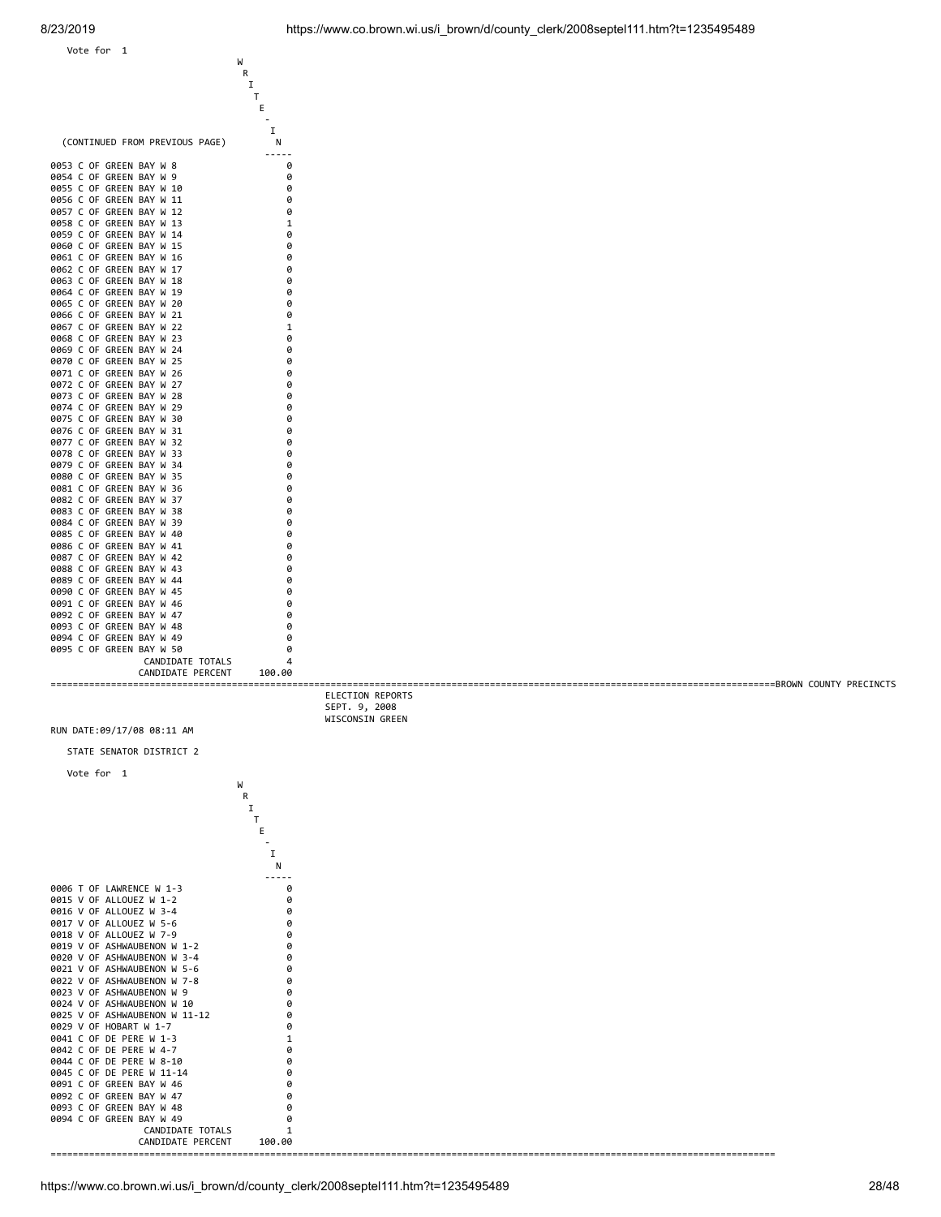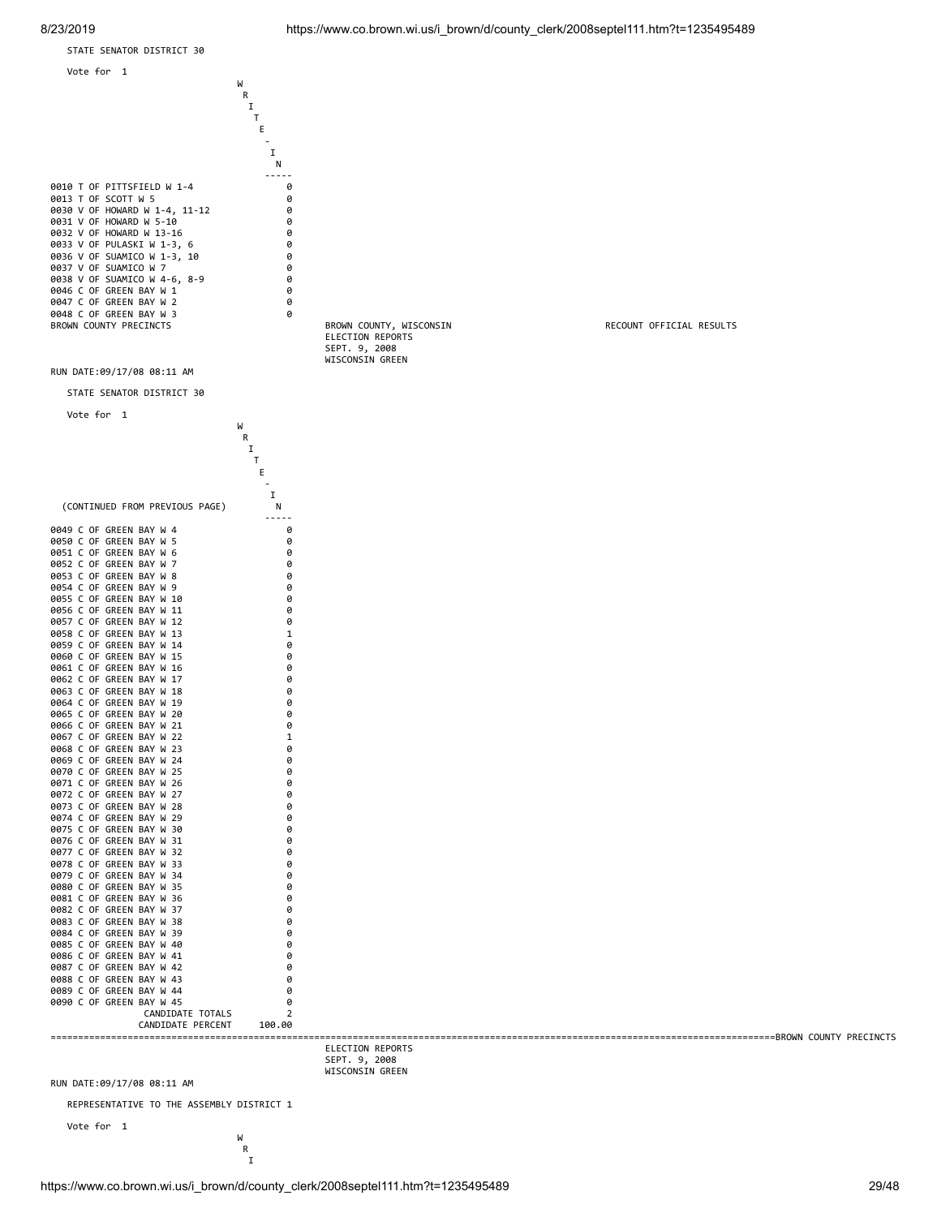

REPRESENTATIVE TO THE ASSEMBLY DISTRICT 1

 Vote for 1 W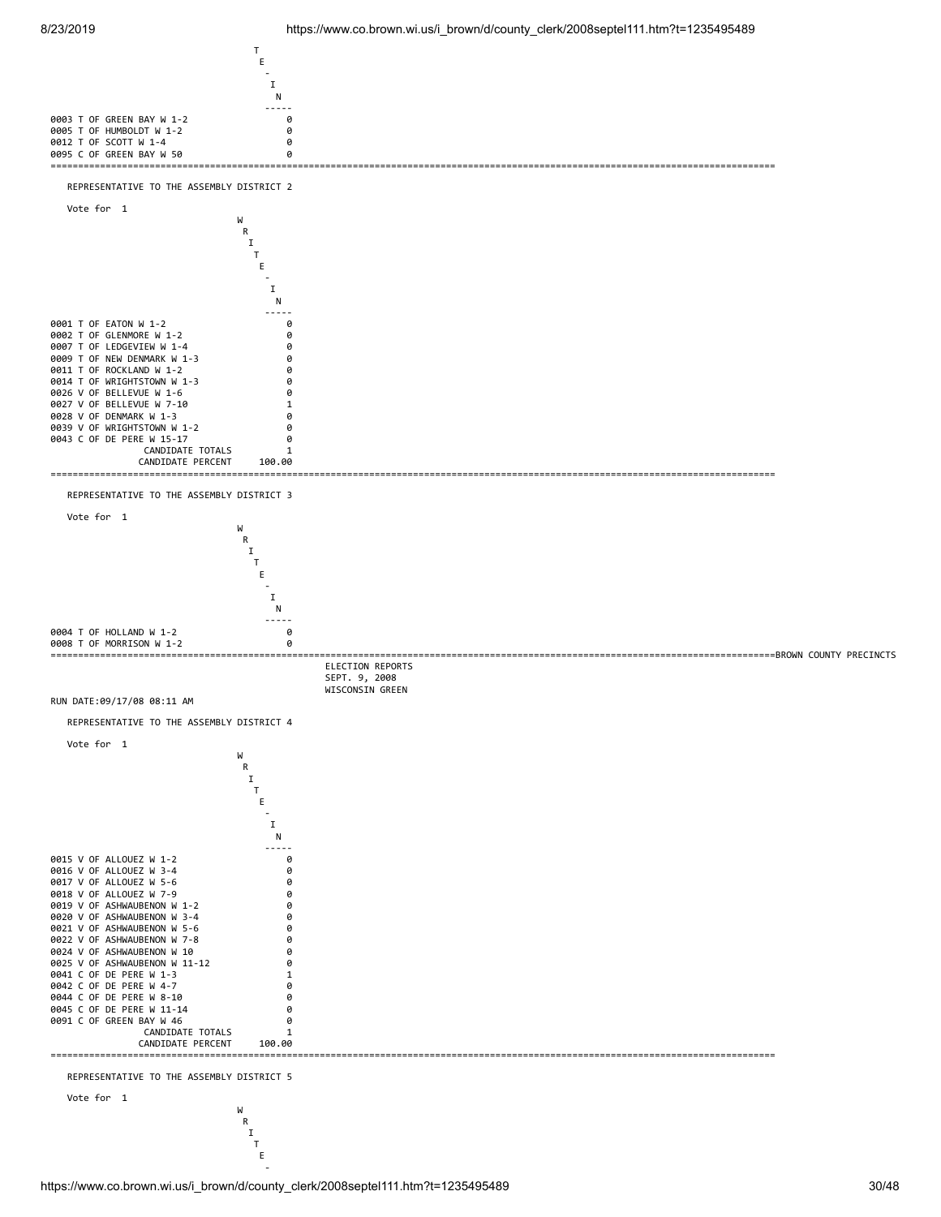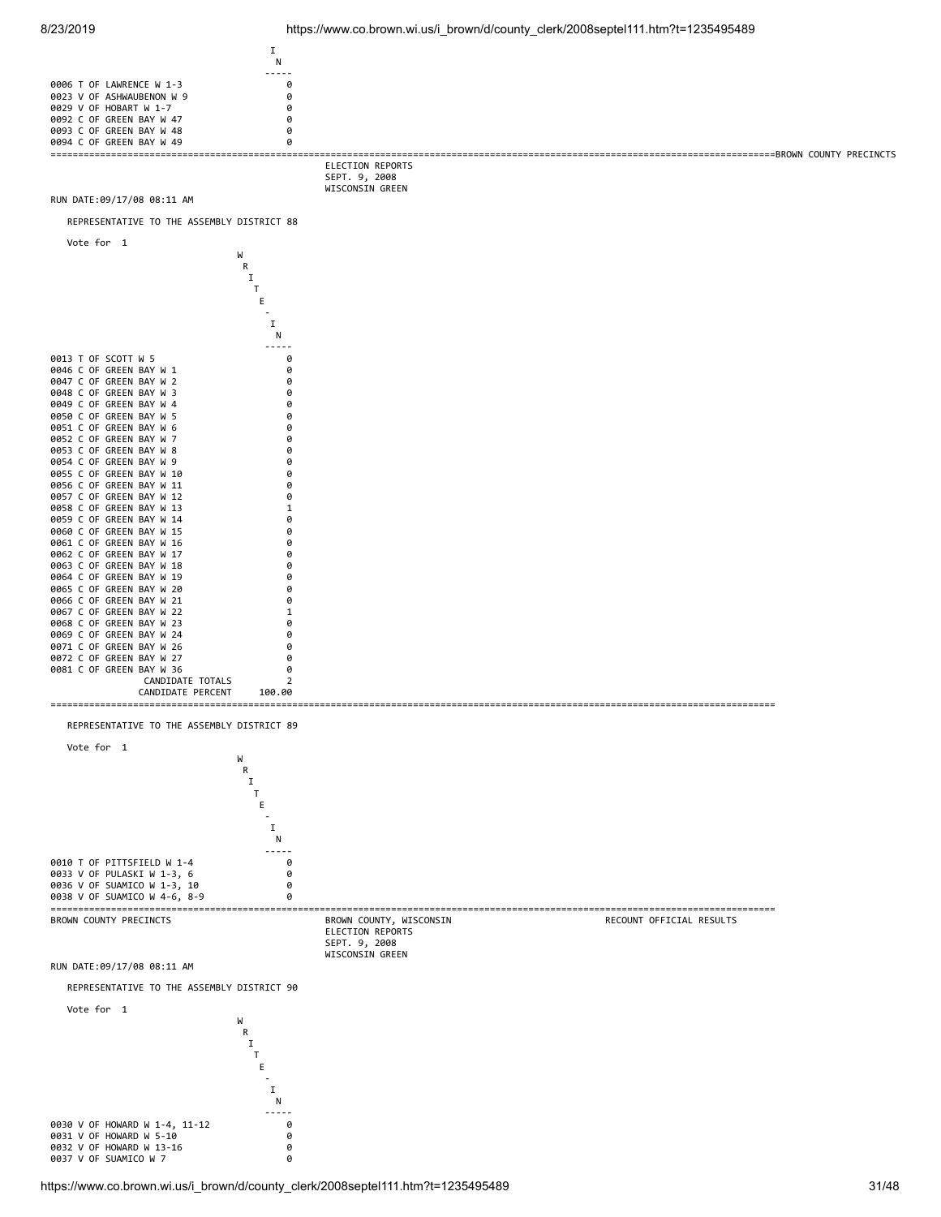

0032 V OF HOWARD W 13-16<br>0037 V OF SUAMICO W 7

0037 V OF SUAMICO W 7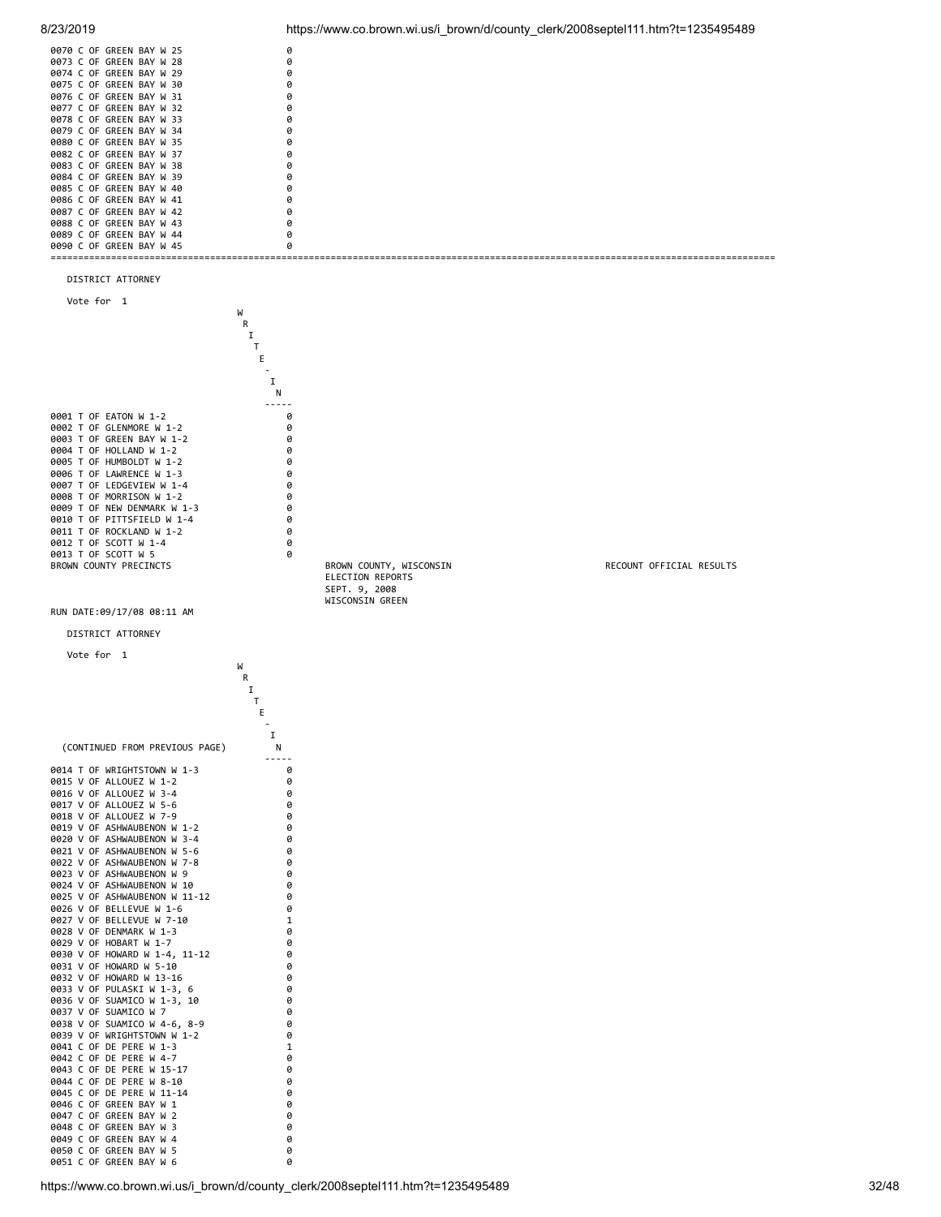

8/23/2019 https://www.co.brown.wi.us/i\_brown/d/county\_clerk/2008septel111.htm?t=1235495489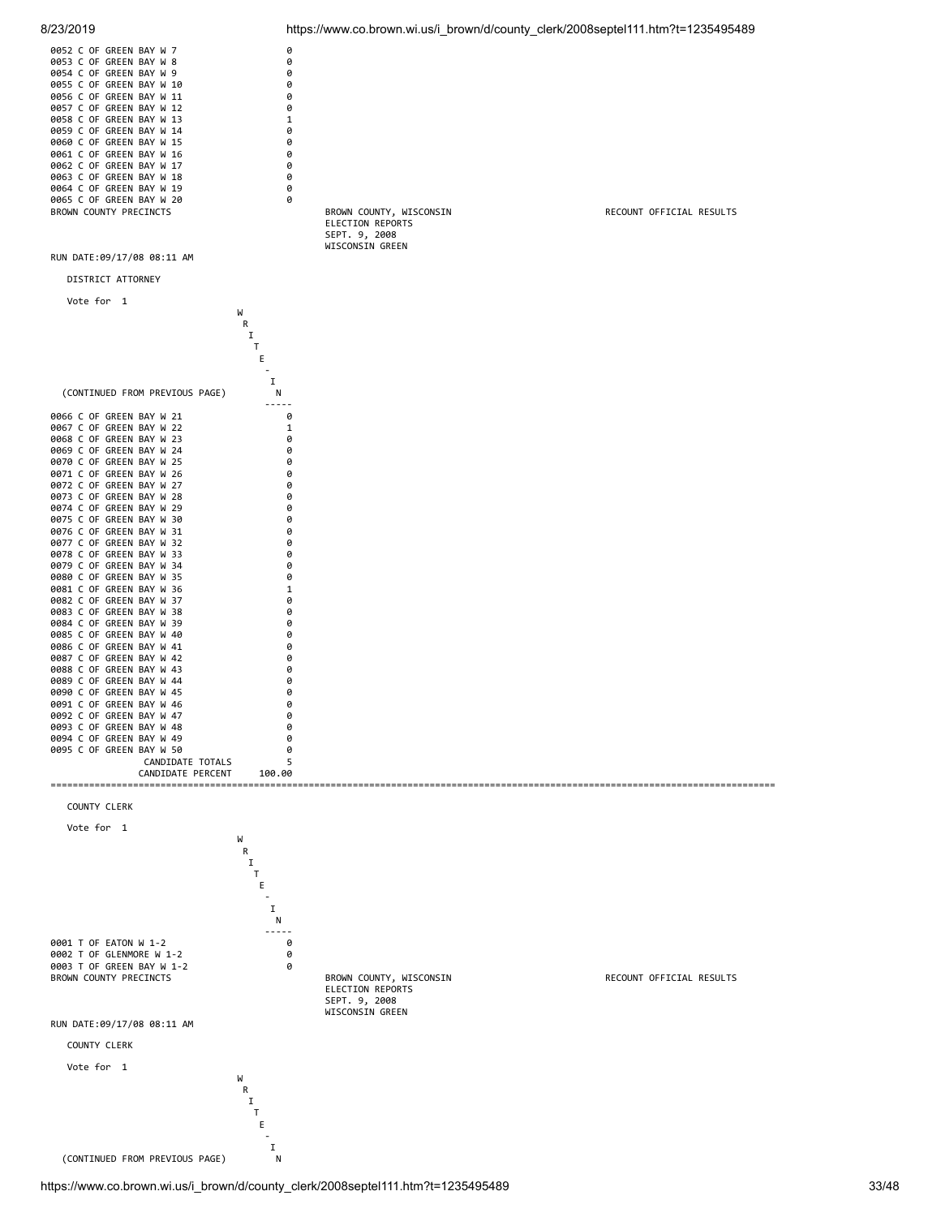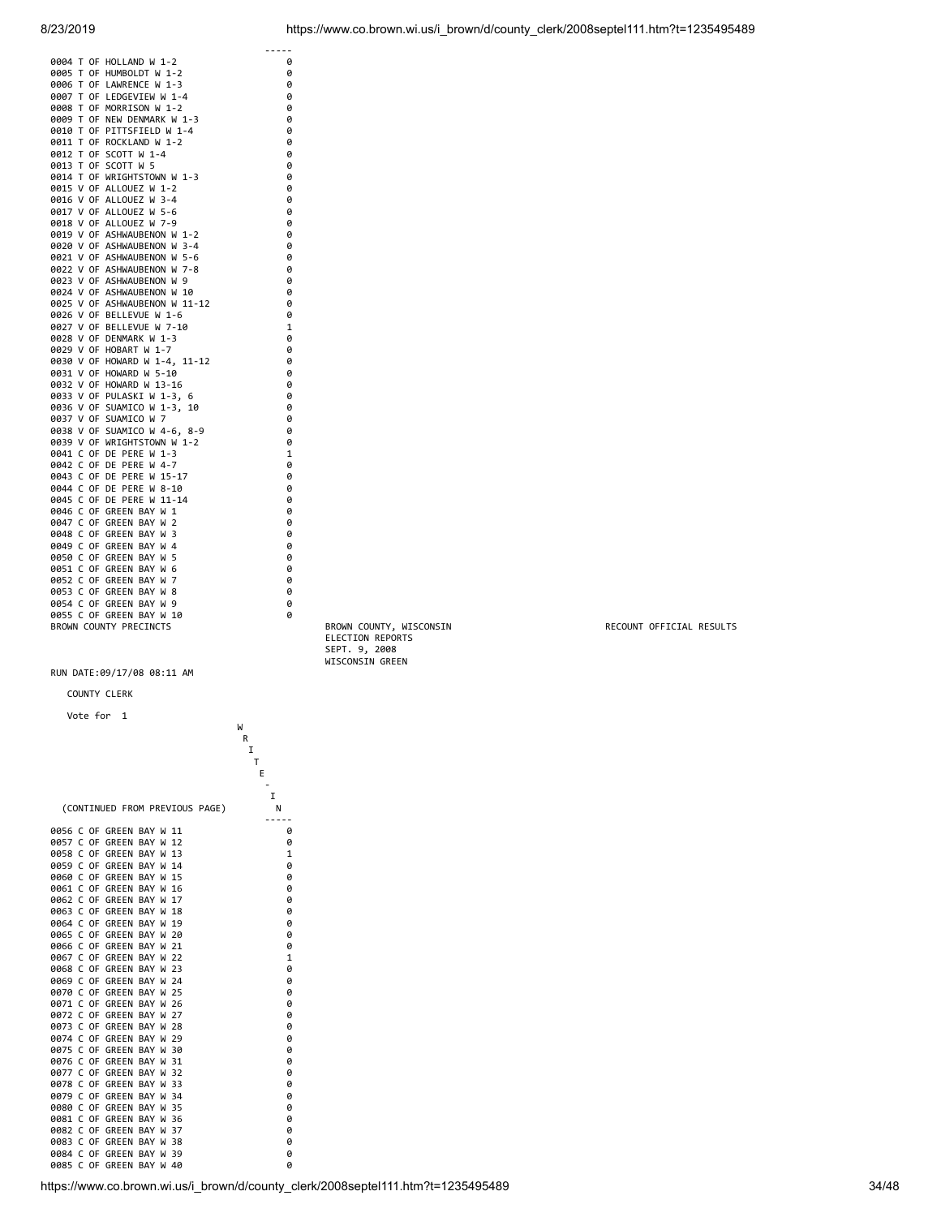|                                            | -----        |
|--------------------------------------------|--------------|
| 0004 T OF HOLLAND W 1-2                    | 0            |
| T OF HUMBOLDT W 1-2<br>0005                | 0            |
| LAWRENCE W 1-3<br>0006<br>T OF             | 0            |
| T OF LEDGEVIEW W 1-4<br>0007               | 0            |
| T OF MORRISON W 1-2<br>0008                | 0            |
| 0009 T OF NEW DENMARK W 1-3                | 0            |
| 0010<br>T OF PITTSFIELD W 1-4              | 0            |
| 0011 T OF ROCKLAND W 1-2                   | 0            |
| 0012<br>T OF SCOTT W 1-4                   | 0            |
| 0013 T OF SCOTT W 5                        | 0            |
| 0014 T OF<br>WRIGHTSTOWN W 1-3             | 0            |
| 0015 V OF ALLOUEZ W 1-2                    | 0            |
| 0016 V OF ALLOUEZ W 3-4                    | 0            |
| 0017 V OF ALLOUEZ W 5-6                    | 0            |
| 0018 V OF ALLOUEZ W 7-9                    | 0            |
| 0019 V OF ASHWAUBENON W 1-2                | 0            |
| 0020 V OF ASHWAUBENON W 3-4                | 0            |
| 0021 V OF ASHWAUBENON W 5-6                | 0            |
| 0022 V OF ASHWAUBENON W 7-8                | 0            |
| 0023 V OF ASHWAUBENON W 9                  | 0            |
| 0024 V OF ASHWAUBENON W 10                 | 0            |
| 0025 V OF ASHWAUBENON W 11-12              | 0            |
| 0026 V OF BELLEVUE W 1-6                   | 0            |
| 0027 V OF BELLEVUE W 7-10                  | $\mathbf{1}$ |
| 0028 V OF DENMARK W 1-3                    |              |
|                                            | 0            |
| 0029 V OF HOBART W 1-7                     | 0            |
| 0030 V OF HOWARD W 1-4, 11-12              | 0            |
| 0031 V OF HOWARD W 5-10                    | 0            |
| 0032 V OF HOWARD W 13-16                   | 0            |
| 0033 V OF PULASKI W 1-3, 6                 | 0            |
| 0036 V OF SUAMICO W 1-3,<br>10             | 0            |
| 0037 V OF SUAMICO W 7                      | 0            |
| 0038 V OF SUAMICO W 4-6, 8-9               | 0            |
| 0039 V OF WRIGHTSTOWN W 1-2                | 0            |
| 0041<br>C OF DE PERE W 1-3                 | $\mathbf{1}$ |
| C OF DE PERE W 4-7<br>0042                 | 0            |
| 0043 C OF DE PERE W 15-17                  | 0            |
| 0044 C OF DE PERE W 8-10                   | 0            |
| 0045<br>C OF DE PERE W<br>$11 - 14$        | 0            |
| C OF GREEN BAY<br>1<br>0046<br>W           | 0            |
| $\overline{2}$<br>0047<br>C OF GREEN BAY W | 0            |
| 0048<br>C OF GREEN BAY W<br>3              | 0            |
| 0049 C OF GREEN BAY W<br>$\overline{4}$    | 0            |
| 0050 C OF GREEN BAY W<br>5                 | 0            |
| 0051<br>C OF GREEN BAY W<br>6              | 0            |
| C OF GREEN BAY W<br>0052<br>7              | 0            |
| C OF GREEN BAY W<br>0053<br>8              | 0            |
| 0054<br>C OF GREEN BAY W<br>9              | 0            |
| 0055 C OF GREEN BAY W<br>10                | 0            |
| BROWN COUNTY PRECINCTS                     |              |
|                                            |              |

COUNTY CLERK

| Vote for                                                             |              |
|----------------------------------------------------------------------|--------------|
| 1                                                                    |              |
| W                                                                    |              |
| R                                                                    |              |
| I                                                                    |              |
| т                                                                    |              |
| E                                                                    |              |
|                                                                      |              |
| I                                                                    |              |
| (CONTINUED FROM PREVIOUS PAGE)<br>N                                  |              |
|                                                                      |              |
| 0056 C<br>0F<br>GREEN<br>BAY<br>W<br>11                              | 0            |
| 0057<br>C<br>0F<br>12<br>GREEN<br>BAY<br>W                           | 0            |
| 0058<br>C<br>0F<br>GREEN<br>BAY<br>W<br>13                           | 1            |
| C<br>0F<br>0059<br>GREEN<br>BAY<br>W<br>14                           | 0            |
| 0060<br>C<br>0F<br>GREEN<br>BAY<br>W<br>15                           | 0            |
| C<br>GREEN<br>0061<br>0F<br>BAY<br>16<br>W                           | 0            |
| 0062<br>C<br>0F<br>GREEN<br>BAY<br>W<br>17                           | 0            |
| 0063<br>C<br>0F<br>GREEN<br>BAY<br>W<br>18                           | 0            |
| 0064<br>C<br>0F<br>GREEN<br>BAY<br>19<br>W                           | 0            |
| C<br>0065<br>0F<br>GREEN<br>BAY<br>20<br>W                           | 0            |
| 0066<br>C<br>0F<br>GREEN<br>BAY<br>21<br>W                           | 0            |
| 0067<br>C<br>0F<br>GREEN<br>BAY<br>22<br>W                           | $\mathbf{1}$ |
| 0068<br>C<br>0F<br>GREEN<br>BAY<br>23<br>W                           | 0            |
| 0069<br>C<br>0F<br>GREEN<br>24<br>BAY<br>W                           | 0            |
| C<br>0F<br>25<br>0070<br>GREEN<br>BAY<br>W                           | 0            |
| C<br>0F<br>GREEN<br>BAY<br>26<br>0071<br>W                           | 0            |
| 0072<br>C<br>0F<br>GREEN<br>BAY<br>27<br>W                           | 0            |
| C<br>0F<br>GREEN<br>0073<br>BAY<br>28<br>W                           | 0            |
| C<br>0074<br>0F<br>GREEN<br>BAY<br>29<br>W                           | 0            |
| Ċ<br>0075<br>0F<br>GREEN<br>BAY<br>W<br>30                           | 0            |
| 0076<br>C<br>0F<br>GREEN<br>BAY<br>31<br>W                           | 0            |
| C<br>0F<br>GREEN<br>BAY<br>0077<br>W<br>32                           | 0            |
| 0078<br>C<br>0F<br>GREEN<br>BAY<br>33<br>W                           | 0            |
| C<br>0079<br>0F<br>GREEN<br>BAY<br>W<br>34                           | 0            |
| 0080<br>C<br>0F<br>GREEN<br>BAY<br>35<br>W                           | 0            |
| 0081<br>C<br>0F<br>GREEN<br>BAY<br>36<br>W                           | 0            |
| 0082<br>C<br>0F<br>GREEN<br>37<br>BAY<br>W<br>0083<br>C<br>BAY       | 0            |
| 0F<br>GREEN<br>38<br>W<br>C<br>0084<br>0F<br>GREEN<br>BAY<br>39<br>W | 0<br>0       |
| 0085<br>C<br>0F<br>GREEN<br>BAY W<br>40                              | 0            |
|                                                                      |              |

ELECTION REPORTS SEPT. 9, 2008 WISCONSIN GREEN

RECOUNT OFFICIAL RESULTS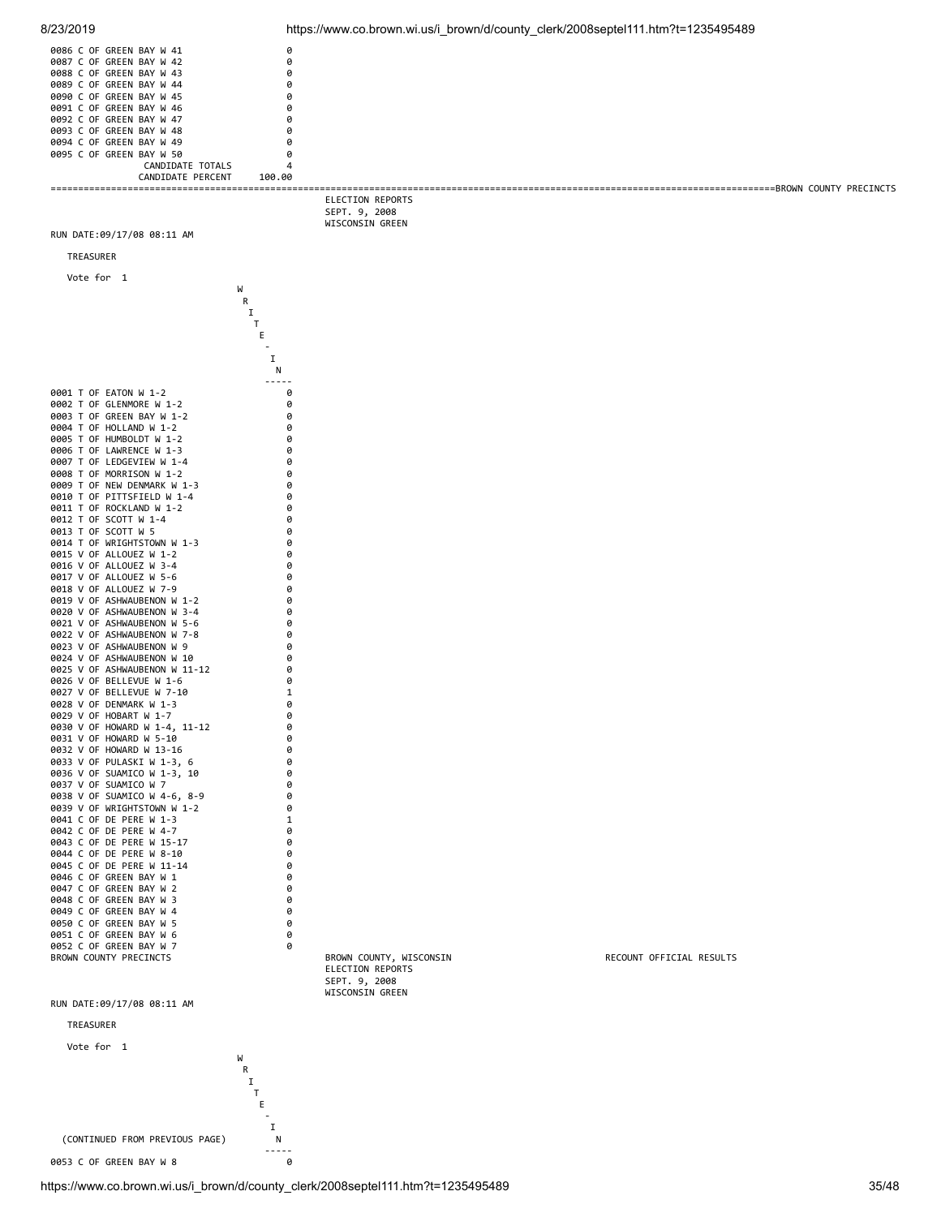| 8/23/2019                                                  | https://www.co.brown.wi.us/i_brown/d/county_clerk/2008septel111.htm?t=1235495489 |                          |
|------------------------------------------------------------|----------------------------------------------------------------------------------|--------------------------|
| 0086 C OF GREEN BAY W 41                                   | 0                                                                                |                          |
| 0087 C OF GREEN BAY W 42<br>0088 C OF GREEN BAY W 43       | 0<br>0                                                                           |                          |
| 0089 C OF GREEN BAY W 44                                   | 0                                                                                |                          |
| 0090 C OF GREEN BAY W 45<br>0091 C OF GREEN BAY W 46       | 0<br>0                                                                           |                          |
| 0092 C OF GREEN BAY W 47                                   | 0                                                                                |                          |
| 0093 C OF GREEN BAY W 48<br>0094 C OF GREEN BAY W 49       | 0<br>0                                                                           |                          |
| 0095 C OF GREEN BAY W 50                                   | 0                                                                                |                          |
| CANDIDATE TOTALS<br>CANDIDATE PERCENT<br>100.00            | 4                                                                                |                          |
|                                                            | ELECTION REPORTS                                                                 |                          |
|                                                            | SEPT. 9, 2008                                                                    |                          |
| RUN DATE:09/17/08 08:11 AM                                 | WISCONSIN GREEN                                                                  |                          |
| TREASURER                                                  |                                                                                  |                          |
|                                                            |                                                                                  |                          |
| Vote for 1<br>W                                            |                                                                                  |                          |
| R<br>1                                                     |                                                                                  |                          |
| Τ                                                          |                                                                                  |                          |
| Ε                                                          |                                                                                  |                          |
| I                                                          | Ν                                                                                |                          |
|                                                            |                                                                                  |                          |
| 0001 T OF EATON W 1-2<br>0002 T OF GLENMORE W 1-2          | 0<br>0                                                                           |                          |
| 0003 T OF GREEN BAY W 1-2                                  | 0                                                                                |                          |
| 0004 T OF HOLLAND W 1-2<br>0005 T OF HUMBOLDT W 1-2        | 0<br>0                                                                           |                          |
| 0006 T OF LAWRENCE W 1-3                                   | 0                                                                                |                          |
| 0007 T OF LEDGEVIEW W 1-4<br>0008 T OF MORRISON W 1-2      | 0<br>0                                                                           |                          |
| 0009 T OF NEW DENMARK W 1-3                                | 0                                                                                |                          |
| 0010 T OF PITTSFIELD W 1-4<br>0011 T OF ROCKLAND W 1-2     | 0<br>0                                                                           |                          |
| 0012 T OF SCOTT W 1-4<br>0013 T OF SCOTT W 5               | 0<br>0                                                                           |                          |
| 0014 T OF WRIGHTSTOWN W 1-3                                | 0                                                                                |                          |
| 0015 V OF ALLOUEZ W 1-2<br>0016 V OF ALLOUEZ W 3-4         | 0<br>0                                                                           |                          |
| 0017 V OF ALLOUEZ W 5-6                                    | 0                                                                                |                          |
| 0018 V OF ALLOUEZ W 7-9<br>0019 V OF ASHWAUBENON W 1-2     | 0<br>0                                                                           |                          |
| 0020 V OF ASHWAUBENON W 3-4                                | 0                                                                                |                          |
| 0021 V OF ASHWAUBENON W 5-6<br>0022 V OF ASHWAUBENON W 7-8 | 0<br>0                                                                           |                          |
| 0023 V OF ASHWAUBENON W 9<br>0024 V OF ASHWAUBENON W 10    | 0<br>0                                                                           |                          |
| 0025 V OF ASHWAUBENON W 11-12                              | 0                                                                                |                          |
| 0026 V OF BELLEVUE W 1-6<br>0027 V OF BELLEVUE W 7-10      | 0<br>1                                                                           |                          |
| 0028 V OF DENMARK W 1-3                                    | 0                                                                                |                          |
| 0029 V OF HOBART W 1-7<br>0030 V OF HOWARD W 1-4, 11-12    | 0<br>0                                                                           |                          |
| 0031 V OF HOWARD W 5-10                                    | 0                                                                                |                          |
| 0032 V OF HOWARD W 13-16<br>0033 V OF PULASKI W 1-3, 6     | 0<br>0                                                                           |                          |
| 0036 V OF SUAMICO W 1-3, 10<br>0037 V OF SUAMICO W 7       | 0<br>0                                                                           |                          |
| 0038 V OF SUAMICO W 4-6, 8-9                               | 0                                                                                |                          |
| 0039 V OF WRIGHTSTOWN W 1-2<br>0041 C OF DE PERE W 1-3     | 0<br>1                                                                           |                          |
| 0042 C OF DE PERE W 4-7                                    | 0                                                                                |                          |
| 0043 C OF DE PERE W 15-17<br>0044 C OF DE PERE W 8-10      | 0<br>0                                                                           |                          |
| 0045 C OF DE PERE W 11-14<br>0046 C OF GREEN BAY W 1       | 0<br>0                                                                           |                          |
| 0047 C OF GREEN BAY W 2                                    | 0                                                                                |                          |
| 0048 C OF GREEN BAY W 3<br>0049 C OF GREEN BAY W 4         | 0<br>0                                                                           |                          |
| 0050 C OF GREEN BAY W 5                                    | 0                                                                                |                          |
| 0051 C OF GREEN BAY W 6<br>0052 C OF GREEN BAY W 7         | 0<br>0                                                                           |                          |
| BROWN COUNTY PRECINCTS                                     | BROWN COUNTY, WISCONSIN<br>ELECTION REPORTS                                      | RECOUNT OFFICIAL RESULTS |
|                                                            | SEPT. 9, 2008                                                                    |                          |
| RUN DATE:09/17/08 08:11 AM                                 | WISCONSIN GREEN                                                                  |                          |
|                                                            |                                                                                  |                          |
| TREASURER                                                  |                                                                                  |                          |
| Vote for 1<br>W                                            |                                                                                  |                          |
| R                                                          |                                                                                  |                          |
| Ι.<br>Τ                                                    |                                                                                  |                          |
| Ε                                                          |                                                                                  |                          |
| I                                                          |                                                                                  |                          |
| (CONTINUED FROM PREVIOUS PAGE)                             | Ν                                                                                |                          |
| 0053 C OF GREEN BAY W 8                                    | 0                                                                                |                          |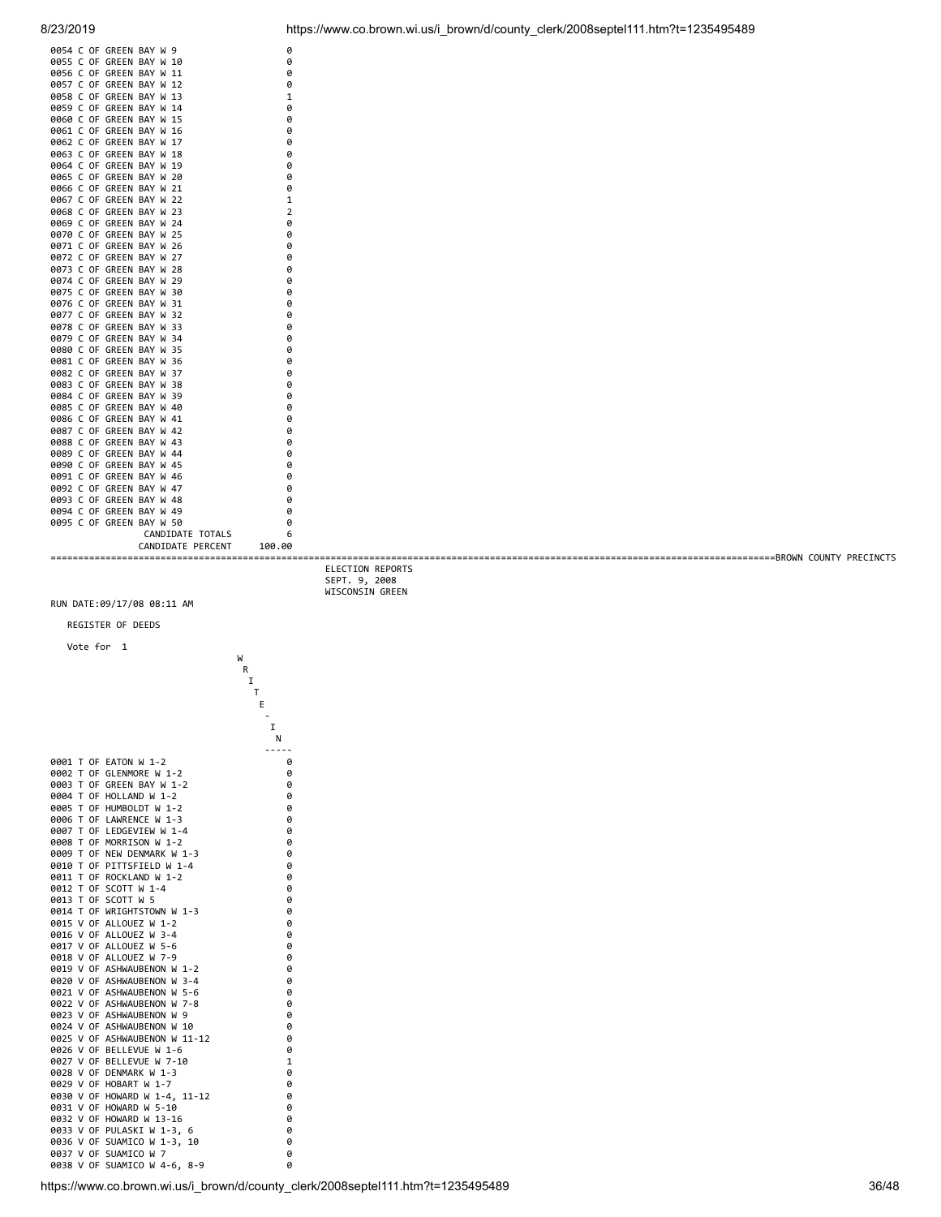| 0054 C OF GREEN BAY W 9  | 0              |  |
|--------------------------|----------------|--|
| 0055 C OF GREEN BAY W 10 | 0              |  |
| 0056 C OF GREEN BAY W 11 | 0              |  |
| 0057 C OF GREEN BAY W 12 | 0              |  |
| 0058 C OF GREEN BAY W 13 | 1              |  |
|                          |                |  |
| 0059 C OF GREEN BAY W 14 | 0              |  |
| 0060 C OF GREEN BAY W 15 | 0              |  |
| 0061 C OF GREEN BAY W 16 | 0              |  |
| 0062 C OF GREEN BAY W 17 | 0              |  |
| 0063 C OF GREEN BAY W 18 | 0              |  |
| 0064 C OF GREEN BAY W 19 | 0              |  |
| 0065 C OF GREEN BAY W 20 | 0              |  |
| 0066 C OF GREEN BAY W 21 | 0              |  |
| 0067 C OF GREEN BAY W 22 | 1              |  |
| 0068 C OF GREEN BAY W 23 | $\overline{2}$ |  |
| 0069 C OF GREEN BAY W 24 | 0              |  |
| 0070 C OF GREEN BAY W 25 | 0              |  |
|                          |                |  |
| 0071 C OF GREEN BAY W 26 | 0              |  |
| 0072 C OF GREEN BAY W 27 | 0              |  |
| 0073 C OF GREEN BAY W 28 | 0              |  |
| 0074 C OF GREEN BAY W 29 | 0              |  |
| 0075 C OF GREEN BAY W 30 | 0              |  |
| 0076 C OF GREEN BAY W 31 | 0              |  |
| 0077 C OF GREEN BAY W 32 | 0              |  |
| 0078 C OF GREEN BAY W 33 | 0              |  |
| 0079 C OF GREEN BAY W 34 | 0              |  |
| 0080 C OF GREEN BAY W 35 | 0              |  |
| 0081 C OF GREEN BAY W 36 | 0              |  |
| 0082 C OF GREEN BAY W 37 | 0              |  |
| 0083 C OF GREEN BAY W 38 | 0              |  |
| 0084 C OF GREEN BAY W 39 | 0              |  |
| 0085 C OF GREEN BAY W 40 | 0              |  |
| 0086 C OF GREEN BAY W 41 | 0              |  |
|                          |                |  |
| 0087 C OF GREEN BAY W 42 | 0              |  |
| 0088 C OF GREEN BAY W 43 | 0              |  |
| 0089 C OF GREEN BAY W 44 | 0              |  |
| 0090 C OF GREEN BAY W 45 | 0              |  |
| 0091 C OF GREEN BAY W 46 | 0              |  |
| 0092 C OF GREEN BAY W 47 | 0              |  |
| 0093 C OF GREEN BAY W 48 | 0              |  |
| 0094 C OF GREEN BAY W 49 | 0              |  |
| 0095 C OF GREEN BAY W 50 | ø              |  |
| CANDIDATE TOTALS         | 6              |  |
| CANDIDATE PERCENT        | 100.00         |  |
|                          |                |  |

 ELECTION REPORTS SEPT. 9, 2008 WISCONSIN GREEN

RUN DATE:09/17/08 08:11 AM

**R R I** 

REGISTER OF DEEDS

 Vote for 1 W

**The Community of the Community of the Community of The Community of The Community of The Community of The Community** Experience of the control of the control of the Control of the Control of the Control of the Control of the Co  $\mathbf{I}$  . The contract of the contract of  $\mathbf{I}$  N 0001 T OF EATON W 1-2 0<br>0002 T OF GLEMMORE W 1-2 0<br>0003 T OF GREEN BAY W 1-2 0<br>0004 T OF HOLLAND W 1-2 0 0002 T OF GLENMORE W 1-2 0 0003 T OF GREEN BAY W 1-2 0 0004 T OF HOLLAND W 1-2<br>
0004 T OF HOLLAND W 1-2 0 0005 T OF HUMBOLDT W 1-2 0<br>0006 T OF LAWRENCE W 1-3 0 0006 T OF LAWRENCE W 1-3 0<br>0007 T OF LEDGEVIEW W 1-4 0 0007 T OF LEDGEVIEW W 1-4 0<br>0008 T OF MORRISON W 1-2 0 0008 T OF MORRISON W 1-2<br>0009 T OF NEW DENMARK W 1-3 0 0009 T OF NEW DENMARK W 1-3 0 0010 T OF PITTSFIELD W 1-4<br>
0011 T OF ROCKLAND W 1-2 0 0011 T OF ROCKLAND W 1-2 0<br>0012 T OF SCOTT W 1-4 0 0012 T OF SCOTT W 1-4 0<br>0013 T OF SCOTT W 5 0 0013 T OF SCOTT W 5<br>
0014 T OF WRIGHTSTOWN W 1-3 0 0014 T OF WRIGHTSTOWN W 1-3 0 0015 V OF ALLOUEZ W 1-2 0 0016 V OF ALLOUEZ W 3-4 0017 V OF ALLOUEZ W 3-6 0 0017 V OF ALLOUEZ W 5-6 0017 V OF ALLOUEZ W 5-6 00<br>0018 V OF ALLOUEZ W 7-9 0 0018 V OF ALLOUEZ W 7-9 0<br>0019 V OF ASHWAUBENON W 1-2 0 0019 V OF ASHWAUBENON W 1-2 0<br>0020 V OF ASHWAUBENON W 3-4 0 0020 V OF ASHWAUBENON W 3-4 0 0021 V OF ASHWAUBENON W 5-6 0 0022 V OF ASHWAUBENON W 7-8 0 0023 V OF ASHWAUBENON W 9<br>
0023 V OF ASHWAUBENON W 10<br>
0024 V OF ASHWAUBENON W 10 0024 V OF ASHWAUBENON W 10 0025 V OF ASHWAUBENON W 11-12 0 0025 V OF ASHWAUBENON W 11-12 0<br>0026 V OF BELLEVUE W 1-6 0 0026 V OF BELLEVUE W 1-6 0<br>0027 V OF BELLEVUE W 7-10 1 0027 V OF BELLEVUE W 7-10<br>0028 V OF DENMARK W 1-3 0027 V OF BELELVOL W 7-1 0029 V OF HOBART W 1-7 00<br>0030 V OF HOWARD W 1-4, 11-12 0 0030 V OF HOWARD W 1-4, 11-12 0<br>0031 V OF HOWARD W 5-10 0 0031 V OF HOWARD W 5-10<br>0032 V OF HOWARD W 13-16 0 0032 V OF HOWARD W 13-16<br>0033 V OF PULASKI W 1-3, 6 0033 V OF PULASKI W 1-3, 6 0 0036 V OF SUAMICO W 1-3, 10 0 0037 V OF SUAMICO W 7 00037 V OF SUAMICO W 7 0038 V OF SUAMICO W 4-6, 8-9

 $\begin{bmatrix} T & & & & \\ & E & & & & \\ & & \ddots & & & \\ & & & I & & \end{bmatrix}$ 

N<br>-----<br>0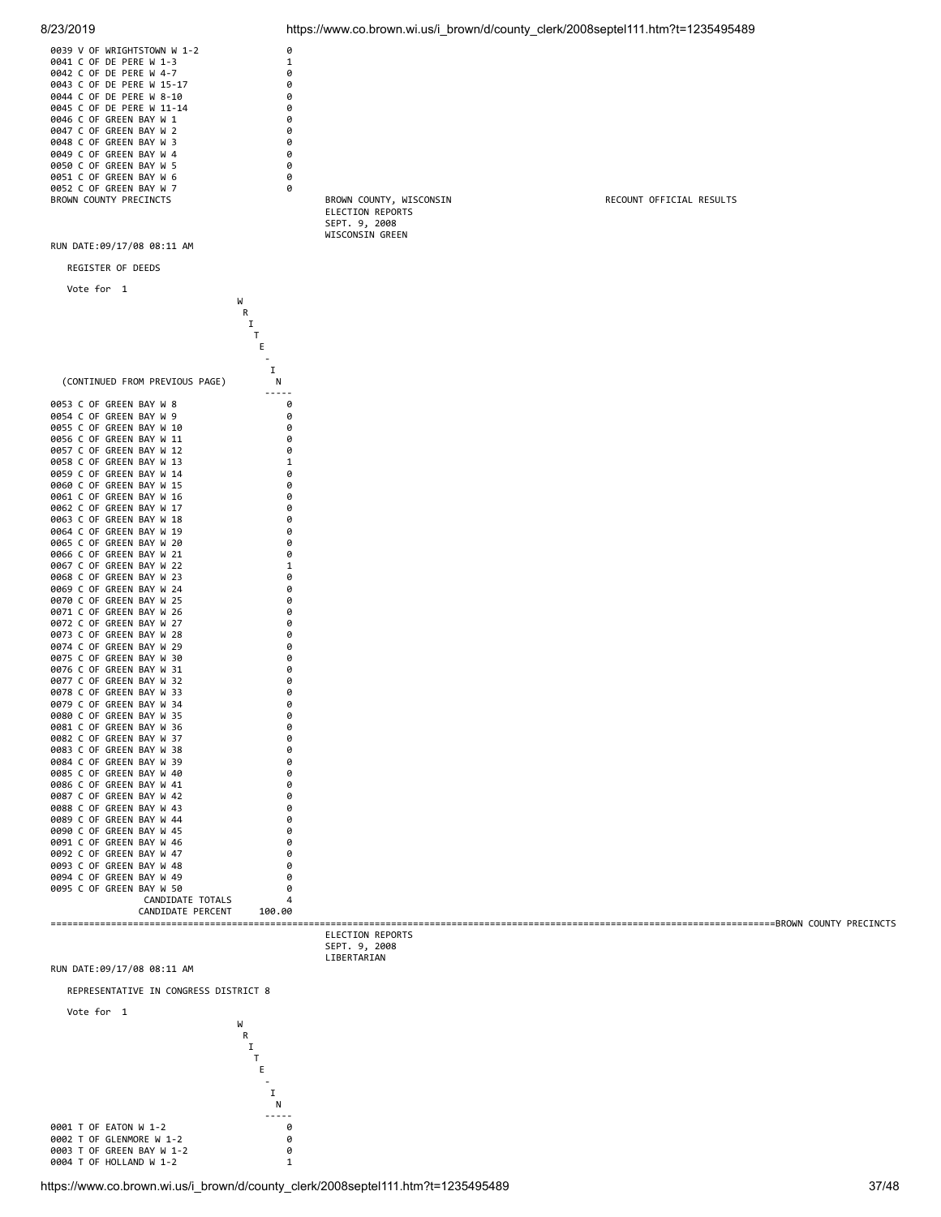| 8/23/2019                                                                                                                                                                                                                                                                                                                                                                                                                                                                                                                                                                                                                                                                                                                                                                                                                                                                                                                                                                                                                                                                                                                                                                                                                                                                               |                                                                                                                                                                                           |                                                                                 | https://www.co.brown.wi.us/i_brown/d/county_clerk/2008septel111.htm?t=1235495489 |
|-----------------------------------------------------------------------------------------------------------------------------------------------------------------------------------------------------------------------------------------------------------------------------------------------------------------------------------------------------------------------------------------------------------------------------------------------------------------------------------------------------------------------------------------------------------------------------------------------------------------------------------------------------------------------------------------------------------------------------------------------------------------------------------------------------------------------------------------------------------------------------------------------------------------------------------------------------------------------------------------------------------------------------------------------------------------------------------------------------------------------------------------------------------------------------------------------------------------------------------------------------------------------------------------|-------------------------------------------------------------------------------------------------------------------------------------------------------------------------------------------|---------------------------------------------------------------------------------|----------------------------------------------------------------------------------|
| 0039 V OF WRIGHTSTOWN W 1-2<br>0041 C OF DE PERE W 1-3<br>0042 C OF DE PERE W 4-7<br>0043 C OF DE PERE W 15-17<br>0044 C OF DE PERE W 8-10<br>0045 C OF DE PERE W 11-14<br>0046 C OF GREEN BAY W 1<br>0047 C OF GREEN BAY W 2<br>0048 C OF GREEN BAY W 3<br>0049 C OF GREEN BAY W 4<br>0050 C OF GREEN BAY W 5<br>0051 C OF GREEN BAY W 6<br>0052 C OF GREEN BAY W 7<br>BROWN COUNTY PRECINCTS<br>RUN DATE:09/17/08 08:11 AM                                                                                                                                                                                                                                                                                                                                                                                                                                                                                                                                                                                                                                                                                                                                                                                                                                                            | 0<br>1<br>0<br>0<br>0<br>0<br>0<br>0<br>0<br>0<br>0<br>0<br>0                                                                                                                             | BROWN COUNTY, WISCONSIN<br>ELECTION REPORTS<br>SEPT. 9, 2008<br>WISCONSIN GREEN | RECOUNT OFFICIAL RESULTS                                                         |
| REGISTER OF DEEDS                                                                                                                                                                                                                                                                                                                                                                                                                                                                                                                                                                                                                                                                                                                                                                                                                                                                                                                                                                                                                                                                                                                                                                                                                                                                       |                                                                                                                                                                                           |                                                                                 |                                                                                  |
| Vote for 1                                                                                                                                                                                                                                                                                                                                                                                                                                                                                                                                                                                                                                                                                                                                                                                                                                                                                                                                                                                                                                                                                                                                                                                                                                                                              |                                                                                                                                                                                           |                                                                                 |                                                                                  |
|                                                                                                                                                                                                                                                                                                                                                                                                                                                                                                                                                                                                                                                                                                                                                                                                                                                                                                                                                                                                                                                                                                                                                                                                                                                                                         | W<br>R<br>Ι.<br>Τ<br>Ε                                                                                                                                                                    |                                                                                 |                                                                                  |
| (CONTINUED FROM PREVIOUS PAGE)                                                                                                                                                                                                                                                                                                                                                                                                                                                                                                                                                                                                                                                                                                                                                                                                                                                                                                                                                                                                                                                                                                                                                                                                                                                          | I<br>N                                                                                                                                                                                    |                                                                                 |                                                                                  |
| 0053 C OF GREEN BAY W 8<br>0054 C OF GREEN BAY W 9<br>0055 C OF GREEN BAY W 10<br>0056 C OF GREEN BAY W 11<br>0057 C OF GREEN BAY W 12<br>0058 C OF GREEN BAY W 13<br>0059 C OF GREEN BAY W 14<br>0060 C OF GREEN BAY W 15<br>0061 C OF GREEN BAY W 16<br>0062 C OF GREEN BAY W 17<br>0063 C OF GREEN BAY W 18<br>0064 C OF GREEN BAY W 19<br>0065 C OF GREEN BAY W 20<br>0066 C OF GREEN BAY W 21<br>0067 C OF GREEN BAY W 22<br>0068 C OF GREEN BAY W 23<br>0069 C OF GREEN BAY W 24<br>0070 C OF GREEN BAY W 25<br>0071 C OF GREEN BAY W 26<br>0072 C OF GREEN BAY W 27<br>0073 C OF GREEN BAY W 28<br>0074 C OF GREEN BAY W 29<br>0075 C OF GREEN BAY W 30<br>0076 C OF GREEN BAY W 31<br>0077 C OF GREEN BAY W 32<br>0078 C OF GREEN BAY W 33<br>0079 C OF GREEN BAY W 34<br>0080 C OF GREEN BAY W 35<br>0081 C OF GREEN BAY W 36<br>0082 C OF GREEN BAY W 37<br>0083 C OF GREEN BAY W 38<br>0084 C OF GREEN BAY W 39<br>0085 C OF GREEN BAY W 40<br>0086 C OF GREEN BAY W 41<br>0087 C OF GREEN BAY W 42<br>0088 C OF GREEN BAY W 43<br>0089 C OF GREEN BAY W 44<br>0090 C OF GREEN BAY W 45<br>0091 C OF GREEN BAY W 46<br>0092 C OF GREEN BAY W 47<br>0093 C OF GREEN BAY W 48<br>0094 C OF GREEN BAY W 49<br>0095 C OF GREEN BAY W 50<br>CANDIDATE TOTALS<br>CANDIDATE PERCENT | -----<br>0<br>0<br>0<br>0<br>0<br>1<br>0<br>0<br>0<br>0<br>0<br>0<br>0<br>0<br>1<br>0<br>0<br>0<br>0<br>0<br>0<br>0<br>0<br>0<br>0<br>0<br>0<br>ø<br>a<br>a<br>a<br>a<br>a<br>a<br>100.00 |                                                                                 |                                                                                  |
|                                                                                                                                                                                                                                                                                                                                                                                                                                                                                                                                                                                                                                                                                                                                                                                                                                                                                                                                                                                                                                                                                                                                                                                                                                                                                         |                                                                                                                                                                                           | ELECTION REPORTS                                                                |                                                                                  |
|                                                                                                                                                                                                                                                                                                                                                                                                                                                                                                                                                                                                                                                                                                                                                                                                                                                                                                                                                                                                                                                                                                                                                                                                                                                                                         |                                                                                                                                                                                           | SEPT. 9, 2008<br>LIBERTARIAN                                                    |                                                                                  |
| RUN DATE:09/17/08 08:11 AM                                                                                                                                                                                                                                                                                                                                                                                                                                                                                                                                                                                                                                                                                                                                                                                                                                                                                                                                                                                                                                                                                                                                                                                                                                                              |                                                                                                                                                                                           |                                                                                 |                                                                                  |
| BEBBECENTATIVE IN CONCRECC BICIBICI C                                                                                                                                                                                                                                                                                                                                                                                                                                                                                                                                                                                                                                                                                                                                                                                                                                                                                                                                                                                                                                                                                                                                                                                                                                                   |                                                                                                                                                                                           |                                                                                 |                                                                                  |

REPRESENTATIVE IN CONGRESS DISTRICT 8

W R I T E - I N

Vote for 1

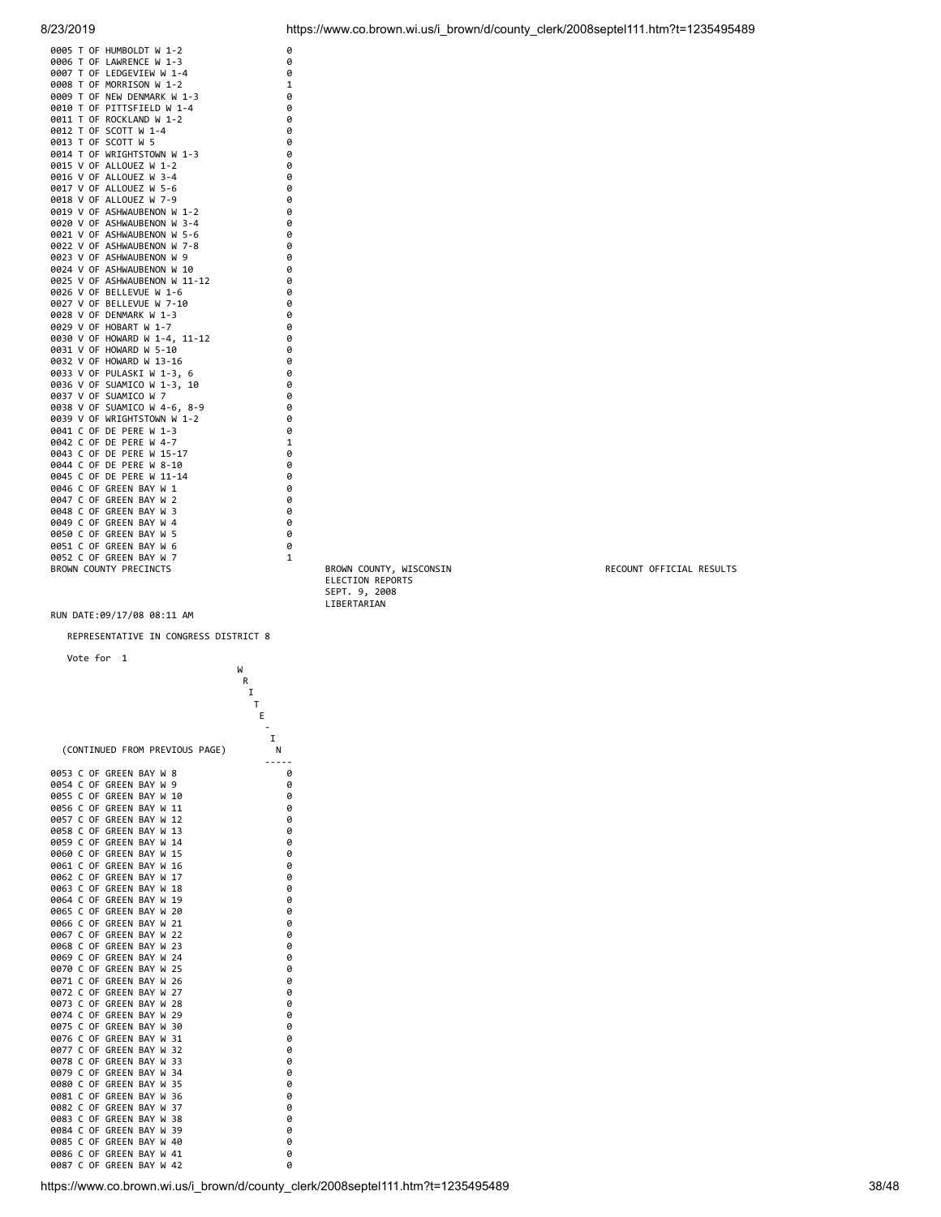|  | 0005 T OF HUMBOLDT W 1-2                | 0            |
|--|-----------------------------------------|--------------|
|  | 0006 T OF LAWRENCE W 1-3                | 0            |
|  | 0007 T OF LEDGEVIEW W 1-4               | 0            |
|  | 0008 T OF MORRISON W 1-2                | 1            |
|  | 0009 T OF NEW DENMARK W 1-3             | 0            |
|  | 0010 T OF PITTSFIELD W 1-4              | 0            |
|  | 0011 T OF ROCKLAND W 1-2                | 0            |
|  | 0012 T OF SCOTT W 1-4                   | 0            |
|  | 0013 T OF SCOTT W 5                     | 0            |
|  | 0014 T OF WRIGHTSTOWN W 1-3             | 0            |
|  | 0015 V OF ALLOUEZ W 1-2                 | 0            |
|  | 0016 V OF ALLOUEZ W 3-4                 | 0            |
|  | 0017 V OF ALLOUEZ W 5-6                 | 0            |
|  | 0018 V OF ALLOUEZ W 7-9                 | 0            |
|  | 0019 V OF ASHWAUBENON W 1-2             | 0            |
|  | 0020 V OF ASHWAUBENON W 3-4             | 0            |
|  | 0021 V OF ASHWAUBENON W 5-6             | 0            |
|  | 0022 V OF ASHWAUBENON W 7-8             | 0            |
|  | 0023 V OF ASHWAUBENON W 9               | 0            |
|  | 0024 V OF ASHWAUBENON W 10              | 0            |
|  | 0025 V OF ASHWAUBENON W 11-12           | 0            |
|  | 0026 V OF BELLEVUE W 1-6                | 0            |
|  | 0027 V OF BELLEVUE W 7-10               | 0            |
|  | 0028 V OF DENMARK W 1-3                 | 0            |
|  | 0029 V OF HOBART W 1-7                  | 0            |
|  | 0030 V OF HOWARD W 1-4, 11-12           | 0            |
|  | 0031 V OF HOWARD W 5-10                 | 0            |
|  | 0032 V OF HOWARD W 13-16                | 0            |
|  | 0033 V OF PULASKI W 1-3, 6              | 0            |
|  | 0036 V OF SUAMICO W 1-3, 10             | 0            |
|  | 0037 V OF SUAMICO W 7                   | 0            |
|  | 0038 V OF SUAMICO W 4-6, 8-9            | 0            |
|  | 0039 V OF WRIGHTSTOWN W 1-2             | 0            |
|  | 0041 C OF DE PERE W 1-3                 | 0            |
|  | 0042 C OF DE PERE W 4-7                 | $\mathbf{1}$ |
|  | 0043 C OF DE PERE W 15-17               | 0            |
|  | 0044 C OF DE PERE W 8-10                | 0            |
|  |                                         | 0            |
|  | 0045 C OF DE PERE W 11-14               |              |
|  | 0046 C OF GREEN BAY W 1                 | 0            |
|  | 0047 C OF GREEN BAY W<br>$\overline{2}$ | 0            |
|  | 0048 C OF GREEN BAY W<br>3              | 0            |
|  | 0049 C OF GREEN BAY W 4                 | 0            |
|  | 0050 C OF GREEN BAY W<br>5              | 0            |
|  | 0051 C OF GREEN BAY W<br>6              | 0            |
|  | 0052 C OF GREEN BAY W<br>7              | $\mathbf{1}$ |
|  | <b>BROWN COUNTY PRECINCTS</b>           |              |
|  |                                         |              |

REPRESENTATIVE IN CONGRESS DISTRICT 8

|              |        | Vote for |                              | 1 |            |        |                          |       | W |   |        |  |
|--------------|--------|----------|------------------------------|---|------------|--------|--------------------------|-------|---|---|--------|--|
|              |        |          |                              |   |            |        |                          |       | R |   |        |  |
|              |        |          |                              |   |            |        |                          |       | I |   |        |  |
|              |        |          |                              |   |            |        |                          |       |   | T |        |  |
|              |        |          |                              |   |            |        |                          |       |   | E |        |  |
|              |        |          |                              |   |            |        |                          |       |   |   | I      |  |
|              |        |          |                              |   |            |        | (CONTINUED FROM PREVIOUS | PAGE) |   |   | Ν      |  |
|              |        |          |                              |   |            |        |                          |       |   |   |        |  |
| 0053         | C      | 0F       | <b>GREEN</b>                 |   | BAY        | W      | 8                        |       |   |   | 0      |  |
| 0054         | C      | 0F       | <b>GREEN</b>                 |   | BAY        | W      | 9                        |       |   |   | 0      |  |
| 0055         | C      | 0F       | GREEN                        |   | BAY        | W      | 10                       |       |   |   | 0      |  |
| 0056         | C      | 0F       | <b>GREEN</b>                 |   | BAY        | W      | 11                       |       |   |   | 0      |  |
| 0057         | Ċ<br>C | 0F       | <b>GREEN</b>                 |   | BAY        | W      | 12                       |       |   |   | 0      |  |
| 0058<br>0059 | C      | 0F<br>0F | <b>GREEN</b><br><b>GREEN</b> |   | BAY<br>BAY | W<br>W | 13<br>14                 |       |   |   | 0<br>0 |  |
| 0060         | C      | 0F       | GREEN                        |   | BAY        | W      | 15                       |       |   |   | 0      |  |
| 0061         | Ċ      | 0F       | <b>GREEN</b>                 |   | BAY        | W      | 16                       |       |   |   | 0      |  |
| 0062         | Ċ      | 0F       | GREEN                        |   | BAY        | W      | 17                       |       |   |   | 0      |  |
| 0063         | C      | 0F       | <b>GREEN</b>                 |   | BAY        | W      | 18                       |       |   |   | 0      |  |
| 0064         | Ċ      | 0F       | <b>GREEN</b>                 |   | BAY        | W      | 19                       |       |   |   | 0      |  |
| 0065         | Ċ      | 0F       | GREEN                        |   | BAY        | W      | 20                       |       |   |   | 0      |  |
| 0066         | C      | 0F       | GREEN                        |   | BAY        | W      | 21                       |       |   |   | 0      |  |
| 0067         | Ċ      | 0F       | GREEN                        |   | BAY        | W      | 22                       |       |   |   | 0      |  |
| 0068         | c      | 0F       | <b>GREEN</b>                 |   | BAY        | W      | 23                       |       |   |   | 0      |  |
| 0069         | C      | 0F       | <b>GREEN</b>                 |   | BAY        | W      | 24                       |       |   |   | 0      |  |
| 0070         | C      | 0F       | <b>GREEN</b>                 |   | BAY        | W      | 25                       |       |   |   | 0      |  |
| 0071         | c      | 0F       | <b>GREEN</b>                 |   | BAY        | W      | 26                       |       |   |   | 0      |  |
| 0072         | Ċ      | 0F       | GREEN                        |   | BAY        | W      | 27                       |       |   |   | 0      |  |
| 0073         | Ċ      | 0F       | <b>GREEN</b>                 |   | BAY        | W      | 28                       |       |   |   | 0      |  |
| 0074         | C      | 0F       | <b>GREEN</b>                 |   | BAY        | W      | 29                       |       |   |   | 0      |  |
| 0075         | C      | 0F       | <b>GREEN</b>                 |   | BAY        | W      | 30                       |       |   |   | 0      |  |
| 0076         | C      | 0F       | <b>GREEN</b>                 |   | BAY        | W      | 31                       |       |   |   | 0      |  |
| 0077         | c      | 0F       | <b>GREEN</b>                 |   | BAY        | W      | 32                       |       |   |   | 0      |  |
| 0078         | C      | 0F       | <b>GREEN</b>                 |   | BAY        | W      | 33                       |       |   |   | 0      |  |
| 0079         | C      | 0F       | GREEN                        |   | BAY        | W      | 34                       |       |   |   | 0      |  |
| 0080         | C<br>Ċ | 0F       | <b>GREEN</b>                 |   | BAY        | W      | 35                       |       |   |   | 0      |  |
| 0081         | Ċ      | 0F       | <b>GREEN</b>                 |   | BAY        | W      | 36                       |       |   |   | 0      |  |
| 0082<br>0083 | c      | 0F<br>0F | <b>GREEN</b><br><b>GREEN</b> |   | BAY<br>BAY | W<br>W | 37<br>38                 |       |   |   | 0<br>0 |  |
| 0084         | C      | 0F       | GREEN                        |   | BAY        | W      | 39                       |       |   |   | 0      |  |
| 0085         | Ċ      | 0F       | <b>GREEN</b>                 |   | BAY        | W      | 40                       |       |   |   | 0      |  |
| 0086         | Ċ      | 0F       | GREEN                        |   | BAY        | W      | 41                       |       |   |   | 0      |  |
| 0087         | Ċ      | 0F       | <b>GREEN</b>                 |   | BAY        | W      | 42                       |       |   |   | 0      |  |
|              |        |          |                              |   |            |        |                          |       |   |   |        |  |

BROWN COUNTY PRECINCTS BROWN COUNTY, WISCONSIN RECOUNT OFFICIAL RESULTS ELECTION REPORTS SEPT. 9, 2008 LIBERTARIAN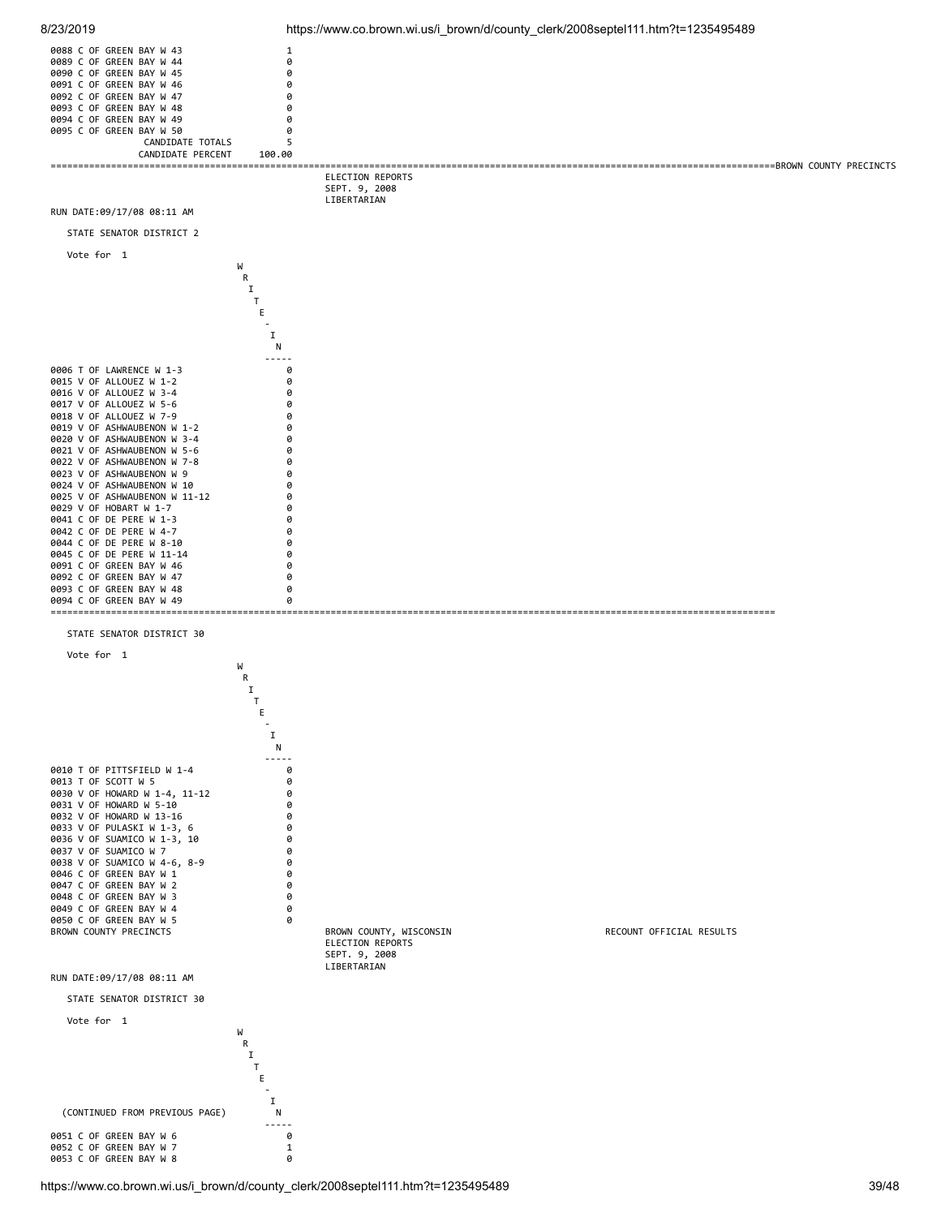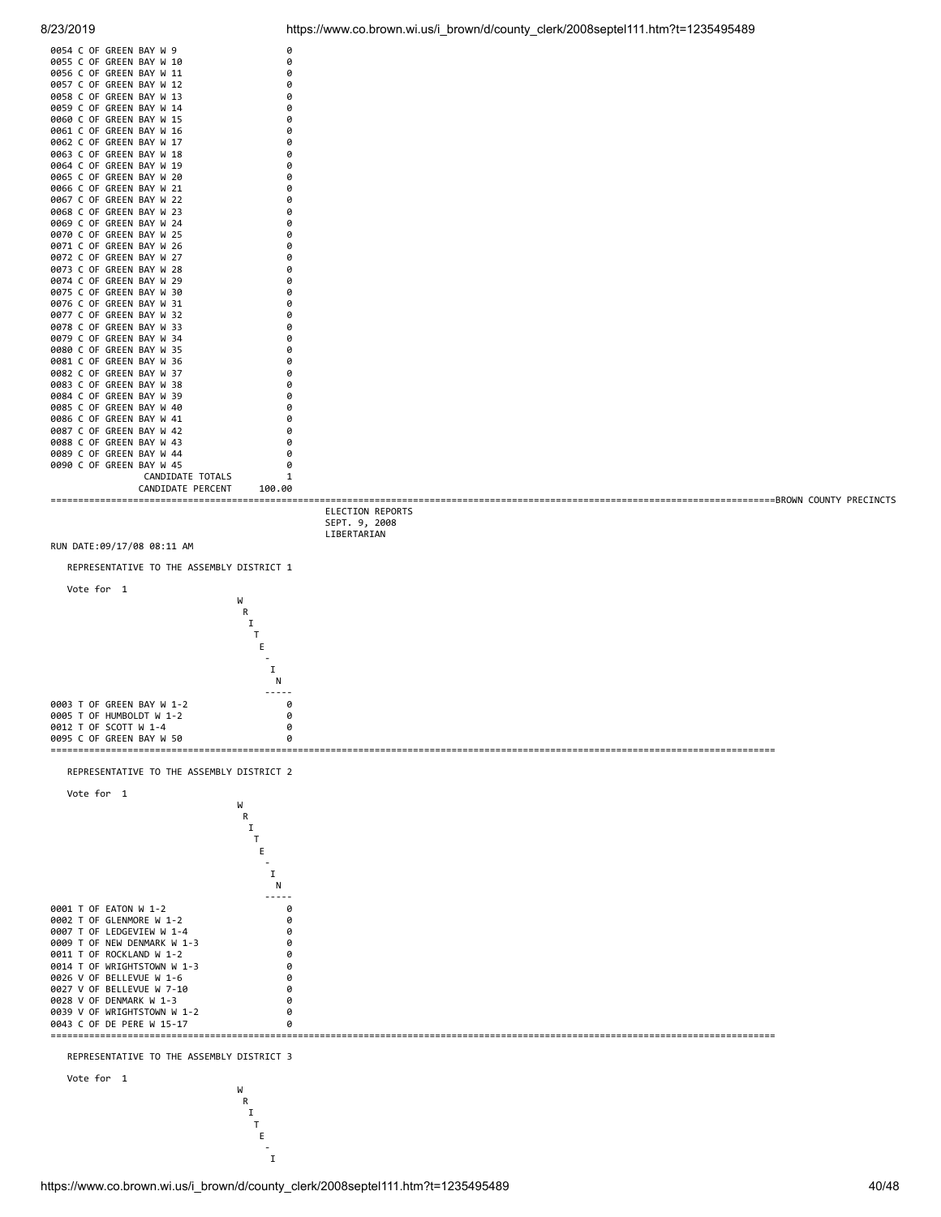| 0054 | C            | 0F | <b>GREEN</b> | BAY             | W | 9                          | 0            |  |
|------|--------------|----|--------------|-----------------|---|----------------------------|--------------|--|
| 0055 | C            | 0F | <b>GREEN</b> | BAY             | W | 10                         | 0            |  |
| 0056 | C            | 0F | <b>GREEN</b> | BAY             | W | 11                         | 0            |  |
| 0057 | C            | 0F | <b>GREEN</b> | BAY             | W | 12                         | 0            |  |
| 0058 | C            | 0F | <b>GREEN</b> | BAY             | W | 13                         | 0            |  |
| 0059 | C            | 0F | <b>GREEN</b> | BAY             | W | 14                         | 0            |  |
| 0060 | C            | 0F | <b>GREEN</b> | BAY             | W | 15                         | 0            |  |
| 0061 | Ċ            | 0F | <b>GREEN</b> | BAY             | W | 16                         | 0            |  |
| 0062 | C            | 0F | <b>GREEN</b> | BAY             | W | 17                         | 0            |  |
| 0063 | C            | 0F | GREEN        | BAY             | W | 18                         | 0            |  |
| 0064 | C            | 0F | GREEN        | BAY             | W | 19                         | 0            |  |
| 0065 | C            | 0F | GREEN        | BAY             | W | 20                         | 0            |  |
| 0066 | C            | 0F | GREEN        | BAY             | W | 21                         | 0            |  |
| 0067 | C            | 0F | GREEN        | BAY             | W | 22                         | 0            |  |
| 0068 | C.           | 0F | GREEN        | BAY             | W | 23                         | 0            |  |
| 0069 | C            | 0F | <b>GREEN</b> | BAY             | W | 24                         | 0            |  |
| 0070 | C            | 0F | <b>GREEN</b> | BAY             | W | 25                         | 0            |  |
| 0071 | C            | 0F | <b>GREEN</b> | BAY             | W | 26                         | 0            |  |
| 0072 | C            | 0F | <b>GREEN</b> | BAY             | W | 27                         | 0            |  |
| 0073 | C            | 0F | <b>GREEN</b> | BAY             | W | 28                         | 0            |  |
| 0074 | C            | 0F | <b>GREEN</b> | BAY             | W | 29                         | 0            |  |
| 0075 | C            | 0F | GREEN        | BAY             | W | 30                         | 0            |  |
| 0076 | $\mathsf{C}$ | 0F | GREEN        | BAY             | W | 31                         | 0            |  |
| 0077 | C            | 0F | GREEN        | BAY             | W | 32                         | 0            |  |
| 0078 | C            | 0F | GREEN        | BAY             | W | 33                         | 0            |  |
| 0079 | C            | 0F | GREEN        | BAY             | W | 34                         | 0            |  |
| 0080 | C            | 0F | GREEN        | BAY             | W | 35                         | 0            |  |
| 0081 | C            | 0F | <b>GREEN</b> | BAY             | W | 36                         | 0            |  |
| 0082 | C            | 0F | <b>GREEN</b> | BAY             | W | 37                         | 0            |  |
| 0083 | C            | 0F | GREEN        | BAY             | W | 38                         | 0            |  |
| 0084 | C            | 0F | GREEN        | BAY             | W | 39                         | 0            |  |
| 0085 | C            | 0F | <b>GREEN</b> | BAY             | W | 40                         | 0            |  |
| 0086 | C            | 0F | <b>GREEN</b> | BAY             | W | 41                         | 0            |  |
| 0087 | Ċ            | 0F | GREEN        | BAY             | W | 42                         | 0            |  |
| 0088 | C            | 0F | <b>GREEN</b> | BAY             | W | 43                         | 0            |  |
| 0089 | C            | 0F | GREEN        | BAY             | W | 44                         | 0            |  |
| 0090 | C            | 0F | GREEN        | <b>BAY W 45</b> |   |                            | 0            |  |
|      |              |    |              |                 |   | CANDIDATE<br><b>TOTALS</b> | $\mathbf{1}$ |  |
|      |              |    |              |                 |   | CANDIDATE<br>PERCENT       | 100.00       |  |

8/23/2019 https://www.co.brown.wi.us/i\_brown/d/county\_clerk/2008septel111.htm?t=1235495489



the contract of the contract of the contract of the I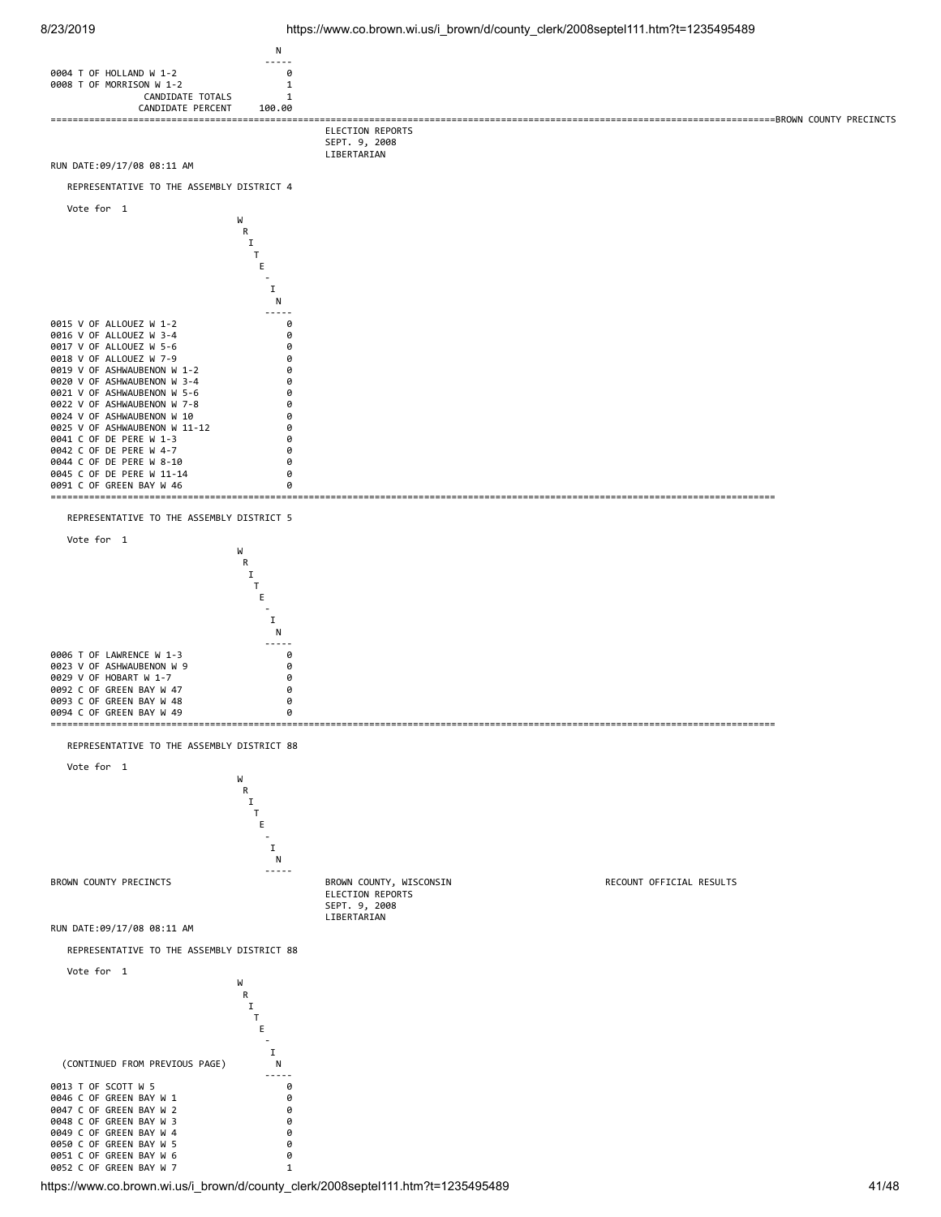



https://www.co.brown.wi.us/i\_brown/d/county\_clerk/2008septel111.htm?t=1235495489 41/48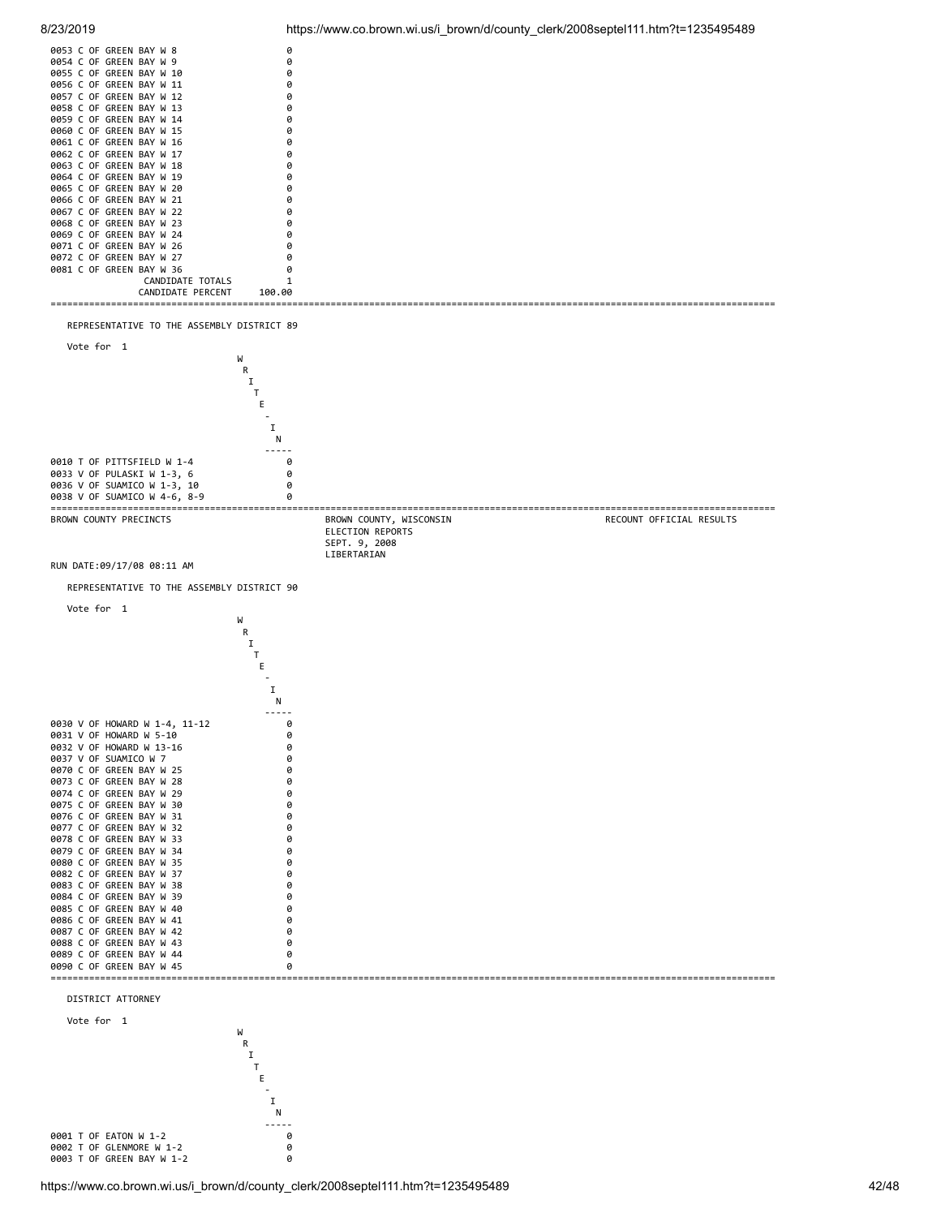



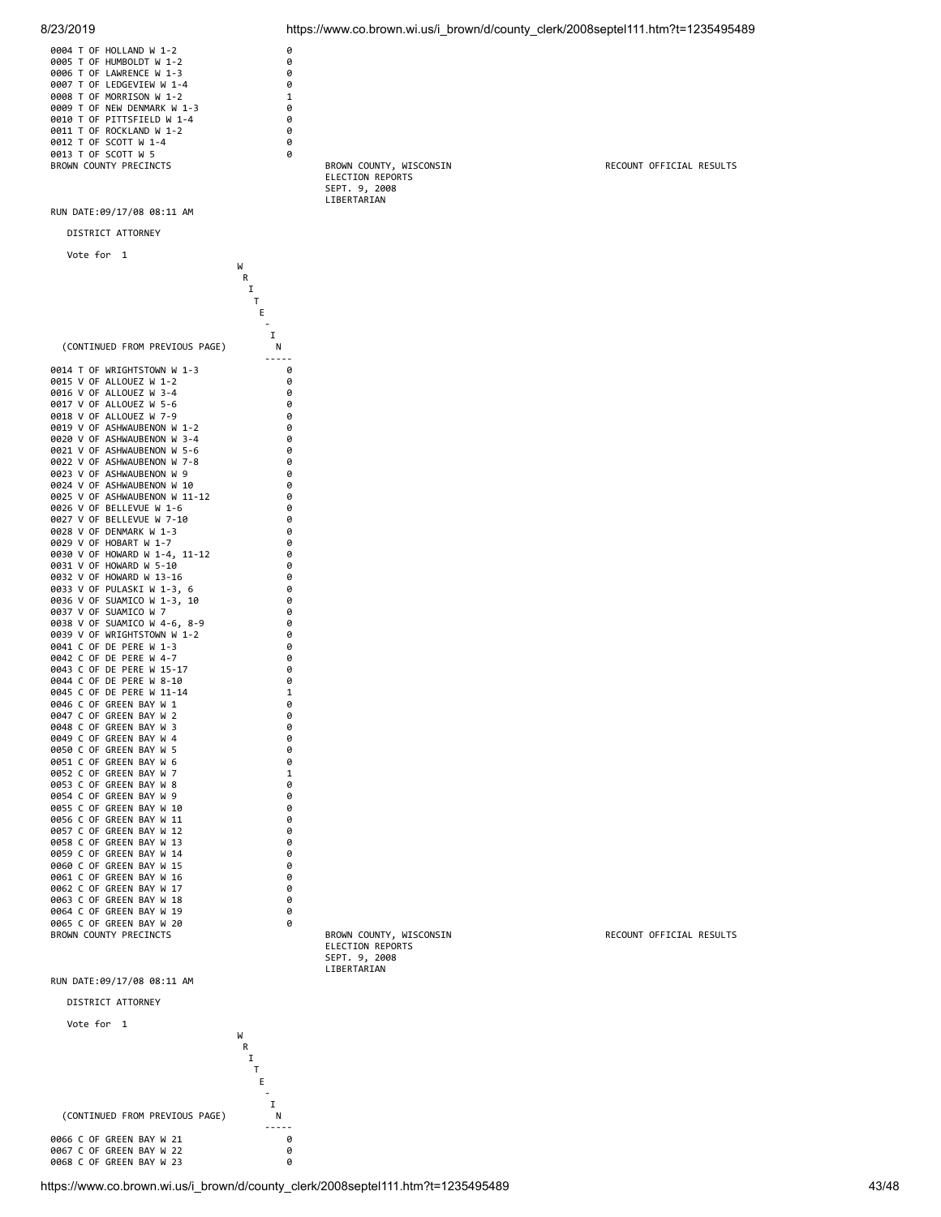| 8/23/2019                                                                                                                                                                                                                                                                                                   |                                                | https://www.co.brown.wi.us/i_brown/d/county_clerk/2008septel111.htm?t=1235495489 |                          |
|-------------------------------------------------------------------------------------------------------------------------------------------------------------------------------------------------------------------------------------------------------------------------------------------------------------|------------------------------------------------|----------------------------------------------------------------------------------|--------------------------|
| 0004 T OF HOLLAND W 1-2<br>0005 T OF HUMBOLDT W 1-2<br>0006 T OF LAWRENCE W 1-3<br>0007 T OF LEDGEVIEW W 1-4<br>0008 T OF MORRISON W 1-2<br>0009 T OF NEW DENMARK W 1-3<br>0010 T OF PITTSFIELD W 1-4<br>0011 T OF ROCKLAND W 1-2<br>0012 T OF SCOTT W 1-4<br>0013 T OF SCOTT W 5<br>BROWN COUNTY PRECINCTS | 0<br>0<br>0<br>0<br>1<br>0<br>0<br>0<br>0<br>0 | BROWN COUNTY, WISCONSIN                                                          | RECOUNT OFFICIAL RESULTS |
|                                                                                                                                                                                                                                                                                                             |                                                | ELECTION REPORTS<br>SEPT. 9, 2008<br>LIBERTARIAN                                 |                          |
| RUN DATE:09/17/08 08:11 AM                                                                                                                                                                                                                                                                                  |                                                |                                                                                  |                          |
| DISTRICT ATTORNEY                                                                                                                                                                                                                                                                                           |                                                |                                                                                  |                          |
| Vote for 1                                                                                                                                                                                                                                                                                                  | W                                              |                                                                                  |                          |
|                                                                                                                                                                                                                                                                                                             | R<br>Ι<br>Т<br>Е<br>I                          |                                                                                  |                          |
| (CONTINUED FROM PREVIOUS PAGE)                                                                                                                                                                                                                                                                              | Ν                                              |                                                                                  |                          |
| 0014 T OF WRIGHTSTOWN W 1-3<br>0015 V OF ALLOUEZ W 1-2<br>0016 V OF ALLOUEZ W 3-4<br>0017 V OF ALLOUEZ W 5-6                                                                                                                                                                                                | .<br>0<br>0<br>0<br>0                          |                                                                                  |                          |
| 0018 V OF ALLOUEZ W 7-9<br>0019 V OF ASHWAUBENON W 1-2<br>0020 V OF ASHWAUBENON W 3-4<br>0021 V OF ASHWAUBENON W 5-6                                                                                                                                                                                        | 0<br>0<br>0<br>0                               |                                                                                  |                          |
| 0022 V OF ASHWAUBENON W 7-8                                                                                                                                                                                                                                                                                 | 0<br>0                                         |                                                                                  |                          |
| 0023 V OF ASHWAUBENON W 9<br>0024 V OF ASHWAUBENON W 10                                                                                                                                                                                                                                                     | 0                                              |                                                                                  |                          |
| 0025 V OF ASHWAUBENON W 11-12<br>0026 V OF BELLEVUE W 1-6                                                                                                                                                                                                                                                   | 0<br>0                                         |                                                                                  |                          |
| 0027 V OF BELLEVUE W 7-10<br>0028 V OF DENMARK W 1-3                                                                                                                                                                                                                                                        | 0<br>0                                         |                                                                                  |                          |
| 0029 V OF HOBART W 1-7                                                                                                                                                                                                                                                                                      | 0                                              |                                                                                  |                          |
| 0030 V OF HOWARD W 1-4, 11-12<br>0031 V OF HOWARD W 5-10                                                                                                                                                                                                                                                    | 0<br>0                                         |                                                                                  |                          |
| 0032 V OF HOWARD W 13-16<br>0033 V OF PULASKI W 1-3, 6                                                                                                                                                                                                                                                      | 0<br>0                                         |                                                                                  |                          |
| 0036 V OF SUAMICO W 1-3, 10                                                                                                                                                                                                                                                                                 | 0                                              |                                                                                  |                          |
| 0037 V OF SUAMICO W 7<br>0038 V OF SUAMICO W 4-6, 8-9                                                                                                                                                                                                                                                       | 0<br>0                                         |                                                                                  |                          |
| 0039 V OF WRIGHTSTOWN W 1-2                                                                                                                                                                                                                                                                                 | 0                                              |                                                                                  |                          |
| 0041 C OF DE PERE W 1-3<br>0042 C OF DE PERE W 4-7                                                                                                                                                                                                                                                          | 0<br>0                                         |                                                                                  |                          |
| 0043 C OF DE PERE W 15-17<br>0044 C OF DE PERE W 8-10                                                                                                                                                                                                                                                       | 0<br>0                                         |                                                                                  |                          |
| 0045 C OF DE PERE W 11-14                                                                                                                                                                                                                                                                                   | 1                                              |                                                                                  |                          |
| 0046 C OF GREEN BAY W 1<br>0047 C OF GREEN BAY W 2                                                                                                                                                                                                                                                          | 0<br>0                                         |                                                                                  |                          |
| 0048 C OF GREEN BAY W 3                                                                                                                                                                                                                                                                                     | 0                                              |                                                                                  |                          |
| 0049 C OF GREEN BAY W 4<br>0050 C OF GREEN BAY W 5                                                                                                                                                                                                                                                          | 0<br>0                                         |                                                                                  |                          |
| 0051 C OF GREEN BAY W 6<br>0052 C OF GREEN BAY W 7                                                                                                                                                                                                                                                          | 0<br>1                                         |                                                                                  |                          |
| 0053 C OF GREEN BAY W 8                                                                                                                                                                                                                                                                                     | 0                                              |                                                                                  |                          |
| 0054 C OF GREEN BAY W 9<br>0055 C OF GREEN BAY W 10                                                                                                                                                                                                                                                         | 0<br>0                                         |                                                                                  |                          |
| 0056 C OF GREEN BAY W 11                                                                                                                                                                                                                                                                                    | 0                                              |                                                                                  |                          |
| 0057 C OF GREEN BAY W 12<br>0058 C OF GREEN BAY W 13                                                                                                                                                                                                                                                        | 0<br>0                                         |                                                                                  |                          |
| 0059 C OF GREEN BAY W 14                                                                                                                                                                                                                                                                                    | 0                                              |                                                                                  |                          |
| 0060 C OF GREEN BAY W 15<br>0061 C OF GREEN BAY W 16                                                                                                                                                                                                                                                        | 0<br>0                                         |                                                                                  |                          |
| 0062 C OF GREEN BAY W 17                                                                                                                                                                                                                                                                                    | 0                                              |                                                                                  |                          |
| 0063 C OF GREEN BAY W 18<br>0064 C OF GREEN BAY W 19                                                                                                                                                                                                                                                        | 0<br>0                                         |                                                                                  |                          |
| 0065 C OF GREEN BAY W 20                                                                                                                                                                                                                                                                                    | 0                                              |                                                                                  |                          |
| BROWN COUNTY PRECINCTS                                                                                                                                                                                                                                                                                      |                                                | BROWN COUNTY, WISCONSIN<br>ELECTION REPORTS<br>SEPT. 9, 2008<br>LIBERTARIAN      | RECOUNT OFFICIAL RESULTS |

RUN DATE:09/17/08 08:11 AM

DISTRICT ATTORNEY

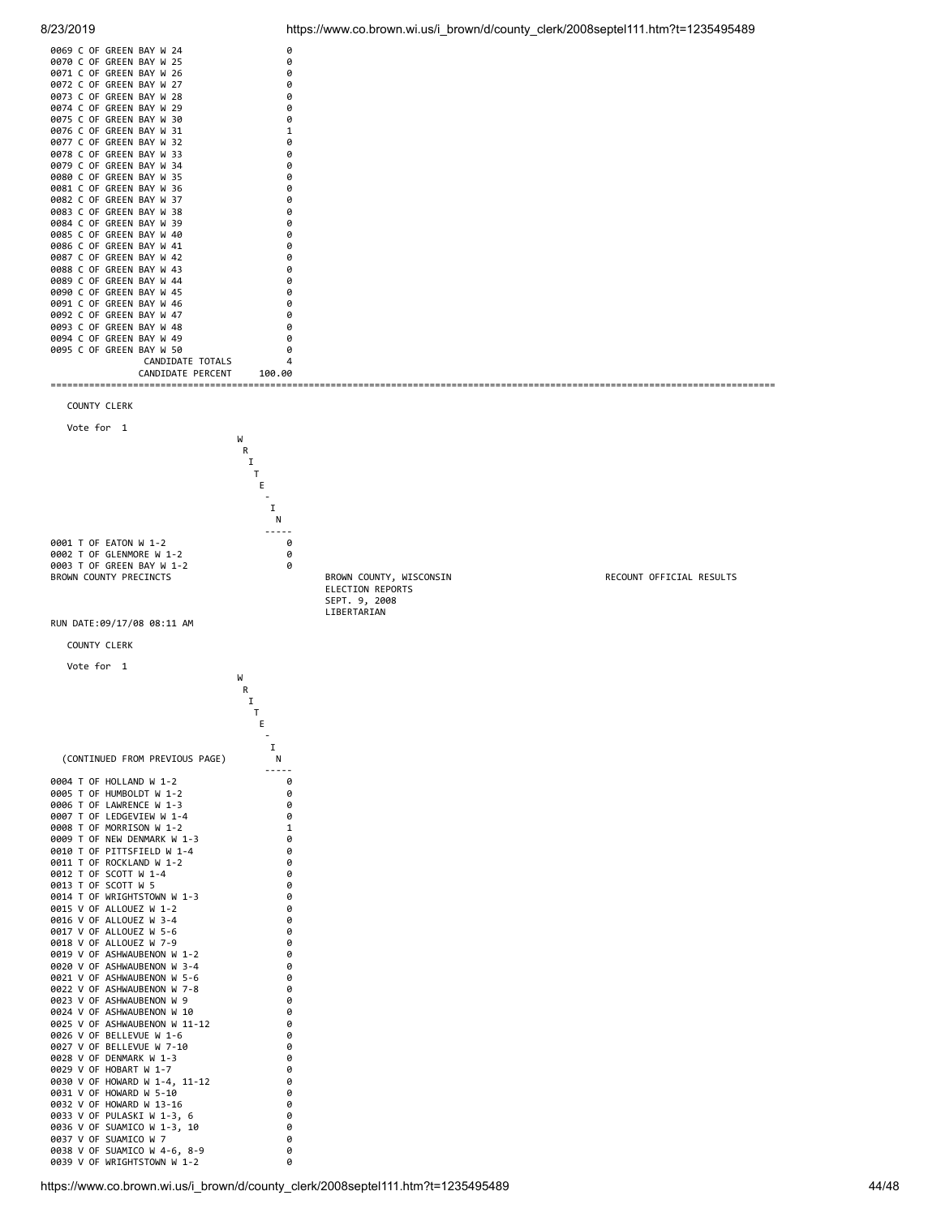| 0069 C OF GREEN BAY W 24 |                   |        |  |
|--------------------------|-------------------|--------|--|
| 0070 C OF GREEN BAY W 25 |                   |        |  |
| 0071 C OF GREEN BAY W 26 |                   |        |  |
| 0072 C OF GREEN BAY W 27 |                   |        |  |
| 0073 C OF GREEN BAY W 28 |                   |        |  |
| 0074 C OF GREEN BAY W 29 |                   |        |  |
| 0075 C OF GREEN BAY W 30 |                   |        |  |
| 0076 C OF GREEN BAY W 31 |                   |        |  |
| 0077 C OF GREEN BAY W 32 |                   |        |  |
| 0078 C OF GREEN BAY W 33 |                   |        |  |
| 0079 C OF GREEN BAY W 34 |                   |        |  |
| 0080 C OF GREEN BAY W 35 |                   |        |  |
| 0081 C OF GREEN BAY W 36 |                   | a      |  |
| 0082 C OF GREEN BAY W 37 |                   |        |  |
| 0083 C OF GREEN BAY W 38 |                   |        |  |
| 0084 C OF GREEN BAY W 39 |                   |        |  |
| 0085 C OF GREEN BAY W 40 |                   |        |  |
| 0086 C OF GREEN BAY W 41 |                   |        |  |
| 0087 C OF GREEN BAY W 42 |                   |        |  |
| 0088 C OF GREEN BAY W 43 |                   |        |  |
| 0089 C OF GREEN BAY W 44 |                   |        |  |
| 0090 C OF GREEN BAY W 45 |                   |        |  |
| 0091 C OF GREEN BAY W 46 |                   |        |  |
| 0092 C OF GREEN BAY W 47 |                   |        |  |
| 0093 C OF GREEN BAY W 48 |                   |        |  |
| 0094 C OF GREEN BAY W 49 |                   |        |  |
| 0095 C OF GREEN BAY W 50 |                   |        |  |
|                          | CANDIDATE TOTALS  |        |  |
|                          | CANDIDATE PERCENT | 100.00 |  |
|                          |                   |        |  |

COUNTY CLERK



0037 V OF SUAMICO W 7 0 0038 V OF SUAMICO W 4-6, 8-9 0 0039 V OF WRIGHTSTOWN W 1-2 0

8/23/2019 https://www.co.brown.wi.us/i\_brown/d/county\_clerk/2008septel111.htm?t=1235495489

 ELECTION REPORTS SEPT. 9, 2008 LIBERTARIAN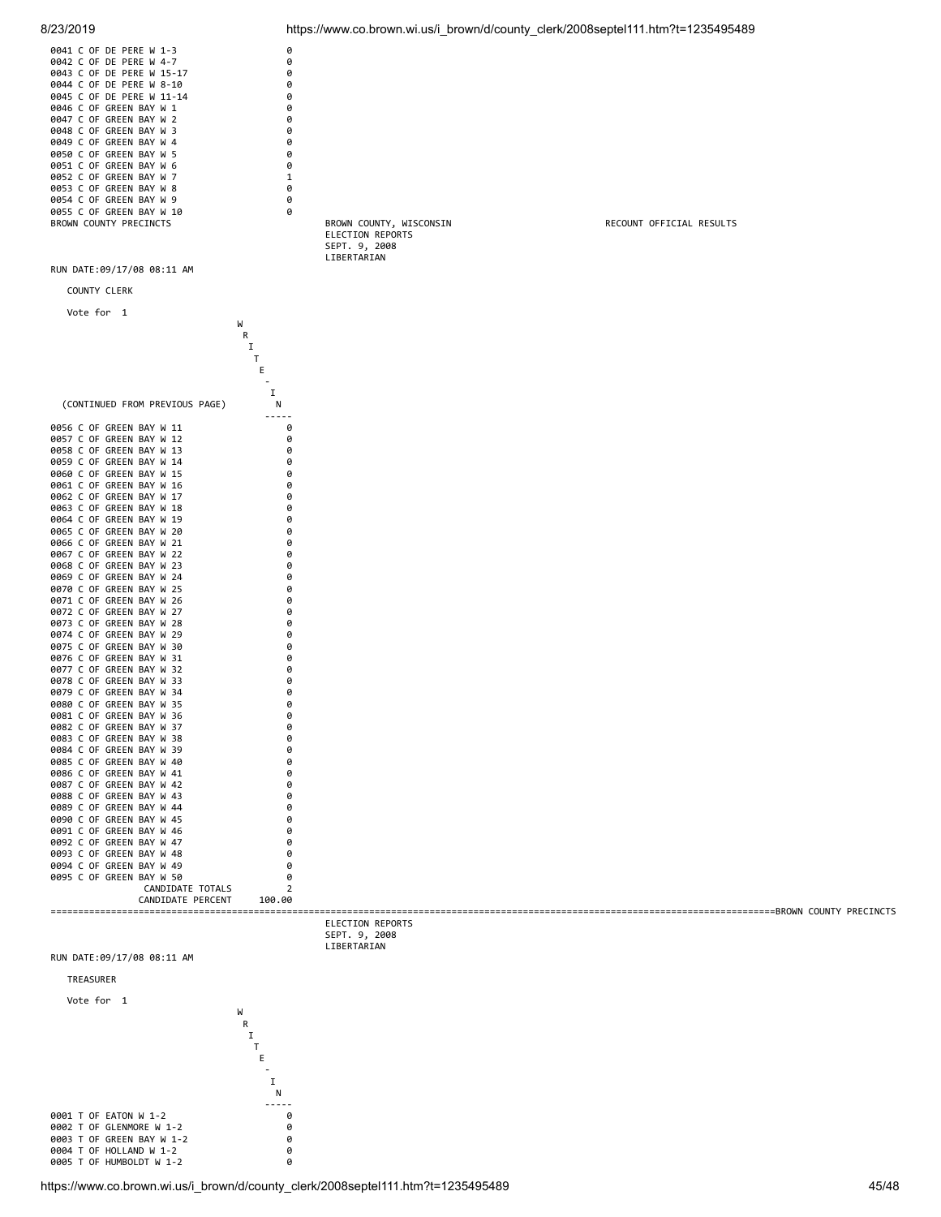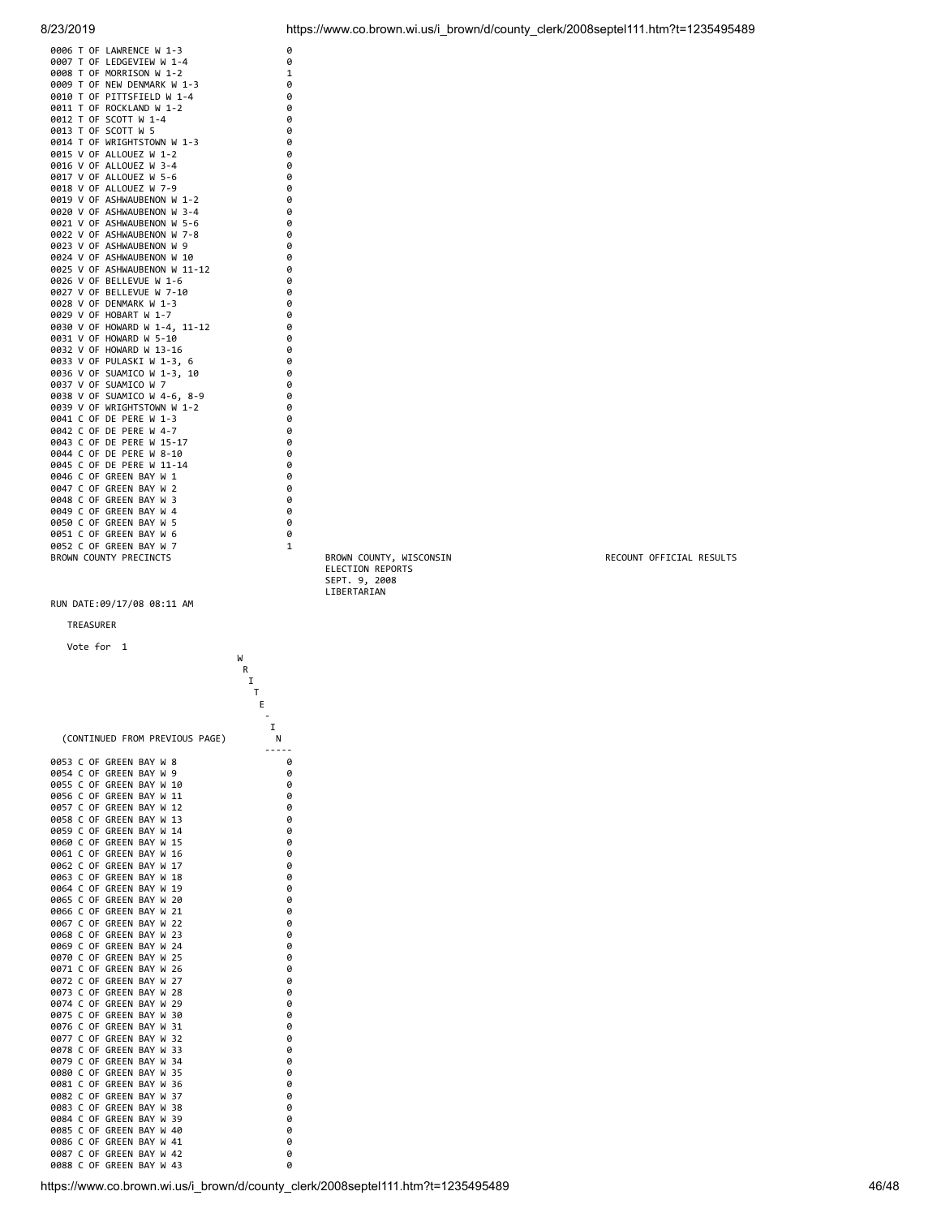| 0006 T OF LAWRENCE W 1-3      | 0            |                         |                          |
|-------------------------------|--------------|-------------------------|--------------------------|
| 0007 T OF LEDGEVIEW W 1-4     | 0            |                         |                          |
| 0008 T OF MORRISON W 1-2      | $\mathbf 1$  |                         |                          |
| 0009 T OF NEW DENMARK W 1-3   | 0            |                         |                          |
| 0010 T OF PITTSFIELD W 1-4    | 0            |                         |                          |
| 0011 T OF ROCKLAND W 1-2      | 0            |                         |                          |
| 0012 T OF SCOTT W 1-4         | 0            |                         |                          |
| 0013 T OF SCOTT W 5           | 0            |                         |                          |
| 0014 T OF WRIGHTSTOWN W 1-3   | 0            |                         |                          |
| 0015 V OF ALLOUEZ W 1-2       | ø            |                         |                          |
| 0016 V OF ALLOUEZ W 3-4       | 0            |                         |                          |
| 0017 V OF ALLOUEZ W 5-6       | 0            |                         |                          |
| 0018 V OF ALLOUEZ W 7-9       | 0            |                         |                          |
| 0019 V OF ASHWAUBENON W 1-2   | 0            |                         |                          |
| 0020 V OF ASHWAUBENON W 3-4   | 0            |                         |                          |
| 0021 V OF ASHWAUBENON W 5-6   | 0            |                         |                          |
| 0022 V OF ASHWAUBENON W 7-8   | 0            |                         |                          |
| 0023 V OF ASHWAUBENON W 9     | 0            |                         |                          |
| 0024 V OF ASHWAUBENON W 10    | 0            |                         |                          |
| 0025 V OF ASHWAUBENON W 11-12 | 0            |                         |                          |
| 0026 V OF BELLEVUE W 1-6      | 0            |                         |                          |
| 0027 V OF BELLEVUE W 7-10     | 0            |                         |                          |
| 0028 V OF DENMARK W 1-3       | 0            |                         |                          |
| 0029 V OF HOBART W 1-7        | 0            |                         |                          |
| 0030 V OF HOWARD W 1-4, 11-12 | 0            |                         |                          |
| 0031 V OF HOWARD W 5-10       | 0            |                         |                          |
| 0032 V OF HOWARD W 13-16      | 0            |                         |                          |
| 0033 V OF PULASKI W 1-3, 6    | 0            |                         |                          |
| 0036 V OF SUAMICO W 1-3, 10   | 0            |                         |                          |
| 0037 V OF SUAMICO W 7         | 0            |                         |                          |
| 0038 V OF SUAMICO W 4-6, 8-9  | ø            |                         |                          |
| 0039 V OF WRIGHTSTOWN W 1-2   | 0            |                         |                          |
| 0041 C OF DE PERE W 1-3       | 0            |                         |                          |
| 0042 C OF DE PERE W 4-7       | 0            |                         |                          |
| 0043 C OF DE PERE W 15-17     | 0            |                         |                          |
| 0044 C OF DE PERE W 8-10      | 0            |                         |                          |
| 0045 C OF DE PERE W 11-14     | 0            |                         |                          |
| 0046 C OF GREEN BAY W 1       | 0            |                         |                          |
| 0047 C OF GREEN BAY W 2       | ø            |                         |                          |
| 0048 C OF GREEN BAY W 3       | 0            |                         |                          |
| 0049 C OF GREEN BAY W 4       | 0            |                         |                          |
| 0050 C OF GREEN BAY W 5       | 0            |                         |                          |
| 0051 C OF GREEN BAY W 6       | 0            |                         |                          |
| 0052 C OF GREEN BAY W 7       | $\mathbf{1}$ |                         |                          |
| BROWN COUNTY PRECINCTS        |              | BROWN COUNTY, WISCONSIN | RECOUNT OFFICIAL RESULTS |
|                               |              | ELECTION REPORTS        |                          |
|                               |              | SEPT. 9, 2008           |                          |
|                               |              | LIBERTARIAN             |                          |
| RUN DATE:09/17/08 08:11 AM    |              |                         |                          |
|                               |              |                         |                          |
| TREASURER                     |              |                         |                          |
|                               |              |                         |                          |

| Vote for<br>1                                                                            | W      |
|------------------------------------------------------------------------------------------|--------|
|                                                                                          | R      |
|                                                                                          | I<br>T |
|                                                                                          | E      |
|                                                                                          |        |
|                                                                                          | I      |
| (CONTINUED FROM PREVIOUS<br>PAGE)                                                        | Ν      |
| 0053<br>C<br>0F<br><b>GREEN</b><br>BAY<br>8<br>W                                         | 0      |
| 0054<br>C<br>0F<br><b>GREEN</b><br>BAY<br>9<br>W                                         | 0      |
| Ċ<br>0055<br>0F<br>GREEN<br>BAY<br>W<br>10                                               | 0      |
| 0F<br>BAY<br>0056<br>C<br>GREEN<br>W<br>11                                               | 0      |
| 0057<br>C<br>0F<br>GREEN<br>BAY<br>W<br>12                                               | 0      |
| Ċ<br>0058<br>0F<br>GREEN<br>13<br>BAY<br>W                                               | 0      |
| 0059<br>Ċ<br>0F<br><b>GREEN</b><br>BAY<br>14<br>W                                        | 0      |
| Ċ<br>0060<br>0F<br>GREEN<br>BAY<br>W<br>15                                               | 0      |
| Ċ<br>0F<br>GREEN<br>BAY<br>0061<br>W<br>16                                               | 0      |
| 0062<br>C<br>0F<br>GREEN<br>BAY<br>W<br>17                                               | 0      |
| C<br>0F<br>GREEN<br>BAY<br>0063<br>W<br>18                                               | 0      |
| 0064<br>C<br>0F<br>GREEN<br>BAY<br>19<br>W                                               | 0      |
| 0065<br>C<br>0F<br><b>GREEN</b><br>BAY<br>20<br>W                                        | 0      |
| 0066<br>Ċ<br>0F<br>GREEN<br>BAY<br>21<br>W<br>0F<br>BAY<br>22                            | 0      |
| 0067<br>C<br><b>GREEN</b><br>W<br>0068<br>Ċ<br>0F<br>GREEN<br>BAY<br>23<br>W             | 0<br>0 |
| 0069<br>C<br>0F<br>GREEN<br>BAY<br>W<br>24                                               | 0      |
| 0F<br>0070<br>C<br><b>GREEN</b><br>BAY<br>W<br>25                                        | 0      |
| Ċ<br>GREEN<br>0071<br>0F<br>BAY<br>W<br>26                                               | 0      |
| BAY<br>27<br>0072<br>C<br>0F<br><b>GREEN</b><br>W                                        | 0      |
| Ċ<br>GREEN<br>28<br>0073<br>0F<br>BAY<br>W                                               | 0      |
| 0074<br>C<br>0F<br>GREEN<br>BAY<br>W<br>29                                               | 0      |
| 0F<br>0075<br>Ċ<br><b>GREEN</b><br>BAY<br>30<br>W                                        | 0      |
| C<br>0F<br>0076<br>GREEN<br>BAY<br>W<br>31                                               | 0      |
| Ċ<br>BAY<br>0077<br>0F<br><b>GREEN</b><br>W<br>32                                        | 0      |
| C<br>0F<br>GREEN<br>0078<br>BAY<br>W<br>33                                               | 0      |
| 0079<br>C<br>0F<br>GREEN<br>BAY<br>W<br>34                                               | 0      |
| 0F<br>0080<br>C<br><b>GREEN</b><br>BAY<br>W<br>35                                        | 0      |
| C<br>0081<br>0F<br>GREEN<br>BAY<br>W<br>36                                               | 0      |
| BAY<br>0082<br>c<br>0F<br><b>GREEN</b><br>W<br>37                                        | 0      |
| 0083<br>C<br>0F<br><b>GREEN</b><br>BAY<br>W<br>38                                        | 0      |
| C<br>0084<br>0F<br>GREEN<br>BAY<br>39<br>W                                               | 0      |
| 0085<br>c<br>0F<br><b>GREEN</b><br>BAY<br>40<br>W                                        | 0      |
| 0086<br>Ċ<br>0F<br>GREEN<br>BAY<br>W<br>41<br>0087<br>0F<br>BAY<br>42<br>C<br>GREEN<br>W | 0      |
| 0088<br>Ċ<br>0F<br>GREEN<br>BAY<br>43<br>W                                               | 0<br>0 |
|                                                                                          |        |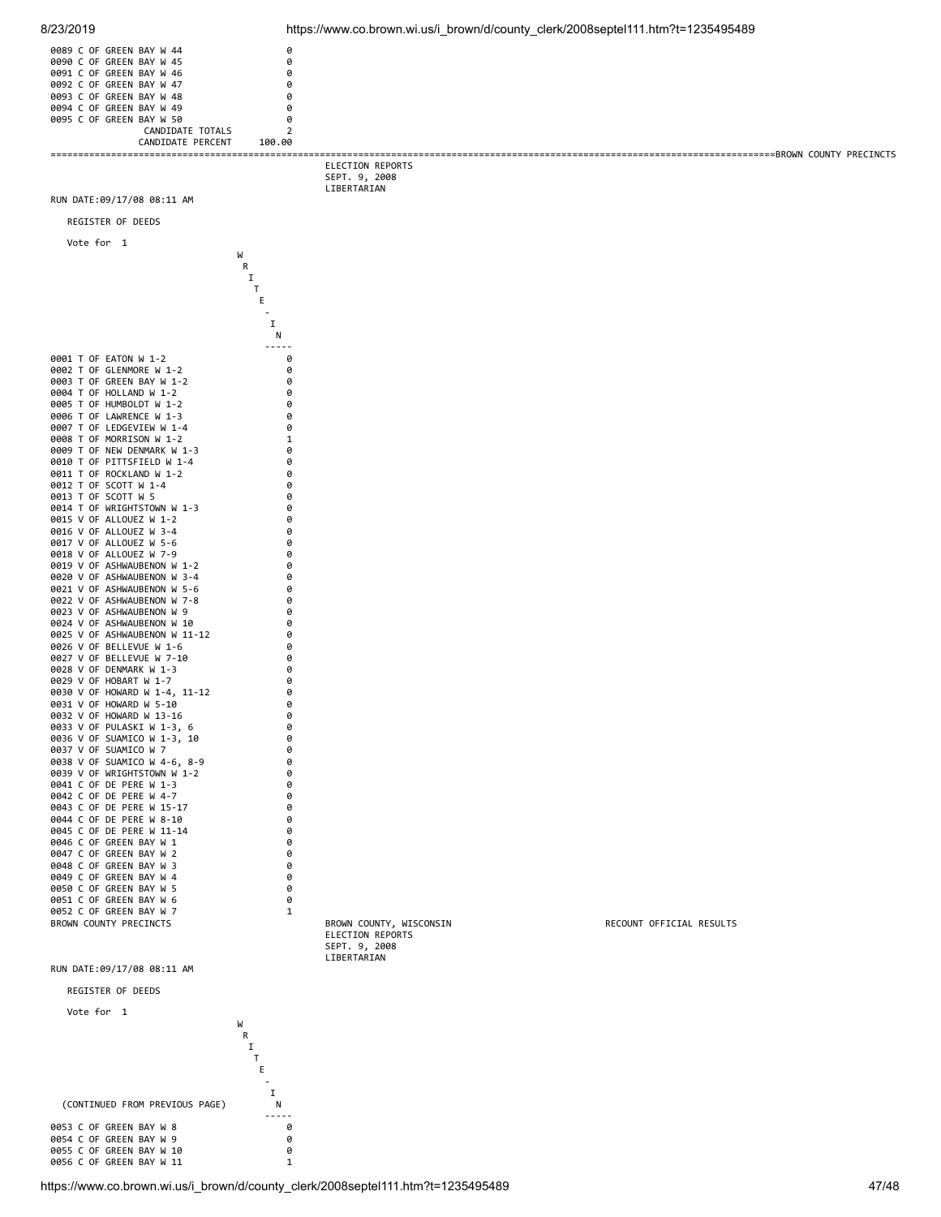